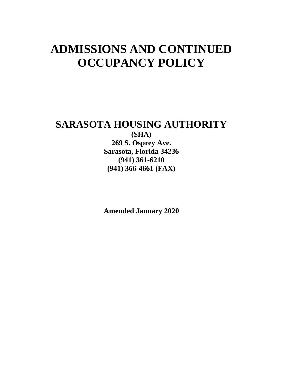# **ADMISSIONS AND CONTINUED OCCUPANCY POLICY**

# **SARASOTA HOUSING AUTHORITY**

**(SHA) 269 S. Osprey Ave. Sarasota, Florida 34236 (941) 361-6210 (941) 366-4661 (FAX)**

**Amended January 2020**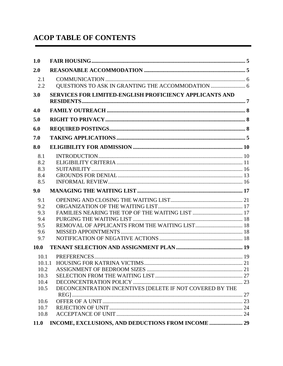# **ACOP TABLE OF CONTENTS**

| 1.0         |                                                          |  |
|-------------|----------------------------------------------------------|--|
| 2.0         |                                                          |  |
| 2.1<br>2.2  |                                                          |  |
| 3.0         | SERVICES FOR LIMITED-ENGLISH PROFICIENCY APPLICANTS AND  |  |
| 4.0         |                                                          |  |
| 5.0         |                                                          |  |
| 6.0         |                                                          |  |
| 7.0         |                                                          |  |
| 8.0         |                                                          |  |
| 8.1         |                                                          |  |
| 8.2         |                                                          |  |
| 8.3         |                                                          |  |
| 8.4         |                                                          |  |
| 8.5         |                                                          |  |
| 9.0         |                                                          |  |
| 9.1         |                                                          |  |
| 9.2         |                                                          |  |
| 9.3         |                                                          |  |
| 9.4         |                                                          |  |
| 9.5         |                                                          |  |
| 9.6         |                                                          |  |
| 9.7         |                                                          |  |
| <b>10.0</b> |                                                          |  |
| 10.1        |                                                          |  |
|             |                                                          |  |
| 10.2        |                                                          |  |
| 10.3        |                                                          |  |
| 10.4        |                                                          |  |
| 10.5        | DECONCENTRATION INCENTIVES [DELETE IF NOT COVERED BY THE |  |
|             |                                                          |  |
| 10.6        |                                                          |  |
| 10.7        |                                                          |  |
| 10.8        |                                                          |  |
| <b>11.0</b> |                                                          |  |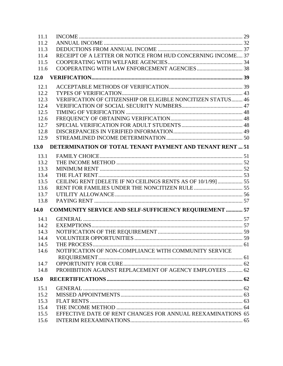| 11.1        |                                                               |  |
|-------------|---------------------------------------------------------------|--|
| 11.2        |                                                               |  |
| 11.3        |                                                               |  |
| 11.4        | RECEIPT OF A LETTER OR NOTICE FROM HUD CONCERNING INCOME 37   |  |
| 11.5        |                                                               |  |
| 11.6        |                                                               |  |
| 12.0        |                                                               |  |
| 12.1        |                                                               |  |
| 12.2        |                                                               |  |
| 12.3        | VERIFICATION OF CITIZENSHIP OR ELIGIBLE NONCITIZEN STATUS 46  |  |
| 12.4        |                                                               |  |
| 12.5        |                                                               |  |
| 12.6        |                                                               |  |
| 12.7        |                                                               |  |
| 12.8        |                                                               |  |
| 12.9        |                                                               |  |
| 13.0        | DETERMINATION OF TOTAL TENANT PAYMENT AND TENANT RENT  51     |  |
| 13.1        |                                                               |  |
| 13.2        |                                                               |  |
| 13.3        |                                                               |  |
| 13.4        |                                                               |  |
| 13.5        | CEILING RENT [DELETE IF NO CEILINGS RENTS AS OF 10/1/99]  55  |  |
| 13.6        |                                                               |  |
| 13.7        |                                                               |  |
| 13.8        |                                                               |  |
|             |                                                               |  |
| <b>14.0</b> | <b>COMMUNITY SERVICE AND SELF-SUFFICIENCY REQUIREMENT  57</b> |  |
| 14.1        |                                                               |  |
| 14.2        |                                                               |  |
| 14.3        |                                                               |  |
| 14.4        |                                                               |  |
| 14.5        |                                                               |  |
| 14.6        | NOTIFICATION OF NON-COMPLIANCE WITH COMMUNITY SERVICE         |  |
|             |                                                               |  |
| 14.7        |                                                               |  |
| 14.8        | PROHIBITION AGAINST REPLACEMENT OF AGENCY EMPLOYEES  62       |  |
| 15.0        |                                                               |  |
| 15.1        |                                                               |  |
| 15.2        |                                                               |  |
| 15.3        |                                                               |  |
| 15.4        |                                                               |  |
| 15.5        | EFFECTIVE DATE OF RENT CHANGES FOR ANNUAL REEXAMINATIONS 65   |  |
| 15.6        |                                                               |  |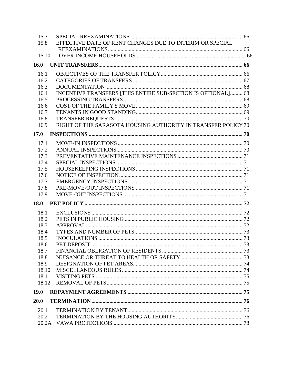| 15.7        |                                                               |  |
|-------------|---------------------------------------------------------------|--|
| 15.8        | EFFECTIVE DATE OF RENT CHANGES DUE TO INTERIM OR SPECIAL      |  |
|             |                                                               |  |
| 15.10       |                                                               |  |
| 16.0        |                                                               |  |
| 16.1        |                                                               |  |
| 16.2        |                                                               |  |
| 16.3        |                                                               |  |
| 16.4        | INCENTIVE TRANSFERS [THIS ENTIRE SUB-SECTION IS OPTIONAL] 68  |  |
| 16.5        |                                                               |  |
| 16.6        |                                                               |  |
| 16.7        |                                                               |  |
| 16.8        |                                                               |  |
| 16.9        | RIGHT OF THE SARASOTA HOUSING AUTHORITY IN TRANSFER POLICY 70 |  |
| 17.0        |                                                               |  |
| 17.1        |                                                               |  |
| 17.2        |                                                               |  |
| 17.3        |                                                               |  |
| 17.4        |                                                               |  |
| 17.5        |                                                               |  |
| 17.6        |                                                               |  |
| 17.7        |                                                               |  |
| 17.8        |                                                               |  |
| 17.9        |                                                               |  |
| <b>18.0</b> |                                                               |  |
| 18.1        |                                                               |  |
| 18.2        |                                                               |  |
| 18.3        |                                                               |  |
| 18.4        |                                                               |  |
| 18.5        |                                                               |  |
| 18.6        |                                                               |  |
| 18.7        |                                                               |  |
| 18.8        |                                                               |  |
| 18.9        |                                                               |  |
| 18.10       |                                                               |  |
| 18.11       |                                                               |  |
| 18.12       |                                                               |  |
| <b>19.0</b> |                                                               |  |
| 20.0        |                                                               |  |
| 20.1        |                                                               |  |
| 20.2        |                                                               |  |
| 20.2A       |                                                               |  |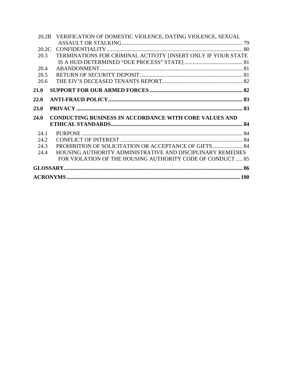| 20.2B | VERIFICATION OF DOMESTIC VIOLENCE, DATING VIOLENCE, SEXUAL    |  |
|-------|---------------------------------------------------------------|--|
|       |                                                               |  |
| 20.2C |                                                               |  |
| 20.3  | TERMINATIONS FOR CRIMINAL ACTIVITY [INSERT ONLY IF YOUR STATE |  |
|       |                                                               |  |
| 20.4  |                                                               |  |
| 20.5  |                                                               |  |
| 20.6  |                                                               |  |
| 21.0  |                                                               |  |
| 22.0  |                                                               |  |
| 23.0  |                                                               |  |
| 24.0  | <b>CONDUCTING BUSINESS IN ACCORDANCE WITH CORE VALUES AND</b> |  |
|       |                                                               |  |
| 24.1  |                                                               |  |
| 24.2  |                                                               |  |
| 24.3  | PROHIBITION OF SOLICITATION OR ACCEPTANCE OF GIFTS 84         |  |
| 24.4  | HOUSING AUTHORITY ADMINISTRATIVE AND DISCIPLINARY REMEDIES    |  |
|       | FOR VIOLATION OF THE HOUSING AUTHORITY CODE OF CONDUCT  85    |  |
|       |                                                               |  |
|       |                                                               |  |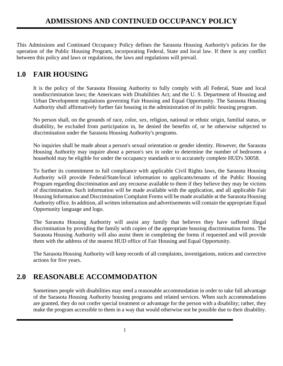This Admissions and Continued Occupancy Policy defines the Sarasota Housing Authority's policies for the operation of the Public Housing Program, incorporating Federal, State and local law. If there is any conflict between this policy and laws or regulations, the laws and regulations will prevail.

# <span id="page-5-0"></span>**1.0 FAIR HOUSING**

It is the policy of the Sarasota Housing Authority to fully comply with all Federal, State and local nondiscrimination laws; the Americans with Disabilities Act; and the U. S. Department of Housing and Urban Development regulations governing Fair Housing and Equal Opportunity. The Sarasota Housing Authority shall affirmatively further fair housing in the administration of its public housing program.

No person shall, on the grounds of race, color, sex, religion, national or ethnic origin, familial status, or disability, be excluded from participation in, be denied the benefits of, or be otherwise subjected to discrimination under the Sarasota Housing Authority's programs.

No inquiries shall be made about a person's sexual orientation or gender identity. However, the Sarasota Housing Authority may inquire about a person's sex in order to determine the number of bedrooms a household may be eligible for under the occupancy standards or to accurately complete HUD's 50058.

To further its commitment to full compliance with applicable Civil Rights laws, the Sarasota Housing Authority will provide Federal/State/local information to applicants/tenants of the Public Housing Program regarding discrimination and any recourse available to them if they believe they may be victims of discrimination. Such information will be made available with the application, and all applicable Fair Housing Information and Discrimination Complaint Forms will be made available at the Sarasota Housing Authority office. In addition, all written information and advertisements will contain the appropriate Equal Opportunity language and logo.

The Sarasota Housing Authority will assist any family that believes they have suffered illegal discrimination by providing the family with copies of the appropriate housing discrimination forms. The Sarasota Housing Authority will also assist them in completing the forms if requested and will provide them with the address of the nearest HUD office of Fair Housing and Equal Opportunity.

The Sarasota Housing Authority will keep records of all complaints, investigations, notices and corrective actions for five years.

# <span id="page-5-1"></span>**2.0 REASONABLE ACCOMMODATION**

Sometimes people with disabilities may need a reasonable accommodation in order to take full advantage of the Sarasota Housing Authority housing programs and related services. When such accommodations are granted, they do not confer special treatment or advantage for the person with a disability; rather, they make the program accessible to them in a way that would otherwise not be possible due to their disability.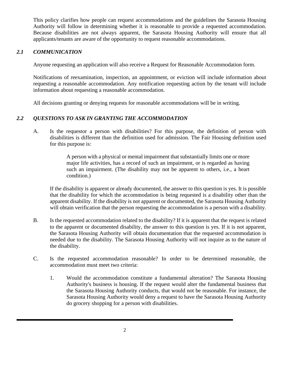This policy clarifies how people can request accommodations and the guidelines the Sarasota Housing Authority will follow in determining whether it is reasonable to provide a requested accommodation. Because disabilities are not always apparent, the Sarasota Housing Authority will ensure that all applicants/tenants are aware of the opportunity to request reasonable accommodations.

### <span id="page-6-0"></span>*2.1 COMMUNICATION*

Anyone requesting an application will also receive a Request for Reasonable Accommodation form.

Notifications of reexamination, inspection, an appointment, or eviction will include information about requesting a reasonable accommodation. Any notification requesting action by the tenant will include information about requesting a reasonable accommodation.

All decisions granting or denying requests for reasonable accommodations will be in writing.

### <span id="page-6-1"></span>*2.2 QUESTIONS TO ASK IN GRANTING THE ACCOMMODATION*

A. Is the requestor a person with disabilities? For this purpose, the definition of person with disabilities is different than the definition used for admission. The Fair Housing definition used for this purpose is:

> A person with a physical or mental impairment that substantially limits one or more major life activities, has a record of such an impairment, or is regarded as having such an impairment. (The disability may not be apparent to others, i.e., a heart condition.)

If the disability is apparent or already documented, the answer to this question is yes. It is possible that the disability for which the accommodation is being requested is a disability other than the apparent disability. If the disability is not apparent or documented, the Sarasota Housing Authority will obtain verification that the person requesting the accommodation is a person with a disability.

- B. Is the requested accommodation related to the disability? If it is apparent that the request is related to the apparent or documented disability, the answer to this question is yes. If it is not apparent, the Sarasota Housing Authority will obtain documentation that the requested accommodation is needed due to the disability. The Sarasota Housing Authority will not inquire as to the nature of the disability.
- C. Is the requested accommodation reasonable? In order to be determined reasonable, the accommodation must meet two criteria:
	- 1. Would the accommodation constitute a fundamental alteration? The Sarasota Housing Authority's business is housing. If the request would alter the fundamental business that the Sarasota Housing Authority conducts, that would not be reasonable. For instance, the Sarasota Housing Authority would deny a request to have the Sarasota Housing Authority do grocery shopping for a person with disabilities.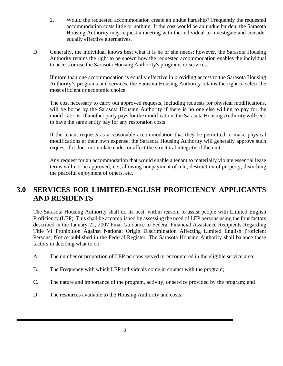- 2. Would the requested accommodation create an undue hardship? Frequently the requested accommodation costs little or nothing. If the cost would be an undue burden, the Sarasota Housing Authority may request a meeting with the individual to investigate and consider equally effective alternatives.
- D. Generally, the individual knows best what it is he or she needs; however, the Sarasota Housing Authority retains the right to be shown how the requested accommodation enables the individual to access or use the Sarasota Housing Authority's programs or services.

If more than one accommodation is equally effective in providing access to the Sarasota Housing Authority's programs and services, the Sarasota Housing Authority retains the right to select the most efficient or economic choice.

The cost necessary to carry out approved requests, including requests for physical modifications, will be borne by the Sarasota Housing Authority if there is no one else willing to pay for the modifications. If another party pays for the modification, the Sarasota Housing Authority will seek to have the same entity pay for any restoration costs.

If the tenant requests as a reasonable accommodation that they be permitted to make physical modifications at their own expense, the Sarasota Housing Authority will generally approve such request if it does not violate codes or affect the structural integrity of the unit.

Any request for an accommodation that would enable a tenant to materially violate essential lease terms will not be approved, i.e., allowing nonpayment of rent, destruction of property, disturbing the peaceful enjoyment of others, etc.

# <span id="page-7-0"></span>**3.0 SERVICES FOR LIMITED-ENGLISH PROFICIENCY APPLICANTS AND RESIDENTS**

The Sarasota Housing Authority shall do its best, within reason, to assist people with Limited English Proficiency (LEP). This shall be accomplished by assessing the need of LEP persons using the four factors described in the January 22, 2007 Final Guidance to Federal Financial Assistance Recipients Regarding Title VI Prohibition Against National Origin Discrimination Affecting Limited English Proficient Persons; Notice published in the Federal Register. The Sarasota Housing Authority shall balance these factors in deciding what to do:

- A. The number or proportion of LEP persons served or encountered in the eligible service area;
- B. The Frequency with which LEP individuals come in contact with the program;
- C. The nature and importance of the program, activity, or service provided by the program; and
- D. The resources available to the Housing Authority and costs.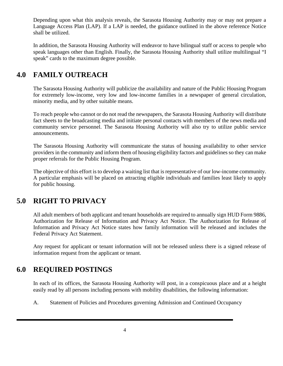Depending upon what this analysis reveals, the Sarasota Housing Authority may or may not prepare a Language Access Plan (LAP). If a LAP is needed, the guidance outlined in the above reference Notice shall be utilized.

In addition, the Sarasota Housing Authority will endeavor to have bilingual staff or access to people who speak languages other than English. Finally, the Sarasota Housing Authority shall utilize multilingual "I speak" cards to the maximum degree possible.

# <span id="page-8-0"></span>**4.0 FAMILY OUTREACH**

The Sarasota Housing Authority will publicize the availability and nature of the Public Housing Program for extremely low-income, very low and low-income families in a newspaper of general circulation, minority media, and by other suitable means.

To reach people who cannot or do not read the newspapers, the Sarasota Housing Authority will distribute fact sheets to the broadcasting media and initiate personal contacts with members of the news media and community service personnel. The Sarasota Housing Authority will also try to utilize public service announcements.

The Sarasota Housing Authority will communicate the status of housing availability to other service providers in the community and inform them of housing eligibility factors and guidelines so they can make proper referrals for the Public Housing Program.

The objective of this effort is to develop a waiting list that is representative of our low-income community. A particular emphasis will be placed on attracting eligible individuals and families least likely to apply for public housing.

# <span id="page-8-1"></span>**5.0 RIGHT TO PRIVACY**

All adult members of both applicant and tenant households are required to annually sign HUD Form 9886, Authorization for Release of Information and Privacy Act Notice. The Authorization for Release of Information and Privacy Act Notice states how family information will be released and includes the Federal Privacy Act Statement.

Any request for applicant or tenant information will not be released unless there is a signed release of information request from the applicant or tenant.

# <span id="page-8-2"></span>**6.0 REQUIRED POSTINGS**

In each of its offices, the Sarasota Housing Authority will post, in a conspicuous place and at a height easily read by all persons including persons with mobility disabilities, the following information:

A. Statement of Policies and Procedures governing Admission and Continued Occupancy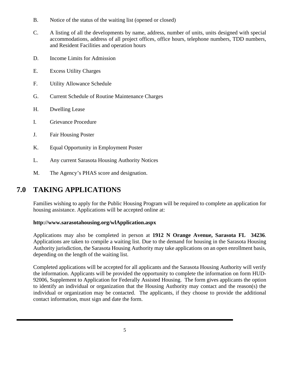- B. Notice of the status of the waiting list (opened or closed)
- C. A listing of all the developments by name, address, number of units, units designed with special accommodations, address of all project offices, office hours, telephone numbers, TDD numbers, and Resident Facilities and operation hours
- D. Income Limits for Admission
- E. Excess Utility Charges
- F. Utility Allowance Schedule
- G. Current Schedule of Routine Maintenance Charges
- H. Dwelling Lease
- I. Grievance Procedure
- J. Fair Housing Poster
- K. Equal Opportunity in Employment Poster
- L. Any current Sarasota Housing Authority Notices
- M. The Agency's PHAS score and designation.

# <span id="page-9-0"></span>**7.0 TAKING APPLICATIONS**

Families wishing to apply for the Public Housing Program will be required to complete an application for housing assistance. Applications will be accepted online at:

#### **http://www.sarasotahousing.org/wlApplication.aspx**

Applications may also be completed in person at **1912 N Orange Avenue, Sarasota FL 34236**. Applications are taken to compile a waiting list. Due to the demand for housing in the Sarasota Housing Authority jurisdiction, the Sarasota Housing Authority may take applications on an open enrollment basis, depending on the length of the waiting list.

Completed applications will be accepted for all applicants and the Sarasota Housing Authority will verify the information. Applicants will be provided the opportunity to complete the information on form HUD-92006, Supplement to Application for Federally Assisted Housing. The form gives applicants the option to identify an individual or organization that the Housing Authority may contact and the reason(s) the individual or organization may be contacted. The applicants, if they choose to provide the additional contact information, must sign and date the form.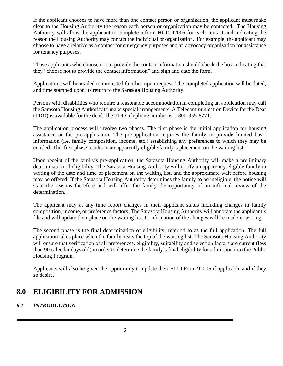If the applicant chooses to have more than one contact person or organization, the applicant must make clear to the Housing Authority the reason each person or organization may be contacted. The Housing Authority will allow the applicant to complete a form HUD-92006 for each contact and indicating the reason the Housing Authority may contact the individual or organization. For example, the applicant may choose to have a relative as a contact for emergency purposes and an advocacy organization for assistance for tenancy purposes.

Those applicants who choose not to provide the contact information should check the box indicating that they "choose not to provide the contact information" and sign and date the form.

Applications will be mailed to interested families upon request. The completed application will be dated, and time stamped upon its return to the Sarasota Housing Authority.

Persons with disabilities who require a reasonable accommodation in completing an application may call the Sarasota Housing Authority to make special arrangements. A Telecommunication Device for the Deaf (TDD) is available for the deaf. The TDD telephone number is 1-800-955-8771.

The application process will involve two phases. The first phase is the initial application for housing assistance or the pre-application. The pre-application requires the family to provide limited basic information (i.e. family composition, income, etc.) establishing any preferences to which they may be entitled. This first phase results in an apparently eligible family's placement on the waiting list.

Upon receipt of the family's pre-application, the Sarasota Housing Authority will make a preliminary determination of eligibility. The Sarasota Housing Authority will notify an apparently eligible family in writing of the date and time of placement on the waiting list, and the approximate wait before housing may be offered. If the Sarasota Housing Authority determines the family to be ineligible, the notice will state the reasons therefore and will offer the family the opportunity of an informal review of the determination.

The applicant may at any time report changes in their applicant status including changes in family composition, income, or preference factors. The Sarasota Housing Authority will annotate the applicant's file and will update their place on the waiting list. Confirmation of the changes will be made in writing.

The second phase is the final determination of eligibility, referred to as the full application. The full application takes place when the family nears the top of the waiting list. The Sarasota Housing Authority will ensure that verification of all preferences, eligibility, suitability and selection factors are current (less than 90 calendar days old) in order to determine the family's final eligibility for admission into the Public Housing Program.

Applicants will also be given the opportunity to update their HUD Form 92006 if applicable and if they so desire.

# <span id="page-10-0"></span>**8.0 ELIGIBILITY FOR ADMISSION**

# <span id="page-10-1"></span>*8.1 INTRODUCTION*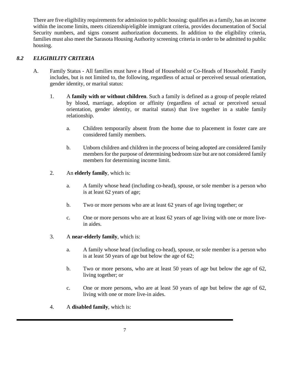There are five eligibility requirements for admission to public housing: qualifies as a family, has an income within the income limits, meets citizenship/eligible immigrant criteria, provides documentation of Social Security numbers, and signs consent authorization documents. In addition to the eligibility criteria, families must also meet the Sarasota Housing Authority screening criteria in order to be admitted to public housing.

# <span id="page-11-0"></span>*8.2 ELIGIBILITY CRITERIA*

- A. Family Status All families must have a Head of Household or Co-Heads of Household. Family includes, but is not limited to, the following, regardless of actual or perceived sexual orientation, gender identity, or marital status:
	- 1. A **family with or without children**. Such a family is defined as a group of people related by blood, marriage, adoption or affinity (regardless of actual or perceived sexual orientation, gender identity, or marital status) that live together in a stable family relationship.
		- a. Children temporarily absent from the home due to placement in foster care are considered family members.
		- b. Unborn children and children in the process of being adopted are considered family members for the purpose of determining bedroom size but are not considered family members for determining income limit.
	- 2. An **elderly family**, which is:
		- a. A family whose head (including co-head), spouse, or sole member is a person who is at least 62 years of age;
		- b. Two or more persons who are at least 62 years of age living together; or
		- c. One or more persons who are at least 62 years of age living with one or more livein aides.
	- 3. A **near-elderly family**, which is:
		- a. A family whose head (including co-head), spouse, or sole member is a person who is at least 50 years of age but below the age of 62;
		- b. Two or more persons, who are at least 50 years of age but below the age of 62, living together; or
		- c. One or more persons, who are at least 50 years of age but below the age of 62, living with one or more live-in aides.
	- 4. A **disabled family**, which is: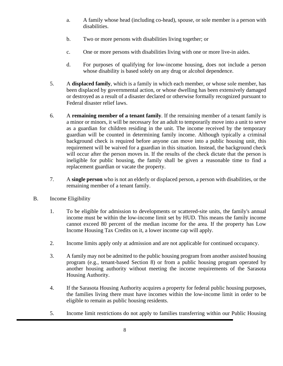- a. A family whose head (including co-head), spouse, or sole member is a person with disabilities.
- b. Two or more persons with disabilities living together; or
- c. One or more persons with disabilities living with one or more live-in aides.
- d. For purposes of qualifying for low-income housing, does not include a person whose disability is based solely on any drug or alcohol dependence.
- 5. A **displaced family**, which is a family in which each member, or whose sole member, has been displaced by governmental action, or whose dwelling has been extensively damaged or destroyed as a result of a disaster declared or otherwise formally recognized pursuant to Federal disaster relief laws.
- 6. A **remaining member of a tenant family**. If the remaining member of a tenant family is a minor or minors, it will be necessary for an adult to temporarily move into a unit to serve as a guardian for children residing in the unit. The income received by the temporary guardian will be counted in determining family income. Although typically a criminal background check is required before anyone can move into a public housing unit, this requirement will be waived for a guardian in this situation. Instead, the background check will occur after the person moves in. If the results of the check dictate that the person is ineligible for public housing, the family shall be given a reasonable time to find a replacement guardian or vacate the property.
- 7. A **single person** who is not an elderly or displaced person, a person with disabilities, or the remaining member of a tenant family.
- B. Income Eligibility
	- 1. To be eligible for admission to developments or scattered-site units, the family's annual income must be within the low-income limit set by HUD. This means the family income cannot exceed 80 percent of the median income for the area. If the property has Low Income Housing Tax Credits on it, a lower income cap will apply.
	- 2. Income limits apply only at admission and are not applicable for continued occupancy.
	- 3. A family may not be admitted to the public housing program from another assisted housing program (e.g., tenant-based Section 8) or from a public housing program operated by another housing authority without meeting the income requirements of the Sarasota Housing Authority.
	- 4. If the Sarasota Housing Authority acquires a property for federal public housing purposes, the families living there must have incomes within the low-income limit in order to be eligible to remain as public housing residents.
	- 5. Income limit restrictions do not apply to families transferring within our Public Housing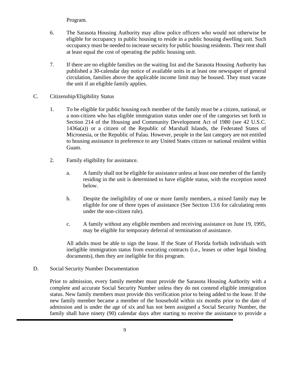Program.

- 6. The Sarasota Housing Authority may allow police officers who would not otherwise be eligible for occupancy in public housing to reside in a public housing dwelling unit. Such occupancy must be needed to increase security for public housing residents. Their rent shall at least equal the cost of operating the public housing unit.
- 7*.* If there are no eligible families on the waiting list and the Sarasota Housing Authority has published a 30-calendar day notice of available units in at least one newspaper of general circulation, families above the applicable income limit may be housed. They must vacate the unit if an eligible family applies.
- C. Citizenship/Eligibility Status
	- 1. To be eligible for public housing each member of the family must be a citizen, national, or a non-citizen who has eligible immigration status under one of the categories set forth in Section 214 of the Housing and Community Development Act of 1980 (see 42 U.S.C. 1436a(a)) or a citizen of the Republic of Marshall Islands, the Federated States of Micronesia, or the Republic of Palau. However, people in the last category are not entitled to housing assistance in preference to any United States citizen or national resident within Guam.
	- 2. Family eligibility for assistance.
		- a. A family shall not be eligible for assistance unless at least one member of the family residing in the unit is determined to have eligible status, with the exception noted below.
		- b. Despite the ineligibility of one or more family members, a mixed family may be eligible for one of three types of assistance (See Section 13.6 for calculating rents under the non-citizen rule).
		- c. A family without any eligible members and receiving assistance on June 19, 1995, may be eligible for temporary deferral of termination of assistance.

All adults must be able to sign the lease. If the State of Florida forbids individuals with ineligible immigration status from executing contracts (i.e., leases or other legal binding documents), then they are ineligible for this program.

### D. Social Security Number Documentation

Prior to admission, every family member must provide the Sarasota Housing Authority with a complete and accurate Social Security Number unless they do not contend eligible immigration status. New family members must provide this verification prior to being added to the lease. If the new family member became a member of the household within six months prior to the date of admission and is under the age of six and has not been assigned a Social Security Number, the family shall have ninety (90) calendar days after starting to receive the assistance to provide a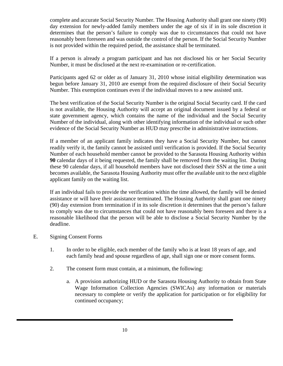complete and accurate Social Security Number. The Housing Authority shall grant one ninety (90) day extension for newly-added family members under the age of six if in its sole discretion it determines that the person's failure to comply was due to circumstances that could not have reasonably been foreseen and was outside the control of the person. If the Social Security Number is not provided within the required period, the assistance shall be terminated.

If a person is already a program participant and has not disclosed his or her Social Security Number, it must be disclosed at the next re-examination or re-certification.

Participants aged 62 or older as of January 31, 2010 whose initial eligibility determination was begun before January 31, 2010 are exempt from the required disclosure of their Social Security Number. This exemption continues even if the individual moves to a new assisted unit.

The best verification of the Social Security Number is the original Social Security card. If the card is not available, the Housing Authority will accept an original document issued by a federal or state government agency, which contains the name of the individual and the Social Security Number of the individual, along with other identifying information of the individual or such other evidence of the Social Security Number as HUD may prescribe in administrative instructions.

If a member of an applicant family indicates they have a Social Security Number, but cannot readily verify it, the family cannot be assisted until verification is provided. If the Social Security Number of each household member cannot be provided to the Sarasota Housing Authority within **90** calendar days of it being requested, the family shall be removed from the waiting list. During these 90 calendar days, if all household members have not disclosed their SSN at the time a unit becomes available, the Sarasota Housing Authority must offer the available unit to the next eligible applicant family on the waiting list.

If an individual fails to provide the verification within the time allowed, the family will be denied assistance or will have their assistance terminated. The Housing Authority shall grant one ninety (90) day extension from termination if in its sole discretion it determines that the person's failure to comply was due to circumstances that could not have reasonably been foreseen and there is a reasonable likelihood that the person will be able to disclose a Social Security Number by the deadline.

- E. Signing Consent Forms
	- 1. In order to be eligible, each member of the family who is at least 18 years of age, and each family head and spouse regardless of age, shall sign one or more consent forms.
	- 2. The consent form must contain, at a minimum, the following:
		- a. A provision authorizing HUD or the Sarasota Housing Authority to obtain from State Wage Information Collection Agencies (SWICAs) any information or materials necessary to complete or verify the application for participation or for eligibility for continued occupancy;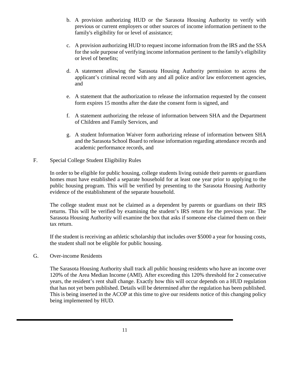- b. A provision authorizing HUD or the Sarasota Housing Authority to verify with previous or current employers or other sources of income information pertinent to the family's eligibility for or level of assistance;
- c. A provision authorizing HUD to request income information from the IRS and the SSA for the sole purpose of verifying income information pertinent to the family's eligibility or level of benefits;
- d. A statement allowing the Sarasota Housing Authority permission to access the applicant's criminal record with any and all police and/or law enforcement agencies, and
- e. A statement that the authorization to release the information requested by the consent form expires 15 months after the date the consent form is signed, and
- f. A statement authorizing the release of information between SHA and the Department of Children and Family Services, and
- g. A student Information Waiver form authorizing release of information between SHA and the Sarasota School Board to release information regarding attendance records and academic performance records, and
- F. Special College Student Eligibility Rules

In order to be eligible for public housing, college students living outside their parents or guardians homes must have established a separate household for at least one year prior to applying to the public housing program. This will be verified by presenting to the Sarasota Housing Authority evidence of the establishment of the separate household.

The college student must not be claimed as a dependent by parents or guardians on their IRS returns. This will be verified by examining the student's IRS return for the previous year. The Sarasota Housing Authority will examine the box that asks if someone else claimed them on their tax return.

If the student is receiving an athletic scholarship that includes over \$5000 a year for housing costs, the student shall not be eligible for public housing.

G. Over-income Residents

The Sarasota Housing Authority shall track all public housing residents who have an income over 120% of the Area Median Income (AMI). After exceeding this 120% threshold for 2 consecutive years, the resident's rent shall change. Exactly how this will occur depends on a HUD regulation that has not yet been published. Details will be determined after the regulation has been published. This is being inserted in the ACOP at this time to give our residents notice of this changing policy being implemented by HUD.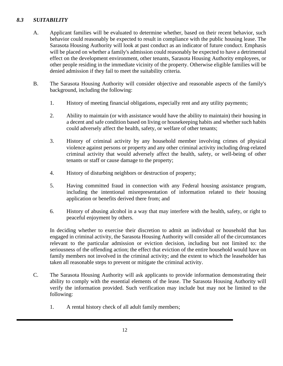# <span id="page-16-0"></span>*8.3 SUITABILITY*

- A. Applicant families will be evaluated to determine whether, based on their recent behavior, such behavior could reasonably be expected to result in compliance with the public housing lease. The Sarasota Housing Authority will look at past conduct as an indicator of future conduct. Emphasis will be placed on whether a family's admission could reasonably be expected to have a detrimental effect on the development environment, other tenants, Sarasota Housing Authority employees, or other people residing in the immediate vicinity of the property. Otherwise eligible families will be denied admission if they fail to meet the suitability criteria.
- B. The Sarasota Housing Authority will consider objective and reasonable aspects of the family's background, including the following:
	- 1. History of meeting financial obligations, especially rent and any utility payments;
	- 2. Ability to maintain (or with assistance would have the ability to maintain) their housing in a decent and safe condition based on living or housekeeping habits and whether such habits could adversely affect the health, safety, or welfare of other tenants;
	- 3. History of criminal activity by any household member involving crimes of physical violence against persons or property and any other criminal activity including drug-related criminal activity that would adversely affect the health, safety, or well-being of other tenants or staff or cause damage to the property;
	- 4. History of disturbing neighbors or destruction of property;
	- 5. Having committed fraud in connection with any Federal housing assistance program, including the intentional misrepresentation of information related to their housing application or benefits derived there from; and
	- 6. History of abusing alcohol in a way that may interfere with the health, safety, or right to peaceful enjoyment by others.

In deciding whether to exercise their discretion to admit an individual or household that has engaged in criminal activity, the Sarasota Housing Authority will consider all of the circumstances relevant to the particular admission or eviction decision, including but not limited to: the seriousness of the offending action; the effect that eviction of the entire household would have on family members not involved in the criminal activity; and the extent to which the leaseholder has taken all reasonable steps to prevent or mitigate the criminal activity.

- C. The Sarasota Housing Authority will ask applicants to provide information demonstrating their ability to comply with the essential elements of the lease. The Sarasota Housing Authority will verify the information provided. Such verification may include but may not be limited to the following:
	- 1. A rental history check of all adult family members;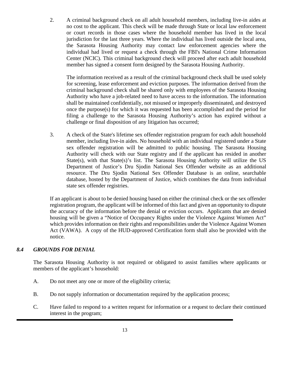2. A criminal background check on all adult household members, including live-in aides at no cost to the applicant. This check will be made through State or local law enforcement or court records in those cases where the household member has lived in the local jurisdiction for the last three years. Where the individual has lived outside the local area, the Sarasota Housing Authority may contact law enforcement agencies where the individual had lived or request a check through the FBI's National Crime Information Center (NCIC). This criminal background check will proceed after each adult household member has signed a consent form designed by the Sarasota Housing Authority.

The information received as a result of the criminal background check shall be used solely for screening, lease enforcement and eviction purposes. The information derived from the criminal background check shall be shared only with employees of the Sarasota Housing Authority who have a job-related need to have access to the information. The information shall be maintained confidentially, not misused or improperly disseminated, and destroyed once the purpose(s) for which it was requested has been accomplished and the period for filing a challenge to the Sarasota Housing Authority's action has expired without a challenge or final disposition of any litigation has occurred;

3. A check of the State's lifetime sex offender registration program for each adult household member, including live-in aides. No household with an individual registered under a State sex offender registration will be admitted to public housing. The Sarasota Housing Authority will check with our State registry and if the applicant has resided in another State(s), with that State(s)'s list. The Sarasota Housing Authority will utilize the US Department of Justice's Dru Sjodin National Sex Offender website as an additional resource. The Dru Sjodin National Sex Offender Database is an online, searchable database, hosted by the Department of Justice, which combines the data from individual state sex offender registries.

If an applicant is about to be denied housing based on either the criminal check or the sex offender registration program, the applicant will be informed of this fact and given an opportunity to dispute the accuracy of the information before the denial or eviction occurs. Applicants that are denied housing will be given a "Notice of Occupancy Rights under the Violence Against Women Act" which provides information on their rights and responsibilities under the Violence Against Women Act (VAWA). A copy of the HUD-approved Certification form shall also be provided with the notice.

# <span id="page-17-0"></span>*8.4 GROUNDS FOR DENIAL*

The Sarasota Housing Authority is not required or obligated to assist families where applicants or members of the applicant's household:

- A. Do not meet any one or more of the eligibility criteria;
- B. Do not supply information or documentation required by the application process;
- C. Have failed to respond to a written request for information or a request to declare their continued interest in the program;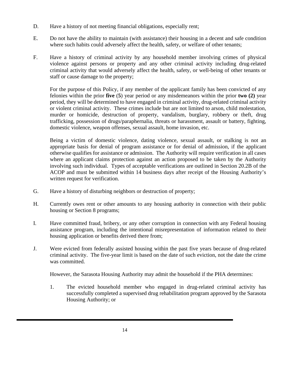- D. Have a history of not meeting financial obligations, especially rent;
- E. Do not have the ability to maintain (with assistance) their housing in a decent and safe condition where such habits could adversely affect the health, safety, or welfare of other tenants;
- F. Have a history of criminal activity by any household member involving crimes of physical violence against persons or property and any other criminal activity including drug-related criminal activity that would adversely affect the health, safety, or well-being of other tenants or staff or cause damage to the property;

For the purpose of this Policy, if any member of the applicant family has been convicted of any felonies within the prior **five** (**5**) year period or any misdemeanors within the prior **two (2)** year period, they will be determined to have engaged in criminal activity, drug-related criminal activity or violent criminal activity. These crimes include but are not limited to arson, child molestation, murder or homicide, destruction of property, vandalism, burglary, robbery or theft, drug trafficking, possession of drugs/paraphernalia, threats or harassment, assault or battery, fighting, domestic violence, weapon offenses, sexual assault, home invasion, etc.

Being a victim of domestic violence, dating violence, sexual assault, or stalking is not an appropriate basis for denial of program assistance or for denial of admission, if the applicant otherwise qualifies for assistance or admission. The Authority will require verification in all cases where an applicant claims protection against an action proposed to be taken by the Authority involving such individual. Types of acceptable verifications are outlined in Section 20.2B of the ACOP and must be submitted within 14 business days after receipt of the Housing Authority's written request for verification.

- G. Have a history of disturbing neighbors or destruction of property;
- H. Currently owes rent or other amounts to any housing authority in connection with their public housing or Section 8 programs;
- I. Have committed fraud, bribery, or any other corruption in connection with any Federal housing assistance program, including the intentional misrepresentation of information related to their housing application or benefits derived there from;
- J. Were evicted from federally assisted housing within the past five years because of drug-related criminal activity. The five-year limit is based on the date of such eviction, not the date the crime was committed.

However, the Sarasota Housing Authority may admit the household if the PHA determines:

1. The evicted household member who engaged in drug-related criminal activity has successfully completed a supervised drug rehabilitation program approved by the Sarasota Housing Authority; or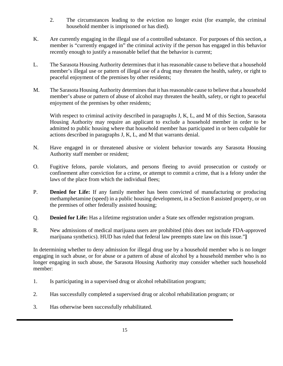- 2. The circumstances leading to the eviction no longer exist (for example, the criminal household member is imprisoned or has died).
- K. Are currently engaging in the illegal use of a controlled substance. For purposes of this section, a member is "currently engaged in" the criminal activity if the person has engaged in this behavior recently enough to justify a reasonable belief that the behavior is current;
- L. The Sarasota Housing Authority determines that it has reasonable cause to believe that a household member's illegal use or pattern of illegal use of a drug may threaten the health, safety, or right to peaceful enjoyment of the premises by other residents;
- M. The Sarasota Housing Authority determines that it has reasonable cause to believe that a household member's abuse or pattern of abuse of alcohol may threaten the health, safety, or right to peaceful enjoyment of the premises by other residents;

With respect to criminal activity described in paragraphs J, K, L, and M of this Section, Sarasota Housing Authority may require an applicant to exclude a household member in order to be admitted to public housing where that household member has participated in or been culpable for actions described in paragraphs J, K, L, and M that warrants denial.

- N. Have engaged in or threatened abusive or violent behavior towards any Sarasota Housing Authority staff member or resident;
- O. Fugitive felons, parole violators, and persons fleeing to avoid prosecution or custody or confinement after conviction for a crime, or attempt to commit a crime, that is a felony under the laws of the place from which the individual flees;
- P. **Denied for Life:** If any family member has been convicted of manufacturing or producing methamphetamine (speed) in a public housing development, in a Section 8 assisted property, or on the premises of other federally assisted housing;
- Q. **Denied for Life:** Has a lifetime registration under a State sex offender registration program.
- R. New admissions of medical marijuana users are prohibited (this does not include FDA-approved marijuana synthetics). HUD has ruled that federal law preempts state law on this issue."**]**

In determining whether to deny admission for illegal drug use by a household member who is no longer engaging in such abuse, or for abuse or a pattern of abuse of alcohol by a household member who is no longer engaging in such abuse, the Sarasota Housing Authority may consider whether such household member:

- 1. Is participating in a supervised drug or alcohol rehabilitation program;
- 2. Has successfully completed a supervised drug or alcohol rehabilitation program; or
- 3. Has otherwise been successfully rehabilitated.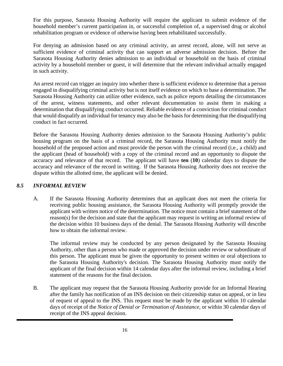For this purpose, Sarasota Housing Authority will require the applicant to submit evidence of the household member's current participation in, or successful completion of, a supervised drug or alcohol rehabilitation program or evidence of otherwise having been rehabilitated successfully.

For denying an admission based on any criminal activity, an arrest record, alone, will not serve as sufficient evidence of criminal activity that can support an adverse admission decision. Before the Sarasota Housing Authority denies admission to an individual or household on the basis of criminal activity by a household member or guest, it will determine that the relevant individual actually engaged in such activity.

An arrest record can trigger an inquiry into whether there is sufficient evidence to determine that a person engaged in disqualifying criminal activity but is not itself evidence on which to base a determination. The Sarasota Housing Authority can utilize other evidence, such as police reports detailing the circumstances of the arrest, witness statements, and other relevant documentation to assist them in making a determination that disqualifying conduct occurred. Reliable evidence of a conviction for criminal conduct that would disqualify an individual for tenancy may also be the basis for determining that the disqualifying conduct in fact occurred.

Before the Sarasota Housing Authority denies admission to the Sarasota Housing Authority's public housing program on the basis of a criminal record, the Sarasota Housing Authority must notify the household of the proposed action and must provide the person with the criminal record (i.e., a child) and the applicant (head of household) with a copy of the criminal record and an opportunity to dispute the accuracy and relevance of that record. The applicant will have **ten** (**10**) calendar days to dispute the accuracy and relevance of the record in writing. If the Sarasota Housing Authority does not receive the dispute within the allotted time, the applicant will be denied.

### <span id="page-20-0"></span>*8.5 INFORMAL REVIEW*

A. If the Sarasota Housing Authority determines that an applicant does not meet the criteria for receiving public housing assistance, the Sarasota Housing Authority will promptly provide the applicant with written notice of the determination. The notice must contain a brief statement of the reason(s) for the decision and state that the applicant may request in writing an informal review of the decision within 10 business days of the denial. The Sarasota Housing Authority will describe how to obtain the informal review.

The informal review may be conducted by any person designated by the Sarasota Housing Authority, other than a person who made or approved the decision under review or subordinate of this person. The applicant must be given the opportunity to present written or oral objections to the Sarasota Housing Authority's decision. The Sarasota Housing Authority must notify the applicant of the final decision within 14 calendar days after the informal review, including a brief statement of the reasons for the final decision.

B. The applicant may request that the Sarasota Housing Authority provide for an Informal Hearing after the family has notification of an INS decision on their citizenship status on appeal, or in lieu of request of appeal to the INS. This request must be made by the applicant within 10 calendar days of receipt of the *Notice of Denial or Termination of Assistance*, or within 30 calendar days of receipt of the INS appeal decision.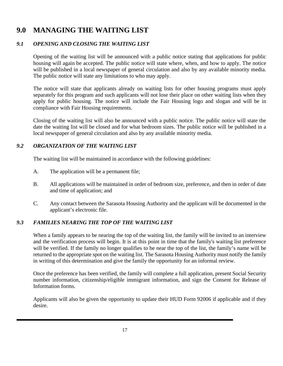# <span id="page-21-0"></span>**9.0 MANAGING THE WAITING LIST**

### <span id="page-21-1"></span>*9.1 OPENING AND CLOSING THE WAITING LIST*

Opening of the waiting list will be announced with a public notice stating that applications for public housing will again be accepted. The public notice will state where, when, and how to apply. The notice will be published in a local newspaper of general circulation and also by any available minority media. The public notice will state any limitations to who may apply.

The notice will state that applicants already on waiting lists for other housing programs must apply separately for this program and such applicants will not lose their place on other waiting lists when they apply for public housing. The notice will include the Fair Housing logo and slogan and will be in compliance with Fair Housing requirements.

Closing of the waiting list will also be announced with a public notice. The public notice will state the date the waiting list will be closed and for what bedroom sizes. The public notice will be published in a local newspaper of general circulation and also by any available minority media.

### <span id="page-21-2"></span>*9.2 ORGANIZATION OF THE WAITING LIST*

The waiting list will be maintained in accordance with the following guidelines:

- A. The application will be a permanent file;
- B. All applications will be maintained in order of bedroom size, preference, and then in order of date and time of application; and
- C. Any contact between the Sarasota Housing Authority and the applicant will be documented in the applicant's electronic file.

# <span id="page-21-3"></span>*9.3 FAMILIES NEARING THE TOP OF THE WAITING LIST*

When a family appears to be nearing the top of the waiting list, the family will be invited to an interview and the verification process will begin. It is at this point in time that the family's waiting list preference will be verified. If the family no longer qualifies to be near the top of the list, the family's name will be returned to the appropriate spot on the waiting list. The Sarasota Housing Authority must notify the family in writing of this determination and give the family the opportunity for an informal review.

Once the preference has been verified, the family will complete a full application, present Social Security number information, citizenship/eligible immigrant information, and sign the Consent for Release of Information forms.

Applicants will also be given the opportunity to update their HUD Form 92006 if applicable and if they desire.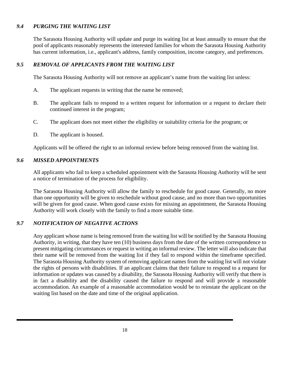### <span id="page-22-0"></span>*9.4 PURGING THE WAITING LIST*

The Sarasota Housing Authority will update and purge its waiting list at least annually to ensure that the pool of applicants reasonably represents the interested families for whom the Sarasota Housing Authority has current information, i.e., applicant's address, family composition, income category, and preferences.

### <span id="page-22-1"></span>*9.5 REMOVAL OF APPLICANTS FROM THE WAITING LIST*

The Sarasota Housing Authority will not remove an applicant's name from the waiting list unless:

- A. The applicant requests in writing that the name be removed;
- B. The applicant fails to respond to a written request for information or a request to declare their continued interest in the program;
- C. The applicant does not meet either the eligibility or suitability criteria for the program; or
- D. The applicant is housed.

Applicants will be offered the right to an informal review before being removed from the waiting list.

#### <span id="page-22-2"></span>*9.6 MISSED APPOINTMENTS*

All applicants who fail to keep a scheduled appointment with the Sarasota Housing Authority will be sent a notice of termination of the process for eligibility.

The Sarasota Housing Authority will allow the family to reschedule for good cause. Generally, no more than one opportunity will be given to reschedule without good cause, and no more than two opportunities will be given for good cause. When good cause exists for missing an appointment, the Sarasota Housing Authority will work closely with the family to find a more suitable time.

### <span id="page-22-3"></span>*9.7 NOTIFICATION OF NEGATIVE ACTIONS*

Any applicant whose name is being removed from the waiting list will be notified by the Sarasota Housing Authority, in writing, that they have ten (10) business days from the date of the written correspondence to present mitigating circumstances or request in writing an informal review. The letter will also indicate that their name will be removed from the waiting list if they fail to respond within the timeframe specified. The Sarasota Housing Authority system of removing applicant names from the waiting list will not violate the rights of persons with disabilities. If an applicant claims that their failure to respond to a request for information or updates was caused by a disability, the Sarasota Housing Authority will verify that there is in fact a disability and the disability caused the failure to respond and will provide a reasonable accommodation. An example of a reasonable accommodation would be to reinstate the applicant on the waiting list based on the date and time of the original application.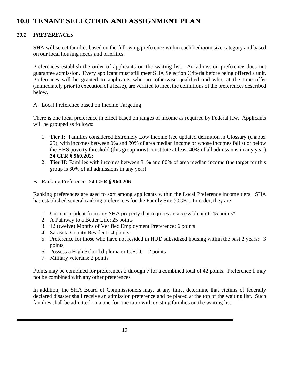# <span id="page-23-0"></span>**10.0 TENANT SELECTION AND ASSIGNMENT PLAN**

### <span id="page-23-1"></span>*10.1 PREFERENCES*

SHA will select families based on the following preference within each bedroom size category and based on our local housing needs and priorities.

Preferences establish the order of applicants on the waiting list. An admission preference does not guarantee admission. Every applicant must still meet SHA Selection Criteria before being offered a unit. Preferences will be granted to applicants who are otherwise qualified and who, at the time offer (immediately prior to execution of a lease), are verified to meet the definitions of the preferences described below.

#### A. Local Preference based on Income Targeting

There is one local preference in effect based on ranges of income as required by Federal law. Applicants will be grouped as follows:

- 1. **Tier I:** Families considered Extremely Low Income (see updated definition in Glossary (chapter 25), with incomes between 0% and 30% of area median income or whose incomes fall at or below the HHS poverty threshold (this group **must** constitute at least 40% of all admissions in any year) **24 CFR § 960.202;**
- 2. **Tier II:** Families with incomes between 31% and 80% of area median income (the target for this group is 60% of all admissions in any year).
- B. Ranking Preferences **24 CFR § 960.206**

Ranking preferences are used to sort among applicants within the Local Preference income tiers. SHA has established several ranking preferences for the Family Site (OCB). In order, they are:

- 1. Current resident from any SHA property that requires an accessible unit: 45 points\*
- 2. A Pathway to a Better Life: 25 points
- 3. 12 (twelve) Months of Verified Employment Preference: 6 points
- 4. Sarasota County Resident: 4 points
- 5. Preference for those who have not resided in HUD subsidized housing within the past 2 years: 3 points
- 6. Possess a High School diploma or G.E.D.: 2 points
- 7. Military veterans: 2 points

Points may be combined for preferences 2 through 7 for a combined total of 42 points. Preference 1 may not be combined with any other preferences.

In addition, the SHA Board of Commissioners may, at any time, determine that victims of federally declared disaster shall receive an admission preference and be placed at the top of the waiting list. Such families shall be admitted on a one-for-one ratio with existing families on the waiting list.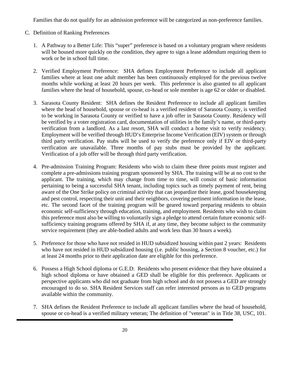Families that do not qualify for an admission preference will be categorized as non-preference families.

- C. Definition of Ranking Preferences
	- 1. A Pathway to a Better Life: This "super" preference is based on a voluntary program where residents will be housed more quickly on the condition, they agree to sign a lease addendum requiring them to work or be in school full time.
	- 2. Verified Employment Preference: SHA defines Employment Preference to include all applicant families where at least one adult member has been continuously employed for the previous twelve months while working at least 20 hours per week. This preference is also granted to all applicant families where the head of household, spouse, co-head or sole member is age 62 or older or disabled.
	- 3. Sarasota County Resident: SHA defines the Resident Preference to include all applicant families where the head of household, spouse or co-head is a verified resident of Sarasota County, is verified to be working in Sarasota County or verified to have a job offer in Sarasota County. Residency will be verified by a voter registration card, documentation of utilities in the family's name, or third-party verification from a landlord. As a last resort, SHA will conduct a home visit to verify residency. Employment will be verified through HUD's Enterprise Income Verification (EIV) system or through third party verification. Pay stubs will be used to verify the preference only if EIV or third-party verification are unavailable. Three months of pay stubs must be provided by the applicant. Verification of a job offer will be through third party verification.
	- 4. Pre-admission Training Program: Residents who wish to claim these three points must register and complete a pre-admissions training program sponsored by SHA. The training will be at no cost to the applicant. The training, which may change from time to time, will consist of basic information pertaining to being a successful SHA tenant, including topics such as timely payment of rent, being aware of the One Strike policy on criminal activity that can jeopardize their lease, good housekeeping and pest control, respecting their unit and their neighbors, covering pertinent information in the lease, etc. The second facet of the training program will be geared toward preparing residents to obtain economic self-sufficiency through education, training, and employment. Residents who wish to claim this preference must also be willing to voluntarily sign a pledge to attend certain future economic selfsufficiency training programs offered by SHA if, at any time, they become subject to the community service requirement (they are able-bodied adults and work less than 30 hours a week).
	- 5. Preference for those who have not resided in HUD subsidized housing within past 2 years: Residents who have not resided in HUD subsidized housing (i.e. public housing, a Section 8 voucher, etc.) for at least 24 months prior to their application date are eligible for this preference.
	- 6. Possess a High School diploma or G.E.D: Residents who present evidence that they have obtained a high school diploma or have obtained a GED shall be eligible for this preference. Applicants or perspective applicants who did not graduate from high school and do not possess a GED are strongly encouraged to do so. SHA Resident Services staff can refer interested persons as to GED programs available within the community.
	- 7. SHA defines the Resident Preference to include all applicant families where the head of household, spouse or co-head is a verified military veteran; The definition of "veteran" is in Title 38, USC, 101.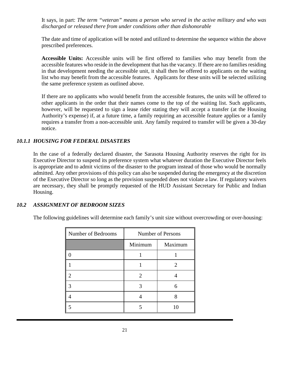It says, in part: *The term "veteran" means a person who served in the active military and who was discharged or released there from under conditions other than dishonorable*

The date and time of application will be noted and utilized to determine the sequence within the above prescribed preferences.

**Accessible Units:** Accessible units will be first offered to families who may benefit from the accessible features who reside in the development that has the vacancy. If there are no families residing in that development needing the accessible unit, it shall then be offered to applicants on the waiting list who may benefit from the accessible features. Applicants for these units will be selected utilizing the same preference system as outlined above.

If there are no applicants who would benefit from the accessible features, the units will be offered to other applicants in the order that their names come to the top of the waiting list. Such applicants, however, will be requested to sign a lease rider stating they will accept a transfer (at the Housing Authority's expense) if, at a future time, a family requiring an accessible feature applies or a family requires a transfer from a non-accessible unit. Any family required to transfer will be given a 30-day notice.

### <span id="page-25-0"></span>*10.1.1 HOUSING FOR FEDERAL DISASTERS*

In the case of a federally declared disaster, the Sarasota Housing Authority reserves the right for its Executive Director to suspend its preference system what whatever duration the Executive Director feels is appropriate and to admit victims of the disaster to the program instead of those who would be normally admitted. Any other provisions of this policy can also be suspended during the emergency at the discretion of the Executive Director so long as the provision suspended does not violate a law. If regulatory waivers are necessary, they shall be promptly requested of the HUD Assistant Secretary for Public and Indian Housing.

### <span id="page-25-1"></span>*10.2 ASSIGNMENT OF BEDROOM SIZES*

The following guidelines will determine each family's unit size without overcrowding or over-housing:

| Number of Bedrooms | <b>Number of Persons</b> |                       |
|--------------------|--------------------------|-----------------------|
|                    | Minimum                  | Maximum               |
|                    |                          |                       |
|                    |                          | $\mathcal{D}_{\cdot}$ |
|                    | $\mathcal{D}_{\cdot}$    |                       |
|                    |                          | 6                     |
|                    |                          | 8                     |
|                    |                          | 10                    |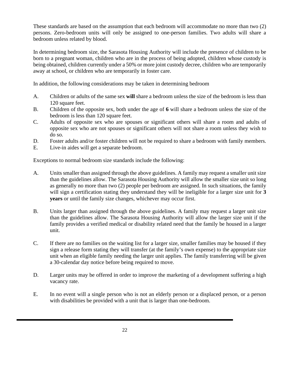These standards are based on the assumption that each bedroom will accommodate no more than two (2) persons. Zero-bedroom units will only be assigned to one-person families. Two adults will share a bedroom unless related by blood.

In determining bedroom size, the Sarasota Housing Authority will include the presence of children to be born to a pregnant woman, children who are in the process of being adopted, children whose custody is being obtained, children currently under a 50% or more joint custody decree, children who are temporarily away at school, or children who are temporarily in foster care.

In addition, the following considerations may be taken in determining bedroom

- A. Children or adults of the same sex **will** share a bedroom unless the size of the bedroom is less than 120 square feet.
- B. Children of the opposite sex, both under the age of **6** will share a bedroom unless the size of the bedroom is less than 120 square feet.
- C. Adults of opposite sex who are spouses or significant others will share a room and adults of opposite sex who are not spouses or significant others will not share a room unless they wish to do so.
- D. Foster adults and/or foster children will not be required to share a bedroom with family members.
- E. Live-in aides will get a separate bedroom.

Exceptions to normal bedroom size standards include the following:

- A. Units smaller than assigned through the above guidelines. A family may request a smaller unit size than the guidelines allow. The Sarasota Housing Authority will allow the smaller size unit so long as generally no more than two (2) people per bedroom are assigned. In such situations, the family will sign a certification stating they understand they will be ineligible for a larger size unit for **3 years** or until the family size changes, whichever may occur first.
- B. Units larger than assigned through the above guidelines. A family may request a larger unit size than the guidelines allow. The Sarasota Housing Authority will allow the larger size unit if the family provides a verified medical or disability related need that the family be housed in a larger unit.
- C. If there are no families on the waiting list for a larger size, smaller families may be housed if they sign a release form stating they will transfer (at the family's own expense) to the appropriate size unit when an eligible family needing the larger unit applies. The family transferring will be given a 30-calendar day notice before being required to move.
- D. Larger units may be offered in order to improve the marketing of a development suffering a high vacancy rate.
- E. In no event will a single person who is not an elderly person or a displaced person, or a person with disabilities be provided with a unit that is larger than one-bedroom.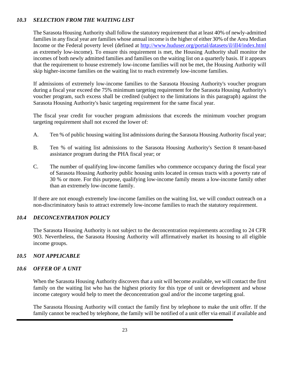### <span id="page-27-0"></span>*10.3 SELECTION FROM THE WAITING LIST*

The Sarasota Housing Authority shall follow the statutory requirement that at least 40% of newly-admitted families in any fiscal year are families whose annual income is the higher of either 30% of the Area Median Income or the Federal poverty level (defined at<http://www.huduser.org/portal/datasets/il/ill4/index.html> as extremely low-income). To ensure this requirement is met, the Housing Authority shall monitor the incomes of both newly admitted families and families on the waiting list on a quarterly basis. If it appears that the requirement to house extremely low-income families will not be met, the Housing Authority will skip higher-income families on the waiting list to reach extremely low-income families.

If admissions of extremely low-income families to the Sarasota Housing Authority's voucher program during a fiscal year exceed the 75% minimum targeting requirement for the Sarasota Housing Authority's voucher program, such excess shall be credited (subject to the limitations in this paragraph) against the Sarasota Housing Authority's basic targeting requirement for the same fiscal year.

The fiscal year credit for voucher program admissions that exceeds the minimum voucher program targeting requirement shall not exceed the lower of:

- A. Ten % of public housing waiting list admissions during the Sarasota Housing Authority fiscal year;
- B. Ten % of waiting list admissions to the Sarasota Housing Authority's Section 8 tenant-based assistance program during the PHA fiscal year; or
- C. The number of qualifying low-income families who commence occupancy during the fiscal year of Sarasota Housing Authority public housing units located in census tracts with a poverty rate of 30 % or more. For this purpose, qualifying low-income family means a low-income family other than an extremely low-income family.

If there are not enough extremely low-income families on the waiting list, we will conduct outreach on a non-discriminatory basis to attract extremely low-income families to reach the statutory requirement.

### <span id="page-27-1"></span>*10.4 DECONCENTRATION POLICY*

The Sarasota Housing Authority is not subject to the deconcentration requirements according to 24 CFR 903. Nevertheless, the Sarasota Housing Authority will affirmatively market its housing to all eligible income groups.

### <span id="page-27-2"></span>*10.5 NOT APPLICABLE*

#### <span id="page-27-3"></span>*10.6 OFFER OF A UNIT*

When the Sarasota Housing Authority discovers that a unit will become available, we will contact the first family on the waiting list who has the highest priority for this type of unit or development and whose income category would help to meet the deconcentration goal and/or the income targeting goal.

The Sarasota Housing Authority will contact the family first by telephone to make the unit offer. If the family cannot be reached by telephone, the family will be notified of a unit offer via email if available and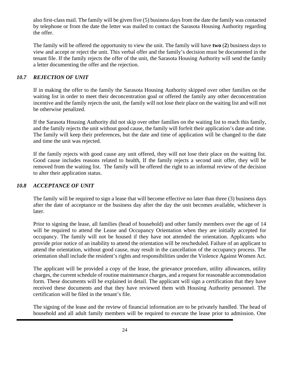also first-class mail. The family will be given five (5) business days from the date the family was contacted by telephone or from the date the letter was mailed to contact the Sarasota Housing Authority regarding the offer.

The family will be offered the opportunity to view the unit. The family will have **two** (**2**) business days to view and accept or reject the unit. This verbal offer and the family's decision must be documented in the tenant file. If the family rejects the offer of the unit, the Sarasota Housing Authority will send the family a letter documenting the offer and the rejection.

### <span id="page-28-0"></span>*10.7 REJECTION OF UNIT*

If in making the offer to the family the Sarasota Housing Authority skipped over other families on the waiting list in order to meet their deconcentration goal or offered the family any other deconcentration incentive and the family rejects the unit, the family will not lose their place on the waiting list and will not be otherwise penalized.

If the Sarasota Housing Authority did not skip over other families on the waiting list to reach this family, and the family rejects the unit without good cause, the family will forfeit their application's date and time. The family will keep their preferences, but the date and time of application will be changed to the date and time the unit was rejected.

If the family rejects with good cause any unit offered, they will not lose their place on the waiting list. Good cause includes reasons related to health, If the family rejects a second unit offer, they will be removed from the waiting list. The family will be offered the right to an informal review of the decision to alter their application status.

### <span id="page-28-1"></span>*10.8 ACCEPTANCE OF UNIT*

The family will be required to sign a lease that will become effective no later than three (3) business days after the date of acceptance or the business day after the day the unit becomes available, whichever is later.

Prior to signing the lease, all families (head of household) and other family members over the age of 14 will be required to attend the Lease and Occupancy Orientation when they are initially accepted for occupancy. The family will not be housed if they have not attended the orientation. Applicants who provide prior notice of an inability to attend the orientation will be rescheduled. Failure of an applicant to attend the orientation, without good cause, may result in the cancellation of the occupancy process. The orientation shall include the resident's rights and responsibilities under the Violence Against Women Act.

The applicant will be provided a copy of the lease, the grievance procedure, utility allowances, utility charges, the current schedule of routine maintenance charges, and a request for reasonable accommodation form. These documents will be explained in detail. The applicant will sign a certification that they have received these documents and that they have reviewed them with Housing Authority personnel. The certification will be filed in the tenant's file.

The signing of the lease and the review of financial information are to be privately handled. The head of household and all adult family members will be required to execute the lease prior to admission. One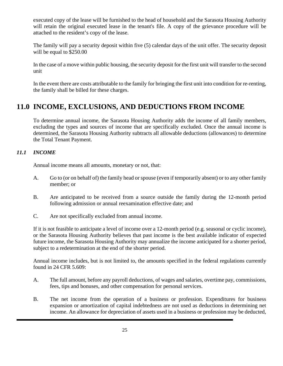executed copy of the lease will be furnished to the head of household and the Sarasota Housing Authority will retain the original executed lease in the tenant's file. A copy of the grievance procedure will be attached to the resident's copy of the lease.

The family will pay a security deposit within five (5) calendar days of the unit offer. The security deposit will be equal to \$250.00

In the case of a move within public housing, the security deposit for the first unit will transfer to the second unit

In the event there are costs attributable to the family for bringing the first unit into condition for re-renting, the family shall be billed for these charges.

# <span id="page-29-0"></span>**11.0 INCOME, EXCLUSIONS, AND DEDUCTIONS FROM INCOME**

To determine annual income, the Sarasota Housing Authority adds the income of all family members, excluding the types and sources of income that are specifically excluded. Once the annual income is determined, the Sarasota Housing Authority subtracts all allowable deductions (allowances) to determine the Total Tenant Payment.

# <span id="page-29-1"></span>*11.1 INCOME*

Annual income means all amounts, monetary or not, that:

- A. Go to (or on behalf of) the family head or spouse (even if temporarily absent) or to any other family member; or
- B. Are anticipated to be received from a source outside the family during the 12-month period following admission or annual reexamination effective date; and
- C. Are not specifically excluded from annual income.

If it is not feasible to anticipate a level of income over a 12-month period (e.g. seasonal or cyclic income), or the Sarasota Housing Authority believes that past income is the best available indicator of expected future income, the Sarasota Housing Authority may annualize the income anticipated for a shorter period, subject to a redetermination at the end of the shorter period.

Annual income includes, but is not limited to, the amounts specified in the federal regulations currently found in 24 CFR 5.609:

- A. The full amount, before any payroll deductions, of wages and salaries, overtime pay, commissions, fees, tips and bonuses, and other compensation for personal services.
- B. The net income from the operation of a business or profession. Expenditures for business expansion or amortization of capital indebtedness are not used as deductions in determining net income. An allowance for depreciation of assets used in a business or profession may be deducted,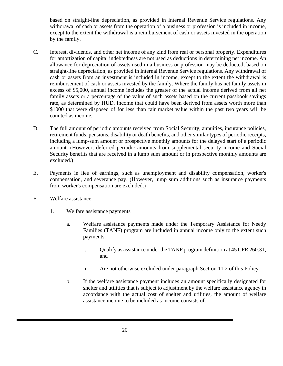based on straight-line depreciation, as provided in Internal Revenue Service regulations. Any withdrawal of cash or assets from the operation of a business or profession is included in income, except to the extent the withdrawal is a reimbursement of cash or assets invested in the operation by the family.

- C. Interest, dividends, and other net income of any kind from real or personal property. Expenditures for amortization of capital indebtedness are not used as deductions in determining net income. An allowance for depreciation of assets used in a business or profession may be deducted, based on straight-line depreciation, as provided in Internal Revenue Service regulations. Any withdrawal of cash or assets from an investment is included in income, except to the extent the withdrawal is reimbursement of cash or assets invested by the family. Where the family has net family assets in excess of \$5,000, annual income includes the greater of the actual income derived from all net family assets or a percentage of the value of such assets based on the current passbook savings rate, as determined by HUD. Income that could have been derived from assets worth more than \$1000 that were disposed of for less than fair market value within the past two years will be counted as income.
- D. The full amount of periodic amounts received from Social Security, annuities, insurance policies, retirement funds, pensions, disability or death benefits, and other similar types of periodic receipts, including a lump-sum amount or prospective monthly amounts for the delayed start of a periodic amount. (However, deferred periodic amounts from supplemental security income and Social Security benefits that are received in a lump sum amount or in prospective monthly amounts are excluded.)
- E. Payments in lieu of earnings, such as unemployment and disability compensation, worker's compensation, and severance pay. (However, lump sum additions such as insurance payments from worker's compensation are excluded.)
- F. Welfare assistance
	- 1. Welfare assistance payments
		- a. Welfare assistance payments made under the Temporary Assistance for Needy Families (TANF) program are included in annual income only to the extent such payments:
			- i. Qualify as assistance under the TANF program definition at 45 CFR 260.31; and
			- ii. Are not otherwise excluded under paragraph Section 11.2 of this Policy.
		- b. If the welfare assistance payment includes an amount specifically designated for shelter and utilities that is subject to adjustment by the welfare assistance agency in accordance with the actual cost of shelter and utilities, the amount of welfare assistance income to be included as income consists of: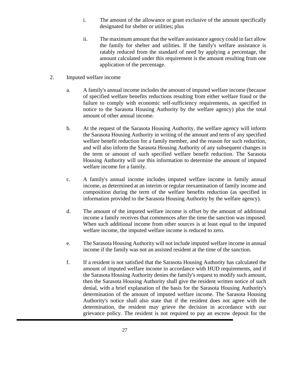- i. The amount of the allowance or grant exclusive of the amount specifically designated for shelter or utilities; plus
- ii. The maximum amount that the welfare assistance agency could in fact allow the family for shelter and utilities. If the family's welfare assistance is ratably reduced from the standard of need by applying a percentage, the amount calculated under this requirement is the amount resulting from one application of the percentage.
- 2. Imputed welfare income
	- a. A family's annual income includes the amount of imputed welfare income (because of specified welfare benefits reductions resulting from either welfare fraud or the failure to comply with economic self-sufficiency requirements, as specified in notice to the Sarasota Housing Authority by the welfare agency) plus the total amount of other annual income.
	- b. At the request of the Sarasota Housing Authority, the welfare agency will inform the Sarasota Housing Authority in writing of the amount and term of any specified welfare benefit reduction for a family member, and the reason for such reduction, and will also inform the Sarasota Housing Authority of any subsequent changes in the term or amount of such specified welfare benefit reduction. The Sarasota Housing Authority will use this information to determine the amount of imputed welfare income for a family.
	- c. A family's annual income includes imputed welfare income in family annual income, as determined at an interim or regular reexamination of family income and composition during the term of the welfare benefits reduction (as specified in information provided to the Sarasota Housing Authority by the welfare agency).
	- d. The amount of the imputed welfare income is offset by the amount of additional income a family receives that commences after the time the sanction was imposed. When such additional income from other sources is at least equal to the imputed welfare income, the imputed welfare income is reduced to zero.
	- e. The Sarasota Housing Authority will not include imputed welfare income in annual income if the family was not an assisted resident at the time of the sanction.
	- f. If a resident is not satisfied that the Sarasota Housing Authority has calculated the amount of imputed welfare income in accordance with HUD requirements, and if the Sarasota Housing Authority denies the family's request to modify such amount, then the Sarasota Housing Authority shall give the resident written notice of such denial, with a brief explanation of the basis for the Sarasota Housing Authority's determination of the amount of imputed welfare income. The Sarasota Housing Authority's notice shall also state that if the resident does not agree with the determination, the resident may grieve the decision in accordance with our grievance policy. The resident is not required to pay an escrow deposit for the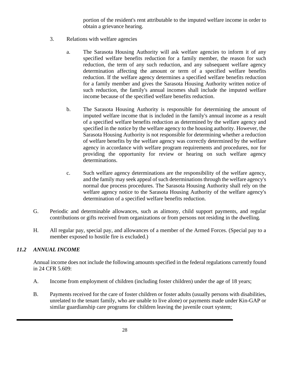portion of the resident's rent attributable to the imputed welfare income in order to obtain a grievance hearing.

- 3. Relations with welfare agencies
	- a. The Sarasota Housing Authority will ask welfare agencies to inform it of any specified welfare benefits reduction for a family member, the reason for such reduction, the term of any such reduction, and any subsequent welfare agency determination affecting the amount or term of a specified welfare benefits reduction. If the welfare agency determines a specified welfare benefits reduction for a family member and gives the Sarasota Housing Authority written notice of such reduction, the family's annual incomes shall include the imputed welfare income because of the specified welfare benefits reduction.
	- b. The Sarasota Housing Authority is responsible for determining the amount of imputed welfare income that is included in the family's annual income as a result of a specified welfare benefits reduction as determined by the welfare agency and specified in the notice by the welfare agency to the housing authority. However, the Sarasota Housing Authority is not responsible for determining whether a reduction of welfare benefits by the welfare agency was correctly determined by the welfare agency in accordance with welfare program requirements and procedures, nor for providing the opportunity for review or hearing on such welfare agency determinations.
	- c. Such welfare agency determinations are the responsibility of the welfare agency, and the family may seek appeal of such determinations through the welfare agency's normal due process procedures. The Sarasota Housing Authority shall rely on the welfare agency notice to the Sarasota Housing Authority of the welfare agency's determination of a specified welfare benefits reduction.
- G. Periodic and determinable allowances, such as alimony, child support payments, and regular contributions or gifts received from organizations or from persons not residing in the dwelling.
- H. All regular pay, special pay, and allowances of a member of the Armed Forces. (Special pay to a member exposed to hostile fire is excluded.)

# <span id="page-32-0"></span>*11.2 ANNUAL INCOME*

Annual income does not include the following amounts specified in the federal regulations currently found in 24 CFR 5.609:

- A. Income from employment of children (including foster children) under the age of 18 years;
- B. Payments received for the care of foster children or foster adults (usually persons with disabilities, unrelated to the tenant family, who are unable to live alone) or payments made under Kin-GAP or similar guardianship care programs for children leaving the juvenile court system;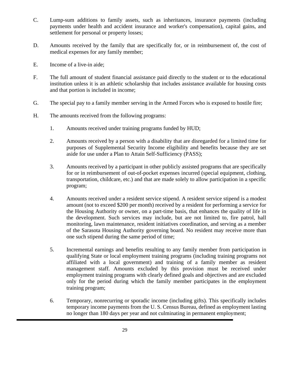- C. Lump-sum additions to family assets, such as inheritances, insurance payments (including payments under health and accident insurance and worker's compensation), capital gains, and settlement for personal or property losses;
- D. Amounts received by the family that are specifically for, or in reimbursement of, the cost of medical expenses for any family member;
- E. Income of a live-in aide;
- F. The full amount of student financial assistance paid directly to the student or to the educational institution unless it is an athletic scholarship that includes assistance available for housing costs and that portion is included in income;
- G. The special pay to a family member serving in the Armed Forces who is exposed to hostile fire;
- H. The amounts received from the following programs:
	- 1. Amounts received under training programs funded by HUD;
	- 2. Amounts received by a person with a disability that are disregarded for a limited time for purposes of Supplemental Security Income eligibility and benefits because they are set aside for use under a Plan to Attain Self-Sufficiency (PASS);
	- 3. Amounts received by a participant in other publicly assisted programs that are specifically for or in reimbursement of out-of-pocket expenses incurred (special equipment, clothing, transportation, childcare, etc.) and that are made solely to allow participation in a specific program;
	- 4. Amounts received under a resident service stipend. A resident service stipend is a modest amount (not to exceed \$200 per month) received by a resident for performing a service for the Housing Authority or owner, on a part-time basis, that enhances the quality of life in the development. Such services may include, but are not limited to, fire patrol, hall monitoring, lawn maintenance, resident initiatives coordination, and serving as a member of the Sarasota Housing Authority governing board. No resident may receive more than one such stipend during the same period of time;
	- 5. Incremental earnings and benefits resulting to any family member from participation in qualifying State or local employment training programs (including training programs not affiliated with a local government) and training of a family member as resident management staff. Amounts excluded by this provision must be received under employment training programs with clearly defined goals and objectives and are excluded only for the period during which the family member participates in the employment training program;
	- 6. Temporary, nonrecurring or sporadic income (including gifts). This specifically includes temporary income payments from the U. S. Census Bureau, defined as employment lasting no longer than 180 days per year and not culminating in permanent employment;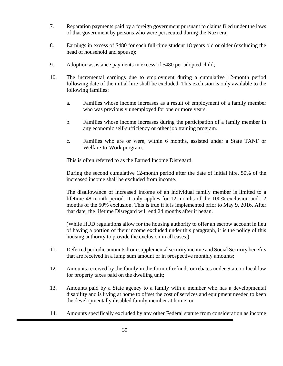- 7. Reparation payments paid by a foreign government pursuant to claims filed under the laws of that government by persons who were persecuted during the Nazi era;
- 8. Earnings in excess of \$480 for each full-time student 18 years old or older (excluding the head of household and spouse);
- 9. Adoption assistance payments in excess of \$480 per adopted child;
- 10. The incremental earnings due to employment during a cumulative 12-month period following date of the initial hire shall be excluded. This exclusion is only available to the following families:
	- a. Families whose income increases as a result of employment of a family member who was previously unemployed for one or more years.
	- b. Families whose income increases during the participation of a family member in any economic self-sufficiency or other job training program.
	- c. Families who are or were, within 6 months, assisted under a State TANF or Welfare-to-Work program.

This is often referred to as the Earned Income Disregard.

During the second cumulative 12-month period after the date of initial hire, 50% of the increased income shall be excluded from income.

The disallowance of increased income of an individual family member is limited to a lifetime 48-month period. It only applies for 12 months of the 100% exclusion and 12 months of the 50% exclusion. This is true if it is implemented prior to May 9, 2016. After that date, the lifetime Disregard will end 24 months after it began.

(While HUD regulations allow for the housing authority to offer an escrow account in lieu of having a portion of their income excluded under this paragraph, it is the policy of this housing authority to provide the exclusion in all cases.)

- 11. Deferred periodic amounts from supplemental security income and Social Security benefits that are received in a lump sum amount or in prospective monthly amounts;
- 12. Amounts received by the family in the form of refunds or rebates under State or local law for property taxes paid on the dwelling unit;
- 13. Amounts paid by a State agency to a family with a member who has a developmental disability and is living at home to offset the cost of services and equipment needed to keep the developmentally disabled family member at home; or
- 14. Amounts specifically excluded by any other Federal statute from consideration as income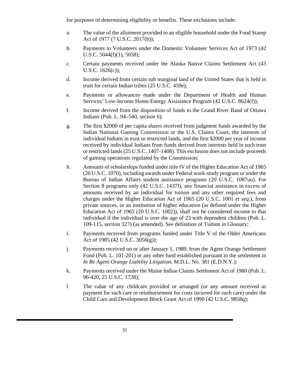for purposes of determining eligibility or benefits. These exclusions include:

- a. The value of the allotment provided to an eligible household under the Food Stamp Act of 1977 (7 U.S.C. 2017(b));
- b. Payments to Volunteers under the Domestic Volunteer Services Act of 1973 (42 U.S.C. 5044(f)(1), 5058);
- c. Certain payments received under the Alaska Native Claims Settlement Act (43 U.S.C. 1626(c));
- d. Income derived from certain sub marginal land of the United States that is held in trust for certain Indian tribes (25 U.S.C. 459e);
- e. Payments or allowances made under the Department of Health and Human Services' Low-Income Home Energy Assistance Program (42 U.S.C. 8624(f));
- f. Income derived from the disposition of funds to the Grand River Band of Ottawa Indians (Pub. L. 94–540, section 6);
- g. The first \$2000 of per capita shares received from judgment funds awarded by the Indian National Gaming Commission or the U.S. Claims Court, the interests of individual Indians in trust or restricted lands, and the first \$2000 per year of income received by individual Indians from funds derived from interests held in such trust or restricted lands (25 U.S.C. 1407-1408). This exclusion does not include proceeds of gaming operations regulated by the Commission;
- h. Amounts of scholarships funded under title IV of the Higher Education Act of 1965 (20 U.S.C. 1070), including awards under Federal work-study program or under the Bureau of Indian Affairs student assistance programs (20 U.S.C. 1087uu). For Section 8 programs only (42 U.S.C. 1437f), any financial assistance in excess of amounts received by an individual for tuition and any other required fees and charges under the Higher Education Act of 1965 (20 U.S.C. 1001 *et seq.*), from private sources, or an institution of higher education (as defined under the Higher Education Act of 1965 (20 U.S.C. 1002)), shall not be considered income to that individual if the individual is over the age of 23 with dependent children (Pub. L. 109-115, section 327) (as amended). See definition of Tuition in Glossary;
- i. Payments received from programs funded under Title V of the Older Americans Act of 1985 (42 U.S.C. 3056(g));
- j. Payments received on or after January 1, 1989, from the Agent Orange Settlement Fund (Pub. L. 101-201) or any other fund established pursuant to the settlement in *In Re Agent Orange Liability Litigation*, M.D.L. No. 381 (E.D.N.Y.);
- k. Payments received under the Maine Indian Claims Settlement Act of 1980 (Pub. L. 96-420, 25 U.S.C. 1728);
- l The value of any childcare provided or arranged (or any amount received as payment for such care or reimbursement for costs incurred for such care) under the Child Care and Development Block Grant Act of 1990 (42 U.S.C. 9858q);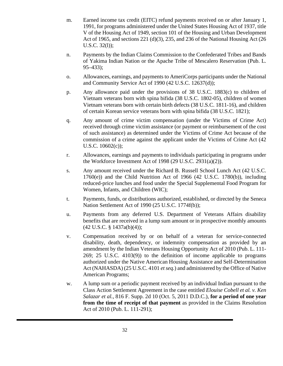- m. Earned income tax credit (EITC) refund payments received on or after January 1, 1991, for programs administered under the United States Housing Act of 1937, title V of the Housing Act of 1949, section 101 of the Housing and Urban Development Act of 1965, and sections 221 (d)(3), 235, and 236 of the National Housing Act (26 U.S.C. 32(l));
- n. Payments by the Indian Claims Commission to the Confederated Tribes and Bands of Yakima Indian Nation or the Apache Tribe of Mescalero Reservation (Pub. L. 95–433);
- o. Allowances, earnings, and payments to AmeriCorps participants under the National and Community Service Act of 1990 (42 U.S.C. 12637(d));
- p. Any allowance paid under the provisions of 38 U.S.C. 1883(c) to children of Vietnam veterans born with spina bifida (38 U.S.C. 1802-05), children of women Vietnam veterans born with certain birth defects (38 U.S.C. 1811-16), and children of certain Korean service veterans born with spina bifida (38 U.S.C. 1821);
- q. Any amount of crime victim compensation (under the Victims of Crime Act) received through crime victim assistance (or payment or reimbursement of the cost of such assistance) as determined under the Victims of Crime Act because of the commission of a crime against the applicant under the Victims of Crime Act (42 U.S.C. 10602(c));
- r. Allowances, earnings and payments to individuals participating in programs under the Workforce Investment Act of 1998 (29 U.S.C. 2931(a)(2)).
- s. Any amount received under the Richard B. Russell School Lunch Act (42 U.S.C. 1760(e)) and the Child Nutrition Act of 1966 (42 U.S.C. 1780(b)), including reduced-price lunches and food under the Special Supplemental Food Program for Women, Infants, and Children (WIC);
- t. Payments, funds, or distributions authorized, established, or directed by the Seneca Nation Settlement Act of 1990 (25 U.S.C. 1774f(b));
- u. Payments from any deferred U.S. Department of Veterans Affairs disability benefits that are received in a lump sum amount or in prospective monthly amounts (42 U.S.C. § 1437a(b)(4));
- v. Compensation received by or on behalf of a veteran for service-connected disability, death, dependency, or indemnity compensation as provided by an amendment by the Indian Veterans Housing Opportunity Act of 2010 (Pub. L. 111- 269; 25 U.S.C. 4103(9)) to the definition of income applicable to programs authorized under the Native American Housing Assistance and Self-Determination Act (NAHASDA) (25 U.S.C. 4101 *et seq.*) and administered by the Office of Native American Programs;
- w. A lump sum or a periodic payment received by an individual Indian pursuant to the Class Action Settlement Agreement in the case entitled *Elouise Cobell et al. v. Ken Salazar et al.*, 816 F. Supp. 2d 10 (Oct. 5, 2011 D.D.C.), **for a period of one year from the time of receipt of that payment** as provided in the Claims Resolution Act of 2010 (Pub. L. 111-291);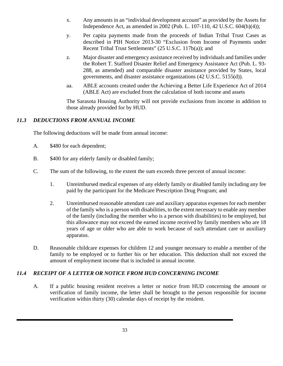- x. Any amounts in an "individual development account" as provided by the Assets for Independence Act, as amended in 2002 (Pub. L. 107-110, 42 U.S.C. 604(h)(4));
- y. Per capita payments made from the proceeds of Indian Tribal Trust Cases as described in PIH Notice 2013-30 "Exclusion from Income of Payments under Recent Tribal Trust Settlements" (25 U.S.C. 117b(a)); and
- z. Major disaster and emergency assistance received by individuals and families under the Robert T. Stafford Disaster Relief and Emergency Assistance Act (Pub. L. 93- 288, as amended) and comparable disaster assistance provided by States, local governments, and disaster assistance organizations (42 U.S.C. 5155(d)).
- aa. ABLE accounts created under the Achieving a Better Life Experience Act of 2014 (ABLE Act) are excluded from the calculation of both income and assets

The Sarasota Housing Authority will not provide exclusions from income in addition to those already provided for by HUD.

## *11.3 DEDUCTIONS FROM ANNUAL INCOME*

The following deductions will be made from annual income:

- A. \$480 for each dependent;
- B. \$400 for any elderly family or disabled family;
- C. The sum of the following, to the extent the sum exceeds three percent of annual income:
	- 1. Unreimbursed medical expenses of any elderly family or disabled family including any fee paid by the participant for the Medicare Prescription Drug Program; and
	- 2. Unreimbursed reasonable attendant care and auxiliary apparatus expenses for each member of the family who is a person with disabilities, to the extent necessary to enable any member of the family (including the member who is a person with disabilities) to be employed, but this allowance may not exceed the earned income received by family members who are 18 years of age or older who are able to work because of such attendant care or auxiliary apparatus.
- D. Reasonable childcare expenses for children 12 and younger necessary to enable a member of the family to be employed or to further his or her education. This deduction shall not exceed the amount of employment income that is included in annual income.

#### *11.4 RECEIPT OF A LETTER OR NOTICE FROM HUD CONCERNING INCOME*

A. If a public housing resident receives a letter or notice from HUD concerning the amount or verification of family income, the letter shall be brought to the person responsible for income verification within thirty (30) calendar days of receipt by the resident.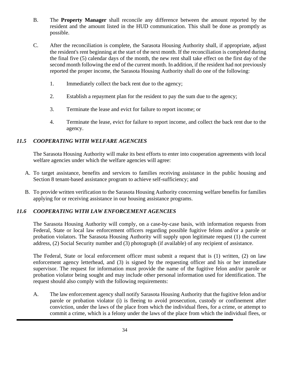- B. The **Property Manager** shall reconcile any difference between the amount reported by the resident and the amount listed in the HUD communication. This shall be done as promptly as possible.
- C. After the reconciliation is complete, the Sarasota Housing Authority shall, if appropriate, adjust the resident's rent beginning at the start of the next month. If the reconciliation is completed during the final five (5) calendar days of the month, the new rent shall take effect on the first day of the second month following the end of the current month. In addition, if the resident had not previously reported the proper income, the Sarasota Housing Authority shall do one of the following:
	- 1. Immediately collect the back rent due to the agency;
	- 2. Establish a repayment plan for the resident to pay the sum due to the agency;
	- 3. Terminate the lease and evict for failure to report income; or
	- 4. Terminate the lease, evict for failure to report income, and collect the back rent due to the agency.

## *11.5 COOPERATING WITH WELFARE AGENCIES*

The Sarasota Housing Authority will make its best efforts to enter into cooperation agreements with local welfare agencies under which the welfare agencies will agree:

- A. To target assistance, benefits and services to families receiving assistance in the public housing and Section 8 tenant-based assistance program to achieve self-sufficiency; and
- B. To provide written verification to the Sarasota Housing Authority concerning welfare benefits for families applying for or receiving assistance in our housing assistance programs.

## *11.6 COOPERATING WITH LAW ENFORCEMENT AGENCIES*

The Sarasota Housing Authority will comply, on a case-by-case basis, with information requests from Federal, State or local law enforcement officers regarding possible fugitive felons and/or a parole or probation violators. The Sarasota Housing Authority will supply upon legitimate request (1) the current address, (2) Social Security number and (3) photograph (if available) of any recipient of assistance.

The Federal, State or local enforcement officer must submit a request that is (1) written, (2) on law enforcement agency letterhead, and (3) is signed by the requesting officer and his or her immediate supervisor. The request for information must provide the name of the fugitive felon and/or parole or probation violator being sought and may include other personal information used for identification. The request should also comply with the following requirements:

A. The law enforcement agency shall notify Sarasota Housing Authority that the fugitive felon and/or parole or probation violator (i) is fleeing to avoid prosecution, custody or confinement after conviction, under the laws of the place from which the individual flees, for a crime, or attempt to commit a crime, which is a felony under the laws of the place from which the individual flees, or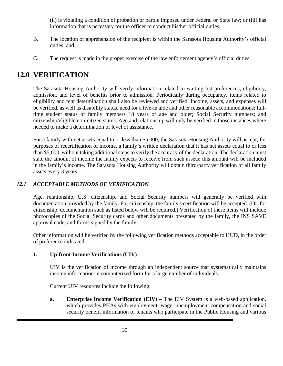(ii) is violating a condition of probation or parole imposed under Federal or State law; or (iii) has information that is necessary for the officer to conduct his/her official duties;

- B. The location or apprehension of the recipient is within the Sarasota Housing Authority's official duties; and,
- C. The request is made in the proper exercise of the law enforcement agency's official duties.

# **12.0 VERIFICATION**

The Sarasota Housing Authority will verify information related to waiting list preferences, eligibility, admission, and level of benefits prior to admission. Periodically during occupancy, items related to eligibility and rent determination shall also be reviewed and verified. Income, assets, and expenses will be verified, as well as disability status, need for a live-in aide and other reasonable accommodations; fulltime student status of family members 18 years of age and older; Social Security numbers; and citizenship/eligible non-citizen status. Age and relationship will only be verified in those instances where needed to make a determination of level of assistance.

For a family with net assets equal to or less than \$5,000, the Sarasota Housing Authority will accept, for purposes of recertification of income, a family's written declaration that it has net assets equal to or less than \$5,000, without taking additional steps to verify the accuracy of the declaration. The declaration must state the amount of income the family expects to receive from such assets; this amount will be included in the family's income. The Sarasota Housing Authority will obtain third-party verification of all family assets every 3 years.

## *12.1 ACCEPTABLE METHODS OF VERIFICATION*

Age, relationship, U.S. citizenship, and Social Security numbers will generally be verified with documentation provided by the family. For citizenship, the family's certification will be accepted. (Or, for citizenship, documentation such as listed below will be required.) Verification of these items will include photocopies of the Social Security cards and other documents presented by the family, the INS SAVE approval code, and forms signed by the family.

Other information will be verified by the following verification methods acceptable to HUD, in the order of preference indicated:

## **1. Up-front Income Verifications (UIV)**

UIV is the verification of income through an independent source that systematically maintains income information in computerized form for a large number of individuals.

Current UIV resources include the following:

**a. Enterprise Income Verification (EIV)** – The EIV System is a web-based application, which provides PHAs with employment, wage, unemployment compensation and social security benefit information of tenants who participate in the Public Housing and various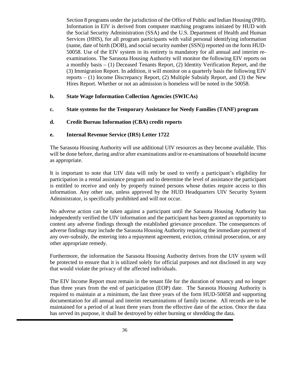Section 8 programs under the jurisdiction of the Office of Public and Indian Housing (PIH)**.**  Information in EIV is derived from computer matching programs initiated by HUD with the Social Security Administration (SSA) and the U.S. Department of Health and Human Services (HHS), for all program participants with valid personal identifying information (name, date of birth (DOB), and social security number (SSN)) reported on the form HUD-50058. Use of the EIV system in its entirety is mandatory for all annual and interim reexaminations. The Sarasota Housing Authority will monitor the following EIV reports on a monthly basis – (1) Deceased Tenants Report, (2) Identity Verification Report, and the (3) Immigration Report. In addition, it will monitor on a quarterly basis the following EIV reports – (1) Income Discrepancy Report, (2) Multiple Subsidy Report, and (3) the New Hires Report. Whether or not an admission is homeless will be noted in the 50058.

#### **b. State Wage Information Collection Agencies (SWICAs)**

- **c. State systems for the Temporary Assistance for Needy Families (TANF) program**
- **d. Credit Bureau Information (CBA) credit reports**

#### **e. Internal Revenue Service (IRS) Letter 1722**

The Sarasota Housing Authority will use additional UIV resources as they become available. This will be done before, during and/or after examinations and/or re-examinations of household income as appropriate.

It is important to note that UIV data will only be used to verify a participant's eligibility for participation in a rental assistance program and to determine the level of assistance the participant is entitled to receive and only by properly trained persons whose duties require access to this information. Any other use, unless approved by the HUD Headquarters UIV Security System Administrator*,* is specifically prohibited and will not occur.

No adverse action can be taken against a participant until the Sarasota Housing Authority has independently verified the UIV information and the participant has been granted an opportunity to contest any adverse findings through the established grievance procedure. The consequences of adverse findings may include the Sarasota Housing Authority requiring the immediate payment of any over-subsidy, the entering into a repayment agreement, eviction, criminal prosecution, or any other appropriate remedy.

Furthermore, the information the Sarasota Housing Authority derives from the UIV system will be protected to ensure that it is utilized solely for official purposes and not disclosed in any way that would violate the privacy of the affected individuals.

The EIV Income Report must remain in the tenant file for the duration of tenancy and no longer than three years from the end of participation (EOP) date. The Sarasota Housing Authority is required to maintain at a minimum, the last three years of the form HUD-50058 and supporting documentation for all annual and interim reexaminations of family income. All records are to be maintained for a period of at least three years from the effective date of the action. Once the data has served its purpose, it shall be destroyed by either burning or shredding the data.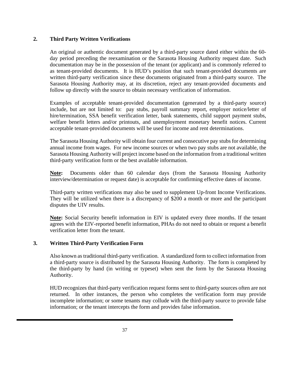#### **2. Third Party Written Verifications**

An original or authentic document generated by a third-party source dated either within the 60 day period preceding the reexamination or the Sarasota Housing Authority request date. Such documentation may be in the possession of the tenant (or applicant) and is commonly referred to as tenant-provided documents. It is HUD's position that such tenant-provided documents are written third-party verification since these documents originated from a third-party source. The Sarasota Housing Authority may, at its discretion, reject any tenant-provided documents and follow up directly with the source to obtain necessary verification of information.

Examples of acceptable tenant-provided documentation (generated by a third-party source) include, but are not limited to: pay stubs, payroll summary report, employer notice/letter of hire/termination, SSA benefit verification letter, bank statements, child support payment stubs, welfare benefit letters and/or printouts, and unemployment monetary benefit notices. Current acceptable tenant-provided documents will be used for income and rent determinations.

The Sarasota Housing Authority will obtain four current and consecutive pay stubs for determining annual income from wages. For new income sources or when two pay stubs are not available, the Sarasota Housing Authority will project income based on the information from a traditional written third-party verification form or the best available information.

**Note:** Documents older than 60 calendar days (from the Sarasota Housing Authority interview/determination or request date) is acceptable for confirming effective dates of income.

Third-party written verifications may also be used to supplement Up-front Income Verifications. They will be utilized when there is a discrepancy of \$200 a month or more and the participant disputes the UIV results.

**Note:** Social Security benefit information in EIV is updated every three months. If the tenant agrees with the EIV-reported benefit information, PHAs do not need to obtain or request a benefit verification letter from the tenant.

#### **3. Written Third-Party Verification Form**

Also known as traditional third-party verification. A standardized form to collect information from a third-party source is distributed by the Sarasota Housing Authority. The form is completed by the third-party by hand (in writing or typeset) when sent the form by the Sarasota Housing Authority.

HUD recognizes that third-party verification request forms sent to third-party sources often are not returned. In other instances, the person who completes the verification form may provide incomplete information; or some tenants may collude with the third-party source to provide false information; or the tenant intercepts the form and provides false information.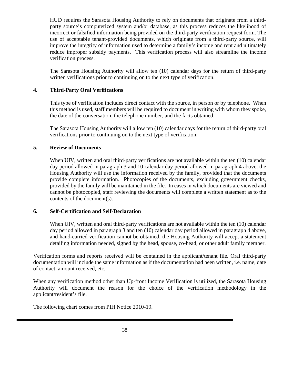HUD requires the Sarasota Housing Authority to rely on documents that originate from a thirdparty source's computerized system and/or database, as this process reduces the likelihood of incorrect or falsified information being provided on the third-party verification request form. The use of acceptable tenant-provided documents, which originate from a third-party source, will improve the integrity of information used to determine a family's income and rent and ultimately reduce improper subsidy payments. This verification process will also streamline the income verification process.

The Sarasota Housing Authority will allow ten (10) calendar days for the return of third-party written verifications prior to continuing on to the next type of verification.

#### **4. Third-Party Oral Verifications**

This type of verification includes direct contact with the source, in person or by telephone. When this method is used, staff members will be required to document in writing with whom they spoke, the date of the conversation, the telephone number, and the facts obtained.

The Sarasota Housing Authority will allow ten (10) calendar days for the return of third-party oral verifications prior to continuing on to the next type of verification.

#### **5. Review of Documents**

When UIV, written and oral third-party verifications are not available within the ten (10) calendar day period allowed in paragraph 3 and 10 calendar day period allowed in paragraph 4 above, the Housing Authority will use the information received by the family, provided that the documents provide complete information. Photocopies of the documents, excluding government checks, provided by the family will be maintained in the file. In cases in which documents are viewed and cannot be photocopied, staff reviewing the documents will complete a written statement as to the contents of the document(s).

#### **6. Self-Certification and Self-Declaration**

When UIV, written and oral third-party verifications are not available within the ten (10) calendar day period allowed in paragraph 3 and ten (10) calendar day period allowed in paragraph 4 above, and hand-carried verification cannot be obtained, the Housing Authority will accept a statement detailing information needed, signed by the head, spouse, co-head, or other adult family member.

Verification forms and reports received will be contained in the applicant/tenant file. Oral third-party documentation will include the same information as if the documentation had been written, i.e. name, date of contact, amount received, etc.

When any verification method other than Up-front Income Verification is utilized, the Sarasota Housing Authority will document the reason for the choice of the verification methodology in the applicant/resident's file.

The following chart comes from PIH Notice 2010-19.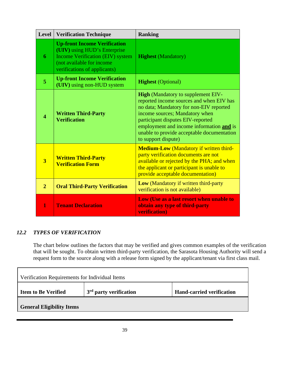| <b>Level</b>            | <b>Verification Technique</b>                                                                                                                                               | <b>Ranking</b>                                                                                                                                                                                                                                                                                                           |
|-------------------------|-----------------------------------------------------------------------------------------------------------------------------------------------------------------------------|--------------------------------------------------------------------------------------------------------------------------------------------------------------------------------------------------------------------------------------------------------------------------------------------------------------------------|
| 6                       | <b>Up-front Income Verification</b><br>(UIV) using HUD's Enterprise<br><b>Income Verification (EIV) system</b><br>(not available for income<br>verifications of applicants) | <b>Highest</b> (Mandatory)                                                                                                                                                                                                                                                                                               |
| $\overline{5}$          | <b>Up-front Income Verification</b><br>(UIV) using non-HUD system                                                                                                           | <b>Highest</b> (Optional)                                                                                                                                                                                                                                                                                                |
| $\overline{\mathbf{4}}$ | <b>Written Third-Party</b><br><b>Verification</b>                                                                                                                           | <b>High</b> (Mandatory to supplement EIV-<br>reported income sources and when EIV has<br>no data; Mandatory for non-EIV reported<br>income sources; Mandatory when<br>participant disputes EIV-reported<br>employment and income information and is<br>unable to provide acceptable documentation<br>to support dispute) |
| $\overline{3}$          | <b>Written Third-Party</b><br><b>Verification Form</b>                                                                                                                      | <b>Medium-Low (Mandatory if written third-</b><br>party verification documents are not<br>available or rejected by the PHA; and when<br>the applicant or participant is unable to<br>provide acceptable documentation)                                                                                                   |
| $\overline{2}$          | <b>Oral Third-Party Verification</b>                                                                                                                                        | Low (Mandatory if written third-party<br>verification is not available)                                                                                                                                                                                                                                                  |
| 1                       | <b>Tenant Declaration</b>                                                                                                                                                   | Low (Use as a last resort when unable to<br>obtain any type of third-party<br>verification)                                                                                                                                                                                                                              |

## *12.2 TYPES OF VERIFICATION*

The chart below outlines the factors that may be verified and gives common examples of the verification that will be sought. To obtain written third-party verification, the Sarasota Housing Authority will send a request form to the source along with a release form signed by the applicant/tenant via first class mail.

 $\overline{\phantom{a}}$ 

| Verification Requirements for Individual Items |                                    |                                  |  |  |  |
|------------------------------------------------|------------------------------------|----------------------------------|--|--|--|
| <b>Item to Be Verified</b>                     | 3 <sup>rd</sup> party verification | <b>Hand-carried verification</b> |  |  |  |
| <b>General Eligibility Items</b>               |                                    |                                  |  |  |  |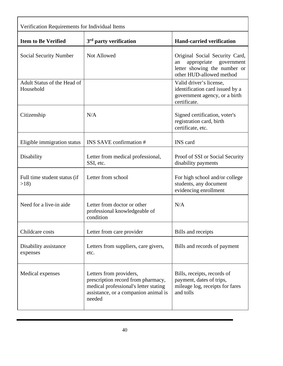| Verification Requirements for Individual Items |                                                                                                                                                          |                                                                                                                               |  |  |  |
|------------------------------------------------|----------------------------------------------------------------------------------------------------------------------------------------------------------|-------------------------------------------------------------------------------------------------------------------------------|--|--|--|
| <b>Item to Be Verified</b>                     | 3 <sup>rd</sup> party verification                                                                                                                       | <b>Hand-carried verification</b>                                                                                              |  |  |  |
| Social Security Number                         | <b>Not Allowed</b>                                                                                                                                       | Original Social Security Card,<br>appropriate<br>government<br>an<br>letter showing the number or<br>other HUD-allowed method |  |  |  |
| Adult Status of the Head of<br>Household       |                                                                                                                                                          | Valid driver's license,<br>identification card issued by a<br>government agency, or a birth<br>certificate.                   |  |  |  |
| Citizenship                                    | N/A                                                                                                                                                      | Signed certification, voter's<br>registration card, birth<br>certificate, etc.                                                |  |  |  |
| Eligible immigration status                    | INS SAVE confirmation #                                                                                                                                  | <b>INS</b> card                                                                                                               |  |  |  |
| Disability                                     | Letter from medical professional,<br>SSI, etc.                                                                                                           | Proof of SSI or Social Security<br>disability payments                                                                        |  |  |  |
| Full time student status (if<br>>18            | Letter from school                                                                                                                                       | For high school and/or college<br>students, any document<br>evidencing enrollment                                             |  |  |  |
| Need for a live-in aide                        | Letter from doctor or other<br>professional knowledgeable of<br>condition                                                                                | N/A                                                                                                                           |  |  |  |
| Childcare costs                                | Letter from care provider                                                                                                                                | Bills and receipts                                                                                                            |  |  |  |
| Disability assistance<br>expenses              | Letters from suppliers, care givers,<br>etc.                                                                                                             | Bills and records of payment                                                                                                  |  |  |  |
| Medical expenses                               | Letters from providers,<br>prescription record from pharmacy,<br>medical professional's letter stating<br>assistance, or a companion animal is<br>needed | Bills, receipts, records of<br>payment, dates of trips,<br>mileage log, receipts for fares<br>and tolls                       |  |  |  |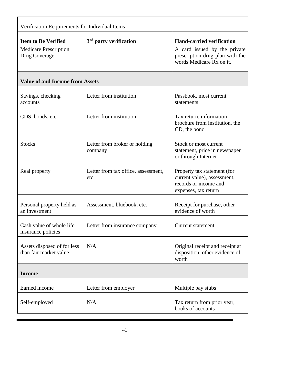| Verification Requirements for Individual Items        |                                             |                                                                                                             |  |  |  |
|-------------------------------------------------------|---------------------------------------------|-------------------------------------------------------------------------------------------------------------|--|--|--|
| <b>Item to Be Verified</b>                            | 3 <sup>rd</sup> party verification          | <b>Hand-carried verification</b>                                                                            |  |  |  |
| <b>Medicare Prescription</b><br>Drug Coverage         |                                             | A card issued by the private<br>prescription drug plan with the<br>words Medicare Rx on it.                 |  |  |  |
| <b>Value of and Income from Assets</b>                |                                             |                                                                                                             |  |  |  |
| Savings, checking<br>accounts                         | Letter from institution                     | Passbook, most current<br>statements                                                                        |  |  |  |
| CDS, bonds, etc.                                      | Letter from institution                     | Tax return, information<br>brochure from institution, the<br>CD, the bond                                   |  |  |  |
| <b>Stocks</b>                                         | Letter from broker or holding<br>company    | Stock or most current<br>statement, price in newspaper<br>or through Internet                               |  |  |  |
| Real property                                         | Letter from tax office, assessment,<br>etc. | Property tax statement (for<br>current value), assessment,<br>records or income and<br>expenses, tax return |  |  |  |
| Personal property held as<br>an investment            | Assessment, bluebook, etc.                  | Receipt for purchase, other<br>evidence of worth                                                            |  |  |  |
| Cash value of whole life<br>insurance policies        | Letter from insurance company               | Current statement                                                                                           |  |  |  |
| Assets disposed of for less<br>than fair market value | N/A                                         | Original receipt and receipt at<br>disposition, other evidence of<br>worth                                  |  |  |  |
| <b>Income</b>                                         |                                             |                                                                                                             |  |  |  |
| Earned income                                         | Letter from employer                        | Multiple pay stubs                                                                                          |  |  |  |
| Self-employed                                         | N/A                                         | Tax return from prior year,<br>books of accounts                                                            |  |  |  |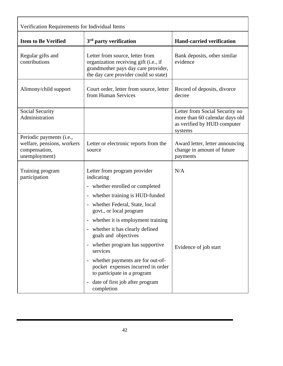| Verification Requirements for Individual Items                                           |                                                                                                                                                                               |                                                                                                            |  |  |  |
|------------------------------------------------------------------------------------------|-------------------------------------------------------------------------------------------------------------------------------------------------------------------------------|------------------------------------------------------------------------------------------------------------|--|--|--|
| <b>Item to Be Verified</b>                                                               | 3 <sup>rd</sup> party verification                                                                                                                                            | <b>Hand-carried verification</b>                                                                           |  |  |  |
| Regular gifts and<br>contributions                                                       | Letter from source, letter from<br>organization receiving gift (i.e., if<br>grandmother pays day care provider,<br>the day care provider could so state)                      | Bank deposits, other similar<br>evidence                                                                   |  |  |  |
| Alimony/child support                                                                    | Court order, letter from source, letter<br>from Human Services                                                                                                                | Record of deposits, divorce<br>decree                                                                      |  |  |  |
| Social Security<br>Administration                                                        |                                                                                                                                                                               | Letter from Social Security no<br>more than 60 calendar days old<br>as verified by HUD computer<br>systems |  |  |  |
| Periodic payments (i.e.,<br>welfare, pensions, workers<br>compensation,<br>unemployment) | Letter or electronic reports from the<br>source                                                                                                                               | Award letter, letter announcing<br>change in amount of future<br>payments                                  |  |  |  |
| Training program<br>participation                                                        | Letter from program provider<br>indicating<br>- whether enrolled or completed                                                                                                 | N/A                                                                                                        |  |  |  |
|                                                                                          | whether training is HUD-funded<br>$\blacksquare$<br>whether Federal, State, local<br>$\overline{\phantom{a}}$<br>govt., or local program<br>whether it is employment training |                                                                                                            |  |  |  |
|                                                                                          | whether it has clearly defined<br>goals and objectives                                                                                                                        |                                                                                                            |  |  |  |
|                                                                                          | whether program has supportive<br>services                                                                                                                                    | Evidence of job start                                                                                      |  |  |  |
|                                                                                          | whether payments are for out-of-<br>$\overline{\phantom{a}}$<br>pocket expenses incurred in order<br>to participate in a program                                              |                                                                                                            |  |  |  |
|                                                                                          | date of first job after program<br>$\overline{\phantom{a}}$<br>completion                                                                                                     |                                                                                                            |  |  |  |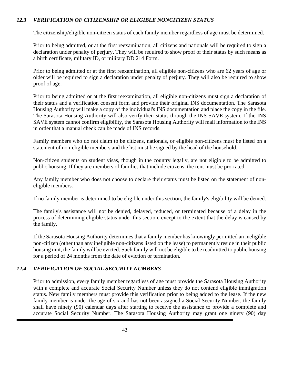#### *12.3 VERIFICATION OF CITIZENSHIP OR ELIGIBLE NONCITIZEN STATUS*

The citizenship/eligible non-citizen status of each family member regardless of age must be determined.

Prior to being admitted, or at the first reexamination, all citizens and nationals will be required to sign a declaration under penalty of perjury. They will be required to show proof of their status by such means as a birth certificate, military ID, or military DD 214 Form.

Prior to being admitted or at the first reexamination, all eligible non-citizens who are 62 years of age or older will be required to sign a declaration under penalty of perjury. They will also be required to show proof of age.

Prior to being admitted or at the first reexamination, all eligible non-citizens must sign a declaration of their status and a verification consent form and provide their original INS documentation. The Sarasota Housing Authority will make a copy of the individual's INS documentation and place the copy in the file. The Sarasota Housing Authority will also verify their status through the INS SAVE system. If the INS SAVE system cannot confirm eligibility, the Sarasota Housing Authority will mail information to the INS in order that a manual check can be made of INS records.

Family members who do not claim to be citizens, nationals, or eligible non-citizens must be listed on a statement of non-eligible members and the list must be signed by the head of the household.

Non-citizen students on student visas, though in the country legally, are not eligible to be admitted to public housing. If they are members of families that include citizens, the rent must be pro-rated.

Any family member who does not choose to declare their status must be listed on the statement of noneligible members.

If no family member is determined to be eligible under this section, the family's eligibility will be denied.

The family's assistance will not be denied, delayed, reduced, or terminated because of a delay in the process of determining eligible status under this section, except to the extent that the delay is caused by the family.

If the Sarasota Housing Authority determines that a family member has knowingly permitted an ineligible non-citizen (other than any ineligible non-citizens listed on the lease) to permanently reside in their public housing unit, the family will be evicted. Such family will not be eligible to be readmitted to public housing for a period of 24 months from the date of eviction or termination.

#### *12.4 VERIFICATION OF SOCIAL SECURITY NUMBERS*

Prior to admission, every family member regardless of age must provide the Sarasota Housing Authority with a complete and accurate Social Security Number unless they do not contend eligible immigration status. New family members must provide this verification prior to being added to the lease. If the new family member is under the age of six and has not been assigned a Social Security Number, the family shall have ninety (90) calendar days after starting to receive the assistance to provide a complete and accurate Social Security Number. The Sarasota Housing Authority may grant one ninety (90) day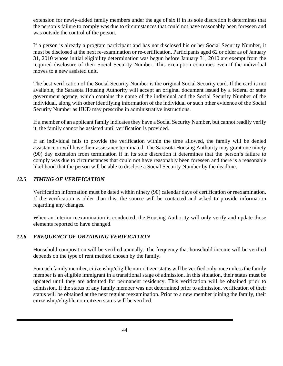extension for newly-added family members under the age of six if in its sole discretion it determines that the person's failure to comply was due to circumstances that could not have reasonably been foreseen and was outside the control of the person.

If a person is already a program participant and has not disclosed his or her Social Security Number, it must be disclosed at the next re-examination or re-certification. Participants aged 62 or older as of January 31, 2010 whose initial eligibility determination was begun before January 31, 2010 are exempt from the required disclosure of their Social Security Number. This exemption continues even if the individual moves to a new assisted unit.

The best verification of the Social Security Number is the original Social Security card. If the card is not available, the Sarasota Housing Authority will accept an original document issued by a federal or state government agency, which contains the name of the individual and the Social Security Number of the individual, along with other identifying information of the individual or such other evidence of the Social Security Number as HUD may prescribe in administrative instructions.

If a member of an applicant family indicates they have a Social Security Number, but cannot readily verify it, the family cannot be assisted until verification is provided.

If an individual fails to provide the verification within the time allowed, the family will be denied assistance or will have their assistance terminated. The Sarasota Housing Authority may grant one ninety (90) day extension from termination if in its sole discretion it determines that the person's failure to comply was due to circumstances that could not have reasonably been foreseen and there is a reasonable likelihood that the person will be able to disclose a Social Security Number by the deadline.

#### *12.5 TIMING OF VERIFICATION*

Verification information must be dated within ninety (90) calendar days of certification or reexamination. If the verification is older than this, the source will be contacted and asked to provide information regarding any changes.

When an interim reexamination is conducted, the Housing Authority will only verify and update those elements reported to have changed.

#### *12.6 FREQUENCY OF OBTAINING VERIFICATION*

Household composition will be verified annually. The frequency that household income will be verified depends on the type of rent method chosen by the family.

For each family member, citizenship/eligible non-citizen status will be verified only once unless the family member is an eligible immigrant in a transitional stage of admission. In this situation, their status must be updated until they are admitted for permanent residency. This verification will be obtained prior to admission. If the status of any family member was not determined prior to admission, verification of their status will be obtained at the next regular reexamination. Prior to a new member joining the family, their citizenship/eligible non-citizen status will be verified.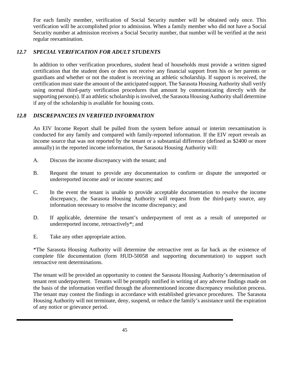For each family member, verification of Social Security number will be obtained only once. This verification will be accomplished prior to admission. When a family member who did not have a Social Security number at admission receives a Social Security number, that number will be verified at the next regular reexamination.

#### *12.7 SPECIAL VERIFICATION FOR ADULT STUDENTS*

In addition to other verification procedures, student head of households must provide a written signed certification that the student does or does not receive any financial support from his or her parents or guardians and whether or not the student is receiving an athletic scholarship. If support is received, the certification must state the amount of the anticipated support. The Sarasota Housing Authority shall verify using normal third-party verification procedures that amount by communicating directly with the supporting person(s). If an athletic scholarship is involved, the Sarasota Housing Authority shall determine if any of the scholarship is available for housing costs.

#### *12.8 DISCREPANCIES IN VERIFIED INFORMATION*

An EIV Income Report shall be pulled from the system before annual or interim reexamination is conducted for any family and compared with family-reported information. If the EIV report reveals an income source that was not reported by the tenant or a substantial difference (defined as \$2400 or more annually) in the reported income information, the Sarasota Housing Authority will:

- A. Discuss the income discrepancy with the tenant; and
- B. Request the tenant to provide any documentation to confirm or dispute the unreported or underreported income and/ or income sources; and
- C. In the event the tenant is unable to provide acceptable documentation to resolve the income discrepancy, the Sarasota Housing Authority will request from the third-party source, any information necessary to resolve the income discrepancy; and
- D. If applicable, determine the tenant's underpayment of rent as a result of unreported or underreported income, retroactively\*; and
- E. Take any other appropriate action.

\*The Sarasota Housing Authority will determine the retroactive rent as far back as the existence of complete file documentation (form HUD-50058 and supporting documentation) to support such retroactive rent determinations.

The tenant will be provided an opportunity to contest the Sarasota Housing Authority's determination of tenant rent underpayment. Tenants will be promptly notified in writing of any adverse findings made on the basis of the information verified through the aforementioned income discrepancy resolution process. The tenant may contest the findings in accordance with established grievance procedures. The Sarasota Housing Authority will not terminate, deny, suspend, or reduce the family's assistance until the expiration of any notice or grievance period.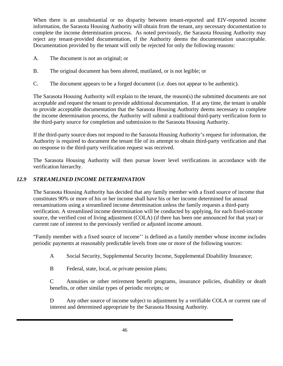When there is an unsubstantial or no disparity between tenant-reported and EIV-reported income information, the Sarasota Housing Authority will obtain from the tenant, any necessary documentation to complete the income determination process. As noted previously, the Sarasota Housing Authority may reject any tenant-provided documentation, if the Authority deems the documentation unacceptable. Documentation provided by the tenant will only be rejected for only the following reasons:

- A. The document is not an original; or
- B. The original document has been altered, mutilated, or is not legible; or
- C. The document appears to be a forged document (i.e. does not appear to be authentic).

The Sarasota Housing Authority will explain to the tenant, the reason(s) the submitted documents are not acceptable and request the tenant to provide additional documentation. If at any time, the tenant is unable to provide acceptable documentation that the Sarasota Housing Authority deems necessary to complete the income determination process, the Authority will submit a traditional third-party verification form to the third-party source for completion and submission to the Sarasota Housing Authority.

If the third-party source does not respond to the Sarasota Housing Authority's request for information, the Authority is required to document the tenant file of its attempt to obtain third-party verification and that no response to the third-party verification request was received.

The Sarasota Housing Authority will then pursue lower level verifications in accordance with the verification hierarchy.

#### *12.9 STREAMLINED INCOME DETERMINATION*

The Sarasota Housing Authority has decided that any family member with a fixed source of income that constitutes 90% or more of his or her income shall have his or her income determined for annual reexaminations using a streamlined income determination unless the family requests a third-party verification. A streamlined income determination will be conducted by applying, for each fixed-income source, the verified cost of living adjustment (COLA) (if there has been one announced for that year) or current rate of interest to the previously verified or adjusted income amount.

"Family member with a fixed source of income'' is defined as a family member whose income includes periodic payments at reasonably predictable levels from one or more of the following sources:

A Social Security, Supplemental Security Income, Supplemental Disability Insurance;

B Federal, state, local, or private pension plans;

C Annuities or other retirement benefit programs, insurance policies, disability or death benefits, or other similar types of periodic receipts; or

D Any other source of income subject to adjustment by a verifiable COLA or current rate of interest and determined appropriate by the Sarasota Housing Authority.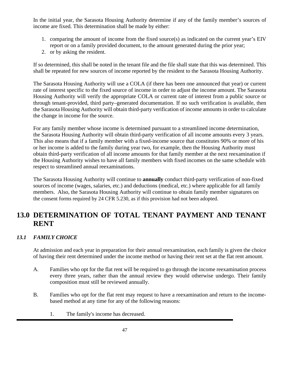In the initial year, the Sarasota Housing Authority determine if any of the family member's sources of income are fixed. This determination shall be made by either:

- 1. comparing the amount of income from the fixed source(s) as indicated on the current year's EIV report or on a family provided document, to the amount generated during the prior year;
- 2. or by asking the resident.

If so determined, this shall be noted in the tenant file and the file shall state that this was determined. This shall be repeated for new sources of income reported by the resident to the Sarasota Housing Authority.

The Sarasota Housing Authority will use a COLA (if there has been one announced that year) or current rate of interest specific to the fixed source of income in order to adjust the income amount. The Sarasota Housing Authority will verify the appropriate COLA or current rate of interest from a public source or through tenant-provided, third party–generated documentation. If no such verification is available, then the Sarasota Housing Authority will obtain third-party verification of income amounts in order to calculate the change in income for the source.

For any family member whose income is determined pursuant to a streamlined income determination, the Sarasota Housing Authority will obtain third-party verification of all income amounts every 3 years. This also means that if a family member with a fixed-income source that constitutes 90% or more of his or her income is added to the family during year two, for example, then the Housing Authority must obtain third-party verification of all income amounts for that family member at the next reexamination if the Housing Authority wishes to have all family members with fixed incomes on the same schedule with respect to streamlined annual reexaminations.

The Sarasota Housing Authority will continue to **annually** conduct third-party verification of non-fixed sources of income (wages, salaries, etc.) and deductions (medical, etc.) where applicable for all family members. Also, the Sarasota Housing Authority will continue to obtain family member signatures on the consent forms required by 24 CFR 5.230, as if this provision had not been adopted.

# **13.0 DETERMINATION OF TOTAL TENANT PAYMENT AND TENANT RENT**

## *13.1 FAMILY CHOICE*

At admission and each year in preparation for their annual reexamination, each family is given the choice of having their rent determined under the income method or having their rent set at the flat rent amount.

- A. Families who opt for the flat rent will be required to go through the income reexamination process every three years, rather than the annual review they would otherwise undergo. Their family composition must still be reviewed annually.
- B. Families who opt for the flat rent may request to have a reexamination and return to the incomebased method at any time for any of the following reasons:
	- 1. The family's income has decreased.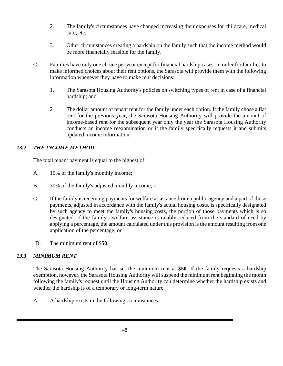- 2. The family's circumstances have changed increasing their expenses for childcare, medical care, etc.
- 3. Other circumstances creating a hardship on the family such that the income method would be more financially feasible for the family.
- C. Families have only one choice per year except for financial hardship cases. In order for families to make informed choices about their rent options, the Sarasota will provide them with the following information whenever they have to make rent decisions:
	- 1. The Sarasota Housing Authority's policies on switching types of rent in case of a financial hardship; and
	- 2 The dollar amount of tenant rent for the family under each option. If the family chose a flat rent for the previous year, the Sarasota Housing Authority will provide the amount of income-based rent for the subsequent year only the year the Sarasota Housing Authority conducts an income reexamination or if the family specifically requests it and submits updated income information.

## *13.2 THE INCOME METHOD*

The total tenant payment is equal to the highest of:

- A. 10% of the family's monthly income;
- B. 30% of the family's adjusted monthly income; or
- C. If the family is receiving payments for welfare assistance from a public agency and a part of those payments, adjusted in accordance with the family's actual housing costs, is specifically designated by such agency to meet the family's housing costs, the portion of those payments which is so designated. If the family's welfare assistance is ratably reduced from the standard of need by applying a percentage, the amount calculated under this provision is the amount resulting from one application of the percentage; or
- D. The minimum rent of \$**50**.

#### *13.3 MINIMUM RENT*

The Sarasota Housing Authority has set the minimum rent at \$**50**. If the family requests a hardship exemption, however, the Sarasota Housing Authority will suspend the minimum rent beginning the month following the family's request until the Housing Authority can determine whether the hardship exists and whether the hardship is of a temporary or long-term nature.

A. A hardship exists in the following circumstances: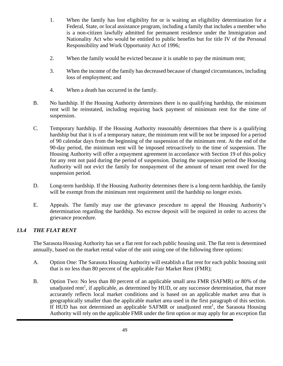- 1. When the family has lost eligibility for or is waiting an eligibility determination for a Federal, State, or local assistance program, including a family that includes a member who is a non-citizen lawfully admitted for permanent residence under the Immigration and Nationality Act who would be entitled to public benefits but for title IV of the Personal Responsibility and Work Opportunity Act of 1996;
- 2. When the family would be evicted because it is unable to pay the minimum rent;
- 3. When the income of the family has decreased because of changed circumstances, including loss of employment; and
- 4. When a death has occurred in the family.
- B. No hardship. If the Housing Authority determines there is no qualifying hardship, the minimum rent will be reinstated, including requiring back payment of minimum rent for the time of suspension.
- C. Temporary hardship. If the Housing Authority reasonably determines that there is a qualifying hardship but that it is of a temporary nature, the minimum rent will be not be imposed for a period of 90 calendar days from the beginning of the suspension of the minimum rent. At the end of the 90-day period, the minimum rent will be imposed retroactively to the time of suspension. The Housing Authority will offer a repayment agreement in accordance with Section 19 of this policy for any rent not paid during the period of suspension. During the suspension period the Housing Authority will not evict the family for nonpayment of the amount of tenant rent owed for the suspension period.
- D. Long-term hardship. If the Housing Authority determines there is a long-term hardship, the family will be exempt from the minimum rent requirement until the hardship no longer exists.
- E. Appeals. The family may use the grievance procedure to appeal the Housing Authority's determination regarding the hardship. No escrow deposit will be required in order to access the grievance procedure.

## *13.4 THE FLAT RENT*

The Sarasota Housing Authority has set a flat rent for each public housing unit. The flat rent is determined annually, based on the market rental value of the unit using one of the following three options:

- A. Option One: The Sarasota Housing Authority will establish a flat rent for each public housing unit that is no less than 80 percent of the applicable Fair Market Rent (FMR);
- B. Option Two: No less than 80 percent of an applicable small area FMR (SAFMR) or 80% of the unadjusted rent<sup>1</sup>, if applicable, as determined by HUD, or any successor determination, that more accurately reflects local market conditions and is based on an applicable market area that is geographically smaller than the applicable market area used in the first paragraph of this section. If HUD has not determined an applicable SAFMR or unadjusted rent<sup>1</sup>, the Sarasota Housing Authority will rely on the applicable FMR under the first option or may apply for an exception flat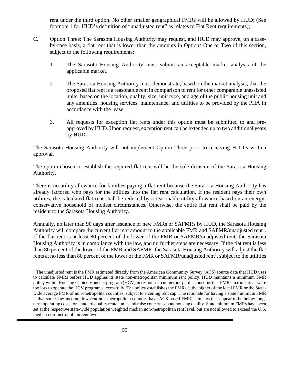rent under the third option. No other smaller geographical FMRs will be allowed by HUD; (See footnote 1 for HUD's definition of "unadjusted rent" as relates to Flat Rent requirements);

- C. Option Three: The Sarasota Housing Authority may request, and HUD may approve, on a caseby-case basis, a flat rent that is lower than the amounts in Options One or Two of this section, subject to the following requirements:
	- 1. The Sarasota Housing Authority must submit an acceptable market analysis of the applicable market.
	- 2. The Sarasota Housing Authority must demonstrate, based on the market analysis, that the proposed flat rent is a reasonable rent in comparison to rent for other comparable unassisted units, based on the location, quality, size, unit type, and age of the public housing unit and any amenities, housing services, maintenance, and utilities to be provided by the PHA in accordance with the lease.
	- 3. All requests for exception flat rents under this option must be submitted to and preapproved by HUD. Upon request, exception rent can be extended up to two additional years by HUD.

The Sarasota Housing Authority will not implement Option Three prior to receiving HUD's written approval.

The option chosen to establish the required flat rent will be the sole decision of the Sarasota Housing Authority.

There is no utility allowance for families paying a flat rent because the Sarasota Housing Authority has already factored who pays for the utilities into the flat rent calculation. If the resident pays their own utilities, the calculated flat rent shall be reduced by a reasonable utility allowance based on an energyconservative household of modest circumstances. Otherwise, the entire flat rent shall be paid by the resident to the Sarasota Housing Authority.

Annually, no later than 90 days after issuance of new FMRs or SAFMRs by HUD, the Sarasota Housing Authority will compare the current flat rent amount to the applicable FMR and SAFMR/unadjusted rent<sup>[1](#page-54-0)</sup>. If the flat rent is at least 80 percent of the lower of the FMR or SAFMR/unadjusted rent, the Sarasota Housing Authority is in compliance with the law, and no further steps are necessary. If the flat rent is less than 80 percent of the lower of the FMR and SAFMR, the Sarasota Housing Authority will adjust the flat rents at no less than 80 percent of the lower of the FMR or SAFMR/unadjusted rent<sup>1</sup>, subject to the utilities

<span id="page-54-0"></span><sup>&</sup>lt;sup>1</sup> The unadjusted rent is the FMR estimated directly from the American Community Survey (ACS) source data that HUD uses to calculate FMRs before HUD applies its state non-metropolitan minimum rent policy. HUD maintains a minimum FMR policy within Housing Choice Voucher program (HCV) in response to numerous public concerns that FMRs in rural areas were too low to operate the HCV program successfully. The policy establishes the FMRs at the higher of the local FMR or the Statewide average FMR of non-metropolitan counties, subject to a ceiling rent cap. The rationale for having a state minimum FMR is that some low-income, low-rent non-metropolitan counties have ACS-based FMR estimates that appear to be below longterm operating costs for standard quality rental units and raise concerns about housing quality. State minimum FMRs have been set at the respective state-wide population weighted median non-metropolitan rent level, but are not allowed to exceed the U.S. median non-metropolitan rent level.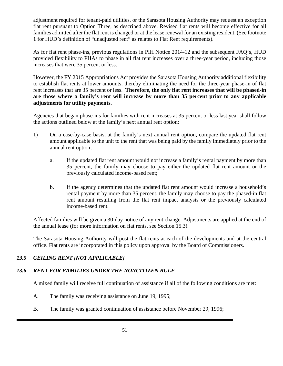adjustment required for tenant-paid utilities, or the Sarasota Housing Authority may request an exception flat rent pursuant to Option Three, as described above. Revised flat rents will become effective for all families admitted after the flat rent is changed or at the lease renewal for an existing resident. (See footnote 1 for HUD's definition of "unadjusted rent" as relates to Flat Rent requirements).

As for flat rent phase-ins, previous regulations in PIH Notice 2014-12 and the subsequent FAQ's, HUD provided flexibility to PHAs to phase in all flat rent increases over a three-year period, including those increases that were 35 percent or less.

However, the FY 2015 Appropriations Act provides the Sarasota Housing Authority additional flexibility to establish flat rents at lower amounts, thereby eliminating the need for the three-year phase-in of flat rent increases that are 35 percent or less. **Therefore, the only flat rent increases that will be phased-in are those where a family's rent will increase by more than 35 percent prior to any applicable adjustments for utility payments.**

Agencies that began phase-ins for families with rent increases at 35 percent or less last year shall follow the actions outlined below at the family's next annual rent option:

- 1) On a case-by-case basis, at the family's next annual rent option, compare the updated flat rent amount applicable to the unit to the rent that was being paid by the family immediately prior to the annual rent option;
	- a. If the updated flat rent amount would not increase a family's rental payment by more than 35 percent, the family may choose to pay either the updated flat rent amount or the previously calculated income-based rent;
	- b. If the agency determines that the updated flat rent amount would increase a household's rental payment by more than 35 percent, the family may choose to pay the phased-in flat rent amount resulting from the flat rent impact analysis or the previously calculated income-based rent.

Affected families will be given a 30-day notice of any rent change. Adjustments are applied at the end of the annual lease (for more information on flat rents, see Section 15.3).

The Sarasota Housing Authority will post the flat rents at each of the developments and at the central office. Flat rents are incorporated in this policy upon approval by the Board of Commissioners.

## *13.5 CEILING RENT [NOT APPLICABLE]*

## *13.6 RENT FOR FAMILIES UNDER THE NONCITIZEN RULE*

A mixed family will receive full continuation of assistance if all of the following conditions are met:

- A. The family was receiving assistance on June 19, 1995;
- B. The family was granted continuation of assistance before November 29, 1996;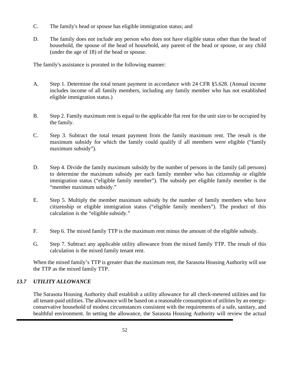- C. The family's head or spouse has eligible immigration status; and
- D. The family does not include any person who does not have eligible status other than the head of household, the spouse of the head of household, any parent of the head or spouse, or any child (under the age of 18) of the head or spouse.

The family's assistance is prorated in the following manner:

- A. Step 1. Determine the total tenant payment in accordance with 24 CFR §5.628. (Annual income includes income of all family members, including any family member who has not established eligible immigration status.)
- B. Step 2. Family maximum rent is equal to the applicable flat rent for the unit size to be occupied by the family.
- C. Step 3. Subtract the total tenant payment from the family maximum rent. The result is the maximum subsidy for which the family could qualify if all members were eligible ("family maximum subsidy").
- D. Step 4. Divide the family maximum subsidy by the number of persons in the family (all persons) to determine the maximum subsidy per each family member who has citizenship or eligible immigration status ("eligible family member"). The subsidy per eligible family member is the "member maximum subsidy."
- E. Step 5. Multiply the member maximum subsidy by the number of family members who have citizenship or eligible immigration status ("eligible family members"). The product of this calculation is the "eligible subsidy."
- F. Step 6. The mixed family TTP is the maximum rent minus the amount of the eligible subsidy.
- G. Step 7. Subtract any applicable utility allowance from the mixed family TTP. The result of this calculation is the mixed family tenant rent.

When the mixed family's TTP is greater than the maximum rent, the Sarasota Housing Authority will use the TTP as the mixed family TTP.

## *13.7 UTILITY ALLOWANCE*

The Sarasota Housing Authority shall establish a utility allowance for all check-metered utilities and for all tenant-paid utilities. The allowance will be based on a reasonable consumption of utilities by an energyconservative household of modest circumstances consistent with the requirements of a safe, sanitary, and healthful environment. In setting the allowance, the Sarasota Housing Authority will review the actual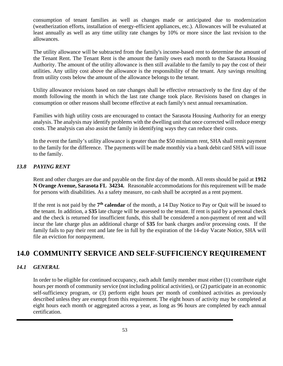consumption of tenant families as well as changes made or anticipated due to modernization (weatherization efforts, installation of energy-efficient appliances, etc.). Allowances will be evaluated at least annually as well as any time utility rate changes by 10% or more since the last revision to the allowances.

The utility allowance will be subtracted from the family's income-based rent to determine the amount of the Tenant Rent. The Tenant Rent is the amount the family owes each month to the Sarasota Housing Authority. The amount of the utility allowance is then still available to the family to pay the cost of their utilities. Any utility cost above the allowance is the responsibility of the tenant. Any savings resulting from utility costs below the amount of the allowance belongs to the tenant.

Utility allowance revisions based on rate changes shall be effective retroactively to the first day of the month following the month in which the last rate change took place. Revisions based on changes in consumption or other reasons shall become effective at each family's next annual reexamination.

Families with high utility costs are encouraged to contact the Sarasota Housing Authority for an energy analysis. The analysis may identify problems with the dwelling unit that once corrected will reduce energy costs. The analysis can also assist the family in identifying ways they can reduce their costs.

In the event the family's utility allowance is greater than the \$50 minimum rent, SHA shall remit payment to the family for the difference. The payments will be made monthly via a bank debit card SHA will issue to the family.

#### *13.8 PAYING RENT*

Rent and other charges are due and payable on the first day of the month. All rents should be paid at **1912 N Orange Avenue, Sarasota FL 34234.** Reasonable accommodations for this requirement will be made for persons with disabilities. As a safety measure, no cash shall be accepted as a rent payment.

If the rent is not paid by the **7th calendar** of the month, a 14 Day Notice to Pay or Quit will be issued to the tenant. In addition, a \$**35** late charge will be assessed to the tenant. If rent is paid by a personal check and the check is returned for insufficient funds, this shall be considered a non-payment of rent and will incur the late charge plus an additional charge of \$**35** for bank charges and/or processing costs. If the family fails to pay their rent and late fee in full by the expiration of the 14-day Vacate Notice, SHA will file an eviction for nonpayment.

# **14.0 COMMUNITY SERVICE AND SELF-SUFFICIENCY REQUIREMENT**

#### *14.1 GENERAL*

In order to be eligible for continued occupancy, each adult family member must either (1) contribute eight hours per month of community service (not including political activities), or (2) participate in an economic self-sufficiency program, or (3) perform eight hours per month of combined activities as previously described unless they are exempt from this requirement. The eight hours of activity may be completed at eight hours each month or aggregated across a year, as long as 96 hours are completed by each annual certification.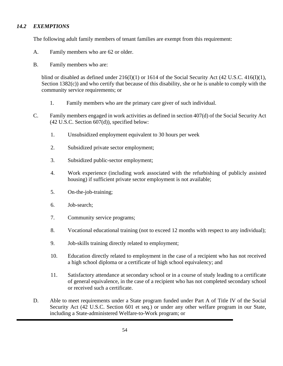### *14.2 EXEMPTIONS*

The following adult family members of tenant families are exempt from this requirement:

- A. Family members who are 62 or older.
- B. Family members who are:

blind or disabled as defined under 216(I)(1) or 1614 of the Social Security Act (42 U.S.C. 416(I)(1), Section 1382(c)) and who certify that because of this disability, she or he is unable to comply with the community service requirements; or

- 1. Family members who are the primary care giver of such individual.
- C. Family members engaged in work activities as defined in section 407(d) of the Social Security Act (42 U.S.C. Section 607(d)), specified below:
	- 1. Unsubsidized employment equivalent to 30 hours per week
	- 2. Subsidized private sector employment;
	- 3. Subsidized public-sector employment;
	- 4. Work experience (including work associated with the refurbishing of publicly assisted housing) if sufficient private sector employment is not available;
	- 5. On-the-job-training;
	- 6. Job-search;
	- 7. Community service programs;
	- 8. Vocational educational training (not to exceed 12 months with respect to any individual);
	- 9. Job-skills training directly related to employment;
	- 10. Education directly related to employment in the case of a recipient who has not received a high school diploma or a certificate of high school equivalency; and
	- 11. Satisfactory attendance at secondary school or in a course of study leading to a certificate of general equivalence, in the case of a recipient who has not completed secondary school or received such a certificate.
- D. Able to meet requirements under a State program funded under Part A of Title IV of the Social Security Act (42 U.S.C. Section 601 et seq.) or under any other welfare program in our State, including a State-administered Welfare-to-Work program; or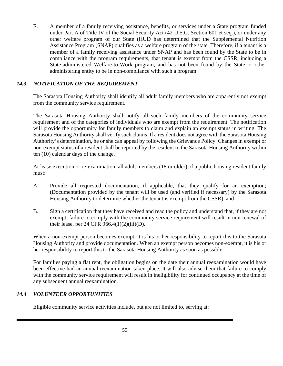E. A member of a family receiving assistance, benefits, or services under a State program funded under Part A of Title IV of the Social Security Act (42 U.S.C. Section 601 et seq.), or under any other welfare program of our State (HUD has determined that the Supplemental Nutrition Assistance Program (SNAP) qualifies as a welfare program of the state. Therefore, if a tenant is a member of a family receiving assistance under SNAP and has been found by the State to be in compliance with the program requirements, that tenant is exempt from the CSSR, including a State-administered Welfare-to-Work program, and has not been found by the State or other administering entity to be in non-compliance with such a program.

### *14.3 NOTIFICATION OF THE REQUIREMENT*

The Sarasota Housing Authority shall identify all adult family members who are apparently not exempt from the community service requirement.

The Sarasota Housing Authority shall notify all such family members of the community service requirement and of the categories of individuals who are exempt from the requirement. The notification will provide the opportunity for family members to claim and explain an exempt status in writing. The Sarasota Housing Authority shall verify such claims. If a resident does not agree with the Sarasota Housing Authority's determination, he or she can appeal by following the Grievance Policy. Changes in exempt or non-exempt status of a resident shall be reported by the resident to the Sarasota Housing Authority within ten (10) calendar days of the change.

At lease execution or re-examination, all adult members (18 or older) of a public housing resident family must:

- A. Provide all requested documentation, if applicable, that they qualify for an exemption; (Documentation provided by the tenant will be used (and verified if necessary) by the Sarasota Housing Authority to determine whether the tenant is exempt from the CSSR), and
- B. Sign a certification that they have received and read the policy and understand that, if they are not exempt, failure to comply with the community service requirement will result in non-renewal of their lease, per 24 CFR 966.4 $(1)(2)(iii)(D)$ .

When a non-exempt person becomes exempt, it is his or her responsibility to report this to the Sarasota Housing Authority and provide documentation. When an exempt person becomes non-exempt, it is his or her responsibility to report this to the Sarasota Housing Authority as soon as possible.

For families paying a flat rent, the obligation begins on the date their annual reexamination would have been effective had an annual reexamination taken place. It will also advise them that failure to comply with the community service requirement will result in ineligibility for continued occupancy at the time of any subsequent annual reexamination.

#### *14.4 VOLUNTEER OPPORTUNITIES*

Eligible community service activities include, but are not limited to, serving at: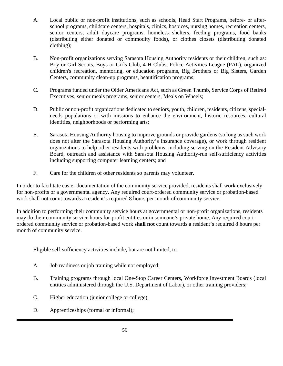- A. Local public or non-profit institutions, such as schools, Head Start Programs, before- or afterschool programs, childcare centers, hospitals, clinics, hospices, nursing homes, recreation centers, senior centers, adult daycare programs, homeless shelters, feeding programs, food banks (distributing either donated or commodity foods), or clothes closets (distributing donated clothing);
- B. Non-profit organizations serving Sarasota Housing Authority residents or their children, such as: Boy or Girl Scouts, Boys or Girls Club, 4-H Clubs, Police Activities League (PAL), organized children's recreation, mentoring, or education programs, Big Brothers or Big Sisters, Garden Centers, community clean-up programs, beautification programs;
- C. Programs funded under the Older Americans Act, such as Green Thumb, Service Corps of Retired Executives, senior meals programs, senior centers, Meals on Wheels;
- D. Public or non-profit organizations dedicated to seniors, youth, children, residents, citizens, specialneeds populations or with missions to enhance the environment, historic resources, cultural identities, neighborhoods or performing arts;
- E. Sarasota Housing Authority housing to improve grounds or provide gardens (so long as such work does not alter the Sarasota Housing Authority's insurance coverage), or work through resident organizations to help other residents with problems, including serving on the Resident Advisory Board, outreach and assistance with Sarasota Housing Authority-run self-sufficiency activities including supporting computer learning centers; and
- F. Care for the children of other residents so parents may volunteer.

In order to facilitate easier documentation of the community service provided, residents shall work exclusively for non-profits or a governmental agency. Any required court-ordered community service or probation-based work shall not count towards a resident's required 8 hours per month of community service.

In addition to performing their community service hours at governmental or non-profit organizations, residents may do their community service hours for-profit entities or in someone's private home. Any required courtordered community service or probation-based work **shall not** count towards a resident's required 8 hours per month of community service.

Eligible self-sufficiency activities include, but are not limited, to:

- A. Job readiness or job training while not employed;
- B. Training programs through local One-Stop Career Centers, Workforce Investment Boards (local entities administered through the U.S. Department of Labor), or other training providers;
- C. Higher education (junior college or college);
- D. Apprenticeships (formal or informal);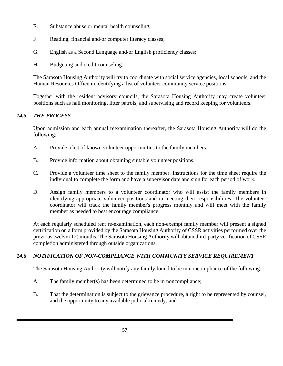- E. Substance abuse or mental health counseling;
- F. Reading, financial and/or computer literacy classes;
- G. English as a Second Language and/or English proficiency classes;
- H. Budgeting and credit counseling.

The Sarasota Housing Authority will try to coordinate with social service agencies, local schools, and the Human Resources Office in identifying a list of volunteer community service positions.

Together with the resident advisory councils, the Sarasota Housing Authority may create volunteer positions such as hall monitoring, litter patrols, and supervising and record keeping for volunteers.

## *14.5 THE PROCESS*

Upon admission and each annual reexamination thereafter, the Sarasota Housing Authority will do the following:

- A. Provide a list of known volunteer opportunities to the family members.
- B. Provide information about obtaining suitable volunteer positions.
- C. Provide a volunteer time sheet to the family member. Instructions for the time sheet require the individual to complete the form and have a supervisor date and sign for each period of work.
- D. Assign family members to a volunteer coordinator who will assist the family members in identifying appropriate volunteer positions and in meeting their responsibilities. The volunteer coordinator will track the family member's progress monthly and will meet with the family member as needed to best encourage compliance.

At each regularly scheduled rent re-examination, each non-exempt family member will present a signed certification on a form provided by the Sarasota Housing Authority of CSSR activities performed over the previous twelve (12) months. The Sarasota Housing Authority will obtain third-party verification of CSSR completion administered through outside organizations.

## *14.6 NOTIFICATION OF NON-COMPLIANCE WITH COMMUNITY SERVICE REQUIREMENT*

The Sarasota Housing Authority will notify any family found to be in noncompliance of the following:

- A. The family member(s) has been determined to be in noncompliance;
- B. That the determination is subject to the grievance procedure, a right to be represented by counsel, and the opportunity to any available judicial remedy; and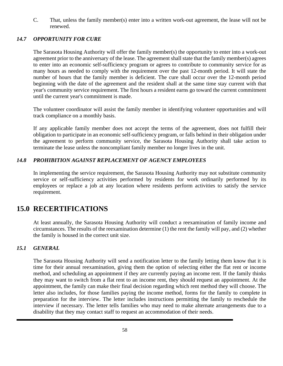C. That, unless the family member(s) enter into a written work-out agreement, the lease will not be renewed.

#### *14.7 OPPORTUNITY FOR CURE*

The Sarasota Housing Authority will offer the family member(s) the opportunity to enter into a work-out agreement prior to the anniversary of the lease. The agreement shall state that the family member(s) agrees to enter into an economic self-sufficiency program or agrees to contribute to community service for as many hours as needed to comply with the requirement over the past 12-month period. It will state the number of hours that the family member is deficient. The cure shall occur over the 12-month period beginning with the date of the agreement and the resident shall at the same time stay current with that year's community service requirement. The first hours a resident earns go toward the current commitment until the current year's commitment is made.

The volunteer coordinator will assist the family member in identifying volunteer opportunities and will track compliance on a monthly basis.

If any applicable family member does not accept the terms of the agreement, does not fulfill their obligation to participate in an economic self-sufficiency program, or falls behind in their obligation under the agreement to perform community service, the Sarasota Housing Authority shall take action to terminate the lease unless the noncompliant family member no longer lives in the unit.

#### *14.8 PROHIBITION AGAINST REPLACEMENT OF AGENCY EMPLOYEES*

In implementing the service requirement, the Sarasota Housing Authority may not substitute community service or self-sufficiency activities performed by residents for work ordinarily performed by its employees or replace a job at any location where residents perform activities to satisfy the service requirement.

## **15.0 RECERTIFICATIONS**

At least annually, the Sarasota Housing Authority will conduct a reexamination of family income and circumstances. The results of the reexamination determine (1) the rent the family will pay, and (2) whether the family is housed in the correct unit size.

#### *15.1 GENERAL*

The Sarasota Housing Authority will send a notification letter to the family letting them know that it is time for their annual reexamination, giving them the option of selecting either the flat rent or income method, and scheduling an appointment if they are currently paying an income rent. If the family thinks they may want to switch from a flat rent to an income rent, they should request an appointment. At the appointment, the family can make their final decision regarding which rent method they will choose. The letter also includes, for those families paying the income method, forms for the family to complete in preparation for the interview. The letter includes instructions permitting the family to reschedule the interview if necessary. The letter tells families who may need to make alternate arrangements due to a disability that they may contact staff to request an accommodation of their needs.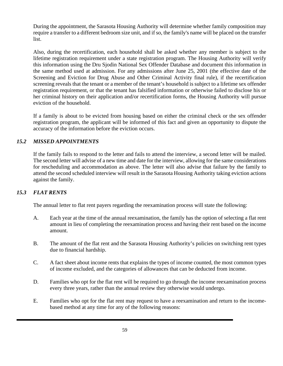During the appointment, the Sarasota Housing Authority will determine whether family composition may require a transfer to a different bedroom size unit, and if so, the family's name will be placed on the transfer list.

Also, during the recertification, each household shall be asked whether any member is subject to the lifetime registration requirement under a state registration program. The Housing Authority will verify this information using the Dru Sjodin National Sex Offender Database and document this information in the same method used at admission. For any admissions after June 25, 2001 (the effective date of the Screening and Eviction for Drug Abuse and Other Criminal Activity final rule), if the recertification screening reveals that the tenant or a member of the tenant's household is subject to a lifetime sex offender registration requirement, or that the tenant has falsified information or otherwise failed to disclose his or her criminal history on their application and/or recertification forms, the Housing Authority will pursue eviction of the household.

If a family is about to be evicted from housing based on either the criminal check or the sex offender registration program, the applicant will be informed of this fact and given an opportunity to dispute the accuracy of the information before the eviction occurs.

#### *15.2 MISSED APPOINTMENTS*

If the family fails to respond to the letter and fails to attend the interview, a second letter will be mailed. The second letter will advise of a new time and date for the interview, allowing for the same considerations for rescheduling and accommodation as above. The letter will also advise that failure by the family to attend the second scheduled interview will result in the Sarasota Housing Authority taking eviction actions against the family.

#### *15.3 FLAT RENTS*

The annual letter to flat rent payers regarding the reexamination process will state the following:

- A. Each year at the time of the annual reexamination, the family has the option of selecting a flat rent amount in lieu of completing the reexamination process and having their rent based on the income amount.
- B. The amount of the flat rent and the Sarasota Housing Authority's policies on switching rent types due to financial hardship.
- C. A fact sheet about income rents that explains the types of income counted, the most common types of income excluded, and the categories of allowances that can be deducted from income.
- D. Families who opt for the flat rent will be required to go through the income reexamination process every three years, rather than the annual review they otherwise would undergo.
- E. Families who opt for the flat rent may request to have a reexamination and return to the incomebased method at any time for any of the following reasons: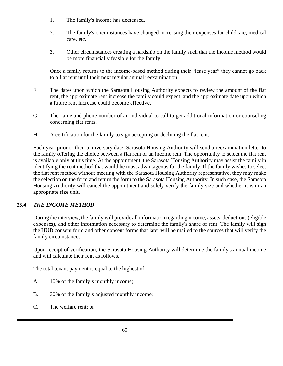- 1. The family's income has decreased.
- 2. The family's circumstances have changed increasing their expenses for childcare, medical care, etc.
- 3. Other circumstances creating a hardship on the family such that the income method would be more financially feasible for the family.

Once a family returns to the income-based method during their "lease year" they cannot go back to a flat rent until their next regular annual reexamination.

- F. The dates upon which the Sarasota Housing Authority expects to review the amount of the flat rent, the approximate rent increase the family could expect, and the approximate date upon which a future rent increase could become effective.
- G. The name and phone number of an individual to call to get additional information or counseling concerning flat rents.
- H. A certification for the family to sign accepting or declining the flat rent.

Each year prior to their anniversary date, Sarasota Housing Authority will send a reexamination letter to the family offering the choice between a flat rent or an income rent. The opportunity to select the flat rent is available only at this time. At the appointment, the Sarasota Housing Authority may assist the family in identifying the rent method that would be most advantageous for the family. If the family wishes to select the flat rent method without meeting with the Sarasota Housing Authority representative, they may make the selection on the form and return the form to the Sarasota Housing Authority. In such case, the Sarasota Housing Authority will cancel the appointment and solely verify the family size and whether it is in an appropriate size unit.

## *15.4 THE INCOME METHOD*

During the interview, the family will provide all information regarding income, assets, deductions (eligible expenses), and other information necessary to determine the family's share of rent. The family will sign the HUD consent form and other consent forms that later will be mailed to the sources that will verify the family circumstances.

Upon receipt of verification, the Sarasota Housing Authority will determine the family's annual income and will calculate their rent as follows.

The total tenant payment is equal to the highest of:

- A. 10% of the family's monthly income;
- B. 30% of the family's adjusted monthly income;
- C. The welfare rent; or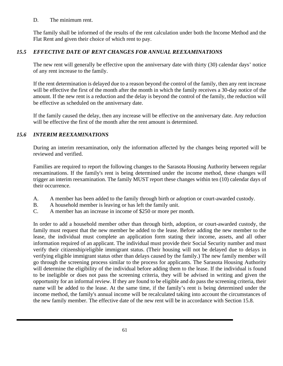#### D. The minimum rent.

The family shall be informed of the results of the rent calculation under both the Income Method and the Flat Rent and given their choice of which rent to pay.

## *15.5 EFFECTIVE DATE OF RENT CHANGES FOR ANNUAL REEXAMINATIONS*

The new rent will generally be effective upon the anniversary date with thirty (30) calendar days' notice of any rent increase to the family.

If the rent determination is delayed due to a reason beyond the control of the family, then any rent increase will be effective the first of the month after the month in which the family receives a 30-day notice of the amount. If the new rent is a reduction and the delay is beyond the control of the family, the reduction will be effective as scheduled on the anniversary date.

If the family caused the delay, then any increase will be effective on the anniversary date. Any reduction will be effective the first of the month after the rent amount is determined.

#### *15.6 INTERIM REEXAMINATIONS*

During an interim reexamination, only the information affected by the changes being reported will be reviewed and verified.

Families are required to report the following changes to the Sarasota Housing Authority between regular reexaminations. If the family's rent is being determined under the income method, these changes will trigger an interim reexamination. The family MUST report these changes within ten (10) calendar days of their occurrence.

- A. A member has been added to the family through birth or adoption or court-awarded custody.
- B. A household member is leaving or has left the family unit.
- C. A member has an increase in income of \$250 or more per month.

In order to add a household member other than through birth, adoption, or court-awarded custody, the family must request that the new member be added to the lease. Before adding the new member to the lease, the individual must complete an application form stating their income, assets, and all other information required of an applicant. The individual must provide their Social Security number and must verify their citizenship/eligible immigrant status. (Their housing will not be delayed due to delays in verifying eligible immigrant status other than delays caused by the family.) The new family member will go through the screening process similar to the process for applicants. The Sarasota Housing Authority will determine the eligibility of the individual before adding them to the lease. If the individual is found to be ineligible or does not pass the screening criteria, they will be advised in writing and given the opportunity for an informal review. If they are found to be eligible and do pass the screening criteria, their name will be added to the lease. At the same time, if the family's rent is being determined under the income method, the family's annual income will be recalculated taking into account the circumstances of the new family member. The effective date of the new rent will be in accordance with Section 15.8.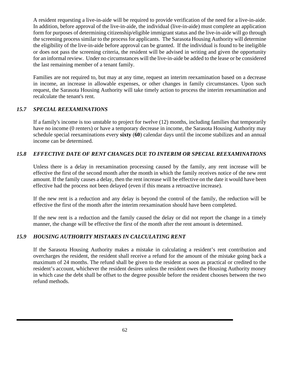A resident requesting a live-in-aide will be required to provide verification of the need for a live-in-aide. In addition, before approval of the live-in-aide, the individual (live-in-aide) must complete an application form for purposes of determining citizenship/eligible immigrant status and the live-in-aide will go through the screening process similar to the process for applicants. The Sarasota Housing Authority will determine the eligibility of the live-in-aide before approval can be granted. If the individual is found to be ineligible or does not pass the screening criteria, the resident will be advised in writing and given the opportunity for an informal review. Under no circumstances will the live-in-aide be added to the lease or be considered the last remaining member of a tenant family.

Families are not required to, but may at any time, request an interim reexamination based on a decrease in income, an increase in allowable expenses, or other changes in family circumstances. Upon such request, the Sarasota Housing Authority will take timely action to process the interim reexamination and recalculate the tenant's rent.

#### *15.7 SPECIAL REEXAMINATIONS*

If a family's income is too unstable to project for twelve (12) months, including families that temporarily have no income (0 renters) or have a temporary decrease in income, the Sarasota Housing Authority may schedule special reexaminations every **sixty** (**60**) calendar days until the income stabilizes and an annual income can be determined.

#### *15.8 EFFECTIVE DATE OF RENT CHANGES DUE TO INTERIM OR SPECIAL REEXAMINATIONS*

Unless there is a delay in reexamination processing caused by the family, any rent increase will be effective the first of the second month after the month in which the family receives notice of the new rent amount. If the family causes a delay, then the rent increase will be effective on the date it would have been effective had the process not been delayed (even if this means a retroactive increase).

If the new rent is a reduction and any delay is beyond the control of the family, the reduction will be effective the first of the month after the interim reexamination should have been completed.

If the new rent is a reduction and the family caused the delay or did not report the change in a timely manner, the change will be effective the first of the month after the rent amount is determined.

#### *15.9 HOUSING AUTHORITY MISTAKES IN CALCULATING RENT*

If the Sarasota Housing Authority makes a mistake in calculating a resident's rent contribution and overcharges the resident, the resident shall receive a refund for the amount of the mistake going back a maximum of 24 months. The refund shall be given to the resident as soon as practical or credited to the resident's account, whichever the resident desires unless the resident owes the Housing Authority money in which case the debt shall be offset to the degree possible before the resident chooses between the two refund methods.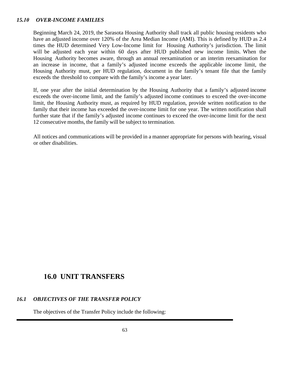#### *15.10 OVER-INCOME FAMILIES*

Beginning March 24, 2019, the Sarasota Housing Authority shall track all public housing residents who have an adjusted income over 120% of the Area Median Income (AMI). This is defined by HUD as 2.4 times the HUD determined Very Low-Income limit for Housing Authority's jurisdiction. The limit will be adjusted each year within 60 days after HUD published new income limits. When the Housing Authority becomes aware, through an annual reexamination or an interim reexamination for an increase in income, that a family's adjusted income exceeds the applicable income limit, the Housing Authority must, per HUD regulation, document in the family's tenant file that the family exceeds the threshold to compare with the family's income a year later.

If, one year after the initial determination by the Housing Authority that a family's adjusted income exceeds the over-income limit, and the family's adjusted income continues to exceed the over-income limit, the Housing Authority must, as required by HUD regulation, provide written notification to the family that their income has exceeded the over-income limit for one year. The written notification shall further state that if the family's adjusted income continues to exceed the over-income limit for the next 12 consecutive months, the family will be subject to termination.

All notices and communications will be provided in a manner appropriate for persons with hearing, visual or other disabilities.

## **16.0 UNIT TRANSFERS**

#### *16.1 OBJECTIVES OF THE TRANSFER POLICY*

The objectives of the Transfer Policy include the following: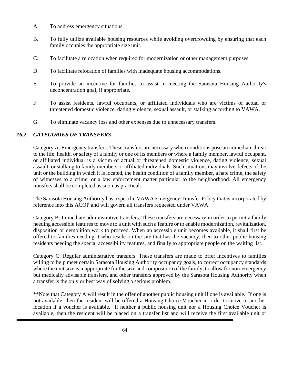- A. To address emergency situations.
- B. To fully utilize available housing resources while avoiding overcrowding by ensuring that each family occupies the appropriate size unit.
- C. To facilitate a relocation when required for modernization or other management purposes.
- D. To facilitate relocation of families with inadequate housing accommodations.
- E. To provide an incentive for families to assist in meeting the Sarasota Housing Authority's deconcentration goal, if appropriate.
- F. To assist residents, lawful occupants, or affiliated individuals who are victims of actual or threatened domestic violence, dating violence, sexual assault, or stalking according to VAWA.
- G. To eliminate vacancy loss and other expenses due to unnecessary transfers.

#### *16.2 CATEGORIES OF TRANSFERS*

Category A: Emergency transfers. These transfers are necessary when conditions pose an immediate threat to the life, health, or safety of a family or one of its members or where a family member, lawful occupant, or affiliated individual is a victim of actual or threatened domestic violence, dating violence, sexual assault, or stalking to family members or affiliated individuals. Such situations may involve defects of the unit or the building in which it is located, the health condition of a family member, a hate crime, the safety of witnesses to a crime, or a law enforcement matter particular to the neighborhood. All emergency transfers shall be completed as soon as practical.

The Sarasota Housing Authority has a specific VAWA Emergency Transfer Policy that is incorporated by reference into this ACOP and will govern all transfers requested under VAWA.

Category B: Immediate administrative transfers. These transfers are necessary in order to permit a family needing accessible features to move to a unit with such a feature or to enable modernization, revitalization, disposition or demolition work to proceed. When an accessible unit becomes available, it shall first be offered to families needing it who reside on the site that has the vacancy, then to other public housing residents needing the special accessibility features, and finally to appropriate people on the waiting list.

Category C: Regular administrative transfers. These transfers are made to offer incentives to families willing to help meet certain Sarasota Housing Authority occupancy goals, to correct occupancy standards where the unit size is inappropriate for the size and composition of the family, to allow for non-emergency but medically advisable transfers, and other transfers approved by the Sarasota Housing Authority when a transfer is the only or best way of solving a serious problem.

\*\*Note that Category A will result in the offer of another public housing unit if one is available. If one is not available, then the resident will be offered a Housing Choice Voucher in order to move to another location if a voucher is available. If neither a public housing unit nor a Housing Choice Voucher is available, then the resident will be placed on a transfer list and will receive the first available unit or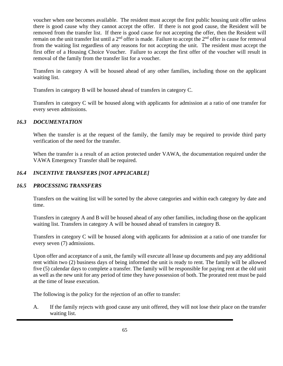voucher when one becomes available. The resident must accept the first public housing unit offer unless there is good cause why they cannot accept the offer. If there is not good cause, the Resident will be removed from the transfer list. If there is good cause for not accepting the offer, then the Resident will remain on the unit transfer list until a 2<sup>nd</sup> offer is made. Failure to accept the 2<sup>nd</sup> offer is cause for removal from the waiting list regardless of any reasons for not accepting the unit. The resident must accept the first offer of a Housing Choice Voucher. Failure to accept the first offer of the voucher will result in removal of the family from the transfer list for a voucher.

Transfers in category A will be housed ahead of any other families, including those on the applicant waiting list.

Transfers in category B will be housed ahead of transfers in category C.

Transfers in category C will be housed along with applicants for admission at a ratio of one transfer for every seven admissions.

## *16.3 DOCUMENTATION*

When the transfer is at the request of the family, the family may be required to provide third party verification of the need for the transfer.

When the transfer is a result of an action protected under VAWA, the documentation required under the VAWA Emergency Transfer shall be required.

## *16.4 INCENTIVE TRANSFERS [NOT APPLICABLE]*

## *16.5 PROCESSING TRANSFERS*

Transfers on the waiting list will be sorted by the above categories and within each category by date and time.

Transfers in category A and B will be housed ahead of any other families, including those on the applicant waiting list. Transfers in category A will be housed ahead of transfers in category B.

Transfers in category C will be housed along with applicants for admission at a ratio of one transfer for every seven (7) admissions.

Upon offer and acceptance of a unit, the family will execute all lease up documents and pay any additional rent within two (2) business days of being informed the unit is ready to rent. The family will be allowed five (5) calendar days to complete a transfer. The family will be responsible for paying rent at the old unit as well as the new unit for any period of time they have possession of both. The prorated rent must be paid at the time of lease execution.

The following is the policy for the rejection of an offer to transfer:

A. If the family rejects with good cause any unit offered, they will not lose their place on the transfer waiting list.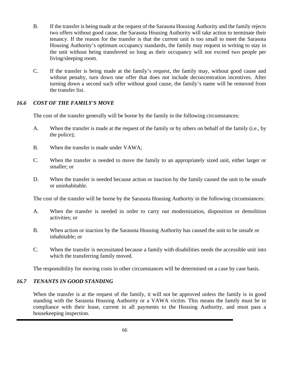- B. If the transfer is being made at the request of the Sarasota Housing Authority and the family rejects two offers without good cause, the Sarasota Housing Authority will take action to terminate their tenancy. If the reason for the transfer is that the current unit is too small to meet the Sarasota Housing Authority's optimum occupancy standards, the family may request in writing to stay in the unit without being transferred so long as their occupancy will not exceed two people per living/sleeping room.
- C. If the transfer is being made at the family's request, the family may, without good cause and without penalty, turn down one offer that does not include deconcentration incentives. After turning down a second such offer without good cause, the family's name will be removed from the transfer list.

#### *16.6 COST OF THE FAMILY'S MOVE*

The cost of the transfer generally will be borne by the family in the following circumstances:

- A. When the transfer is made at the request of the family or by others on behalf of the family (i.e., by the police);
- B. When the transfer is made under VAWA;
- C. When the transfer is needed to move the family to an appropriately sized unit, either larger or smaller; or
- D. When the transfer is needed because action or inaction by the family caused the unit to be unsafe or uninhabitable.

The cost of the transfer will be borne by the Sarasota Housing Authority in the following circumstances:

- A. When the transfer is needed in order to carry out modernization, disposition or demolition activities; or
- B. When action or inaction by the Sarasota Housing Authority has caused the unit to be unsafe or inhabitable; or
- C. When the transfer is necessitated because a family with disabilities needs the accessible unit into which the transferring family moved.

The responsibility for moving costs in other circumstances will be determined on a case by case basis.

#### *16.7 TENANTS IN GOOD STANDING*

When the transfer is at the request of the family, it will not be approved unless the family is in good standing with the Sarasota Housing Authority or a VAWA victim. This means the family must be in compliance with their lease, current in all payments to the Housing Authority, and must pass a housekeeping inspection.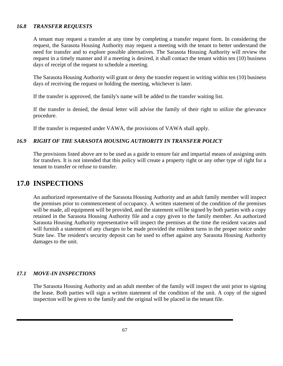#### *16.8 TRANSFER REQUESTS*

A tenant may request a transfer at any time by completing a transfer request form. In considering the request, the Sarasota Housing Authority may request a meeting with the tenant to better understand the need for transfer and to explore possible alternatives. The Sarasota Housing Authority will review the request in a timely manner and if a meeting is desired, it shall contact the tenant within ten (10) business days of receipt of the request to schedule a meeting.

The Sarasota Housing Authority will grant or deny the transfer request in writing within ten (10) business days of receiving the request or holding the meeting, whichever is later.

If the transfer is approved, the family's name will be added to the transfer waiting list.

If the transfer is denied, the denial letter will advise the family of their right to utilize the grievance procedure.

If the transfer is requested under VAWA, the provisions of VAWA shall apply.

#### *16.9 RIGHT OF THE SARASOTA HOUSING AUTHORITY IN TRANSFER POLICY*

The provisions listed above are to be used as a guide to ensure fair and impartial means of assigning units for transfers. It is not intended that this policy will create a property right or any other type of right for a tenant to transfer or refuse to transfer.

## **17.0 INSPECTIONS**

An authorized representative of the Sarasota Housing Authority and an adult family member will inspect the premises prior to commencement of occupancy. A written statement of the condition of the premises will be made, all equipment will be provided, and the statement will be signed by both parties with a copy retained in the Sarasota Housing Authority file and a copy given to the family member. An authorized Sarasota Housing Authority representative will inspect the premises at the time the resident vacates and will furnish a statement of any charges to be made provided the resident turns in the proper notice under State law. The resident's security deposit can be used to offset against any Sarasota Housing Authority damages to the unit.

#### *17.1 MOVE-IN INSPECTIONS*

The Sarasota Housing Authority and an adult member of the family will inspect the unit prior to signing the lease. Both parties will sign a written statement of the condition of the unit. A copy of the signed inspection will be given to the family and the original will be placed in the tenant file.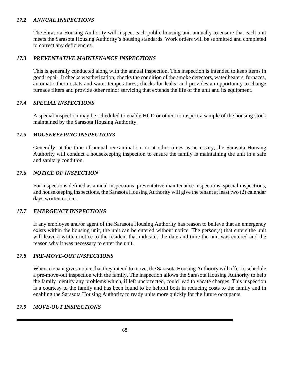#### *17.2 ANNUAL INSPECTIONS*

The Sarasota Housing Authority will inspect each public housing unit annually to ensure that each unit meets the Sarasota Housing Authority's housing standards. Work orders will be submitted and completed to correct any deficiencies.

#### *17.3 PREVENTATIVE MAINTENANCE INSPECTIONS*

This is generally conducted along with the annual inspection. This inspection is intended to keep items in good repair. It checks weatherization; checks the condition of the smoke detectors, water heaters, furnaces, automatic thermostats and water temperatures; checks for leaks; and provides an opportunity to change furnace filters and provide other minor servicing that extends the life of the unit and its equipment.

#### *17.4 SPECIAL INSPECTIONS*

A special inspection may be scheduled to enable HUD or others to inspect a sample of the housing stock maintained by the Sarasota Housing Authority.

#### *17.5 HOUSEKEEPING INSPECTIONS*

Generally, at the time of annual reexamination, or at other times as necessary, the Sarasota Housing Authority will conduct a housekeeping inspection to ensure the family is maintaining the unit in a safe and sanitary condition.

#### *17.6 NOTICE OF INSPECTION*

For inspections defined as annual inspections, preventative maintenance inspections, special inspections, and housekeeping inspections, the Sarasota Housing Authority will give the tenant at least two (2) calendar days written notice.

## *17.7 EMERGENCY INSPECTIONS*

If any employee and/or agent of the Sarasota Housing Authority has reason to believe that an emergency exists within the housing unit, the unit can be entered without notice. The person(s) that enters the unit will leave a written notice to the resident that indicates the date and time the unit was entered and the reason why it was necessary to enter the unit.

#### *17.8 PRE-MOVE-OUT INSPECTIONS*

When a tenant gives notice that they intend to move, the Sarasota Housing Authority will offer to schedule a pre-move-out inspection with the family. The inspection allows the Sarasota Housing Authority to help the family identify any problems which, if left uncorrected, could lead to vacate charges. This inspection is a courtesy to the family and has been found to be helpful both in reducing costs to the family and in enabling the Sarasota Housing Authority to ready units more quickly for the future occupants.

#### *17.9 MOVE-OUT INSPECTIONS*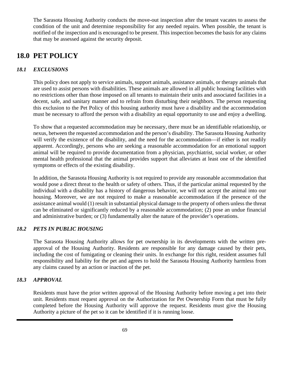The Sarasota Housing Authority conducts the move-out inspection after the tenant vacates to assess the condition of the unit and determine responsibility for any needed repairs. When possible, the tenant is notified of the inspection and is encouraged to be present. This inspection becomes the basis for any claims that may be assessed against the security deposit.

# **18.0 PET POLICY**

## *18.1 EXCLUSIONS*

This policy does not apply to service animals, support animals, assistance animals, or therapy animals that are used to assist persons with disabilities. These animals are allowed in all public housing facilities with no restrictions other than those imposed on all tenants to maintain their units and associated facilities in a decent, safe, and sanitary manner and to refrain from disturbing their neighbors. The person requesting this exclusion to the Pet Policy of this housing authority must have a disability and the accommodation must be necessary to afford the person with a disability an equal opportunity to use and enjoy a dwelling.

To show that a requested accommodation may be necessary, there must be an identifiable relationship, or nexus, between the requested accommodation and the person's disability. The Sarasota Housing Authority will verify the existence of the disability, and the need for the accommodation—if either is not readily apparent. Accordingly, persons who are seeking a reasonable accommodation for an emotional support animal will be required to provide documentation from a physician, psychiatrist, social worker, or other mental health professional that the animal provides support that alleviates at least one of the identified symptoms or effects of the existing disability.

In addition, the Sarasota Housing Authority is not required to provide any reasonable accommodation that would pose a direct threat to the health or safety of others. Thus, if the particular animal requested by the individual with a disability has a history of dangerous behavior, we will not accept the animal into our housing. Moreover, we are not required to make a reasonable accommodation if the presence of the assistance animal would (1) result in substantial physical damage to the property of others unless the threat can be eliminated or significantly reduced by a reasonable accommodation; (2) pose an undue financial and administrative burden; or (3) fundamentally alter the nature of the provider's operations.

## *18.2 PETS IN PUBLIC HOUSING*

The Sarasota Housing Authority allows for pet ownership in its developments with the written preapproval of the Housing Authority. Residents are responsible for any damage caused by their pets, including the cost of fumigating or cleaning their units. In exchange for this right, resident assumes full responsibility and liability for the pet and agrees to hold the Sarasota Housing Authority harmless from any claims caused by an action or inaction of the pet.

## *18.3 APPROVAL*

Residents must have the prior written approval of the Housing Authority before moving a pet into their unit. Residents must request approval on the Authorization for Pet Ownership Form that must be fully completed before the Housing Authority will approve the request. Residents must give the Housing Authority a picture of the pet so it can be identified if it is running loose.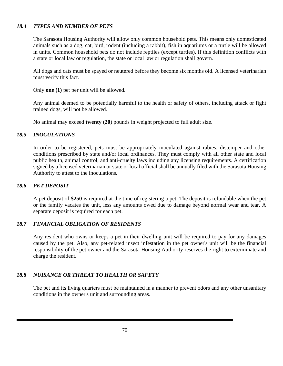#### *18.4 TYPES AND NUMBER OF PETS*

The Sarasota Housing Authority will allow only common household pets. This means only domesticated animals such as a dog, cat, bird, rodent (including a rabbit), fish in aquariums or a turtle will be allowed in units. Common household pets do not include reptiles (except turtles). If this definition conflicts with a state or local law or regulation, the state or local law or regulation shall govern.

All dogs and cats must be spayed or neutered before they become six months old. A licensed veterinarian must verify this fact.

Only **one (1)** pet per unit will be allowed.

Any animal deemed to be potentially harmful to the health or safety of others, including attack or fight trained dogs, will not be allowed.

No animal may exceed **twenty** (**20**) pounds in weight projected to full adult size.

#### *18.5 INOCULATIONS*

In order to be registered, pets must be appropriately inoculated against rabies, distemper and other conditions prescribed by state and/or local ordinances. They must comply with all other state and local public health, animal control, and anti-cruelty laws including any licensing requirements. A certification signed by a licensed veterinarian or state or local official shall be annually filed with the Sarasota Housing Authority to attest to the inoculations.

#### *18.6 PET DEPOSIT*

A pet deposit of **\$250** is required at the time of registering a pet. The deposit is refundable when the pet or the family vacates the unit, less any amounts owed due to damage beyond normal wear and tear. A separate deposit is required for each pet.

#### *18.7 FINANCIAL OBLIGATION OF RESIDENTS*

Any resident who owns or keeps a pet in their dwelling unit will be required to pay for any damages caused by the pet. Also, any pet-related insect infestation in the pet owner's unit will be the financial responsibility of the pet owner and the Sarasota Housing Authority reserves the right to exterminate and charge the resident.

#### *18.8 NUISANCE OR THREAT TO HEALTH OR SAFETY*

The pet and its living quarters must be maintained in a manner to prevent odors and any other unsanitary conditions in the owner's unit and surrounding areas.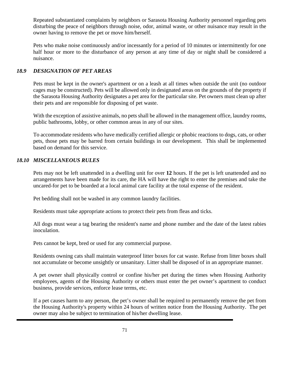Repeated substantiated complaints by neighbors or Sarasota Housing Authority personnel regarding pets disturbing the peace of neighbors through noise, odor, animal waste, or other nuisance may result in the owner having to remove the pet or move him/herself.

Pets who make noise continuously and/or incessantly for a period of 10 minutes or intermittently for one half hour or more to the disturbance of any person at any time of day or night shall be considered a nuisance.

## *18.9 DESIGNATION OF PET AREAS*

Pets must be kept in the owner's apartment or on a leash at all times when outside the unit (no outdoor cages may be constructed). Pets will be allowed only in designated areas on the grounds of the property if the Sarasota Housing Authority designates a pet area for the particular site. Pet owners must clean up after their pets and are responsible for disposing of pet waste.

With the exception of assistive animals, no pets shall be allowed in the management office, laundry rooms, public bathrooms, lobby, or other common areas in any of our sites.

To accommodate residents who have medically certified allergic or phobic reactions to dogs, cats, or other pets, those pets may be barred from certain buildings in our development. This shall be implemented based on demand for this service.

## *18.10 MISCELLANEOUS RULES*

Pets may not be left unattended in a dwelling unit for over **12** hours. If the pet is left unattended and no arrangements have been made for its care, the HA will have the right to enter the premises and take the uncared-for pet to be boarded at a local animal care facility at the total expense of the resident.

Pet bedding shall not be washed in any common laundry facilities.

Residents must take appropriate actions to protect their pets from fleas and ticks.

All dogs must wear a tag bearing the resident's name and phone number and the date of the latest rabies inoculation.

Pets cannot be kept, bred or used for any commercial purpose.

Residents owning cats shall maintain waterproof litter boxes for cat waste. Refuse from litter boxes shall not accumulate or become unsightly or unsanitary. Litter shall be disposed of in an appropriate manner.

A pet owner shall physically control or confine his/her pet during the times when Housing Authority employees, agents of the Housing Authority or others must enter the pet owner's apartment to conduct business, provide services, enforce lease terms, etc.

If a pet causes harm to any person, the pet's owner shall be required to permanently remove the pet from the Housing Authority's property within 24 hours of written notice from the Housing Authority. The pet owner may also be subject to termination of his/her dwelling lease.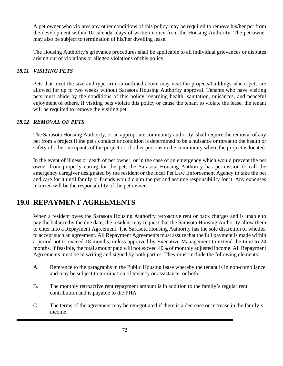A pet owner who violates any other conditions of this policy may be required to remove his/her pet from the development within 10 calendar days of written notice from the Housing Authority. The pet owner may also be subject to termination of his/her dwelling lease.

The Housing Authority's grievance procedures shall be applicable to all individual grievances or disputes arising out of violations or alleged violations of this policy.

## *18.11 VISITING PETS*

Pets that meet the size and type criteria outlined above may visit the projects/buildings where pets are allowed for up to two weeks without Sarasota Housing Authority approval. Tenants who have visiting pets must abide by the conditions of this policy regarding health, sanitation, nuisances, and peaceful enjoyment of others. If visiting pets violate this policy or cause the tenant to violate the lease, the tenant will be required to remove the visiting pet.

## *18.12 REMOVAL OF PETS*

The Sarasota Housing Authority, or an appropriate community authority, shall require the removal of any pet from a project if the pet's conduct or condition is determined to be a nuisance or threat to the health or safety of other occupants of the project or of other persons in the community where the project is located.

In the event of illness or death of pet owner, or in the case of an emergency which would prevent the pet owner from properly caring for the pet, the Sarasota Housing Authority has permission to call the emergency caregiver designated by the resident or the local Pet Law Enforcement Agency to take the pet and care for it until family or friends would claim the pet and assume responsibility for it. Any expenses incurred will be the responsibility of the pet owner.

# **19.0 REPAYMENT AGREEMENTS**

When a resident owes the Sarasota Housing Authority retroactive rent or back charges and is unable to pay the balance by the due date, the resident may request that the Sarasota Housing Authority allow them to enter into a Repayment Agreement. The Sarasota Housing Authority has the sole discretion of whether to accept such an agreement. All Repayment Agreements must assure that the full payment is made within a period not to exceed 18 months, unless approved by Executive Management to extend the time to 24 months. If feasible, the total amount paid will not exceed 40% of monthly adjusted income. All Repayment Agreements must be in writing and signed by both parties. They must include the following elements:

- A. Reference to the paragraphs in the Public Housing lease whereby the tenant is in non-compliance and may be subject to termination of tenancy or assistance, or both.
- B. The monthly retroactive rent repayment amount is in addition to the family's regular rent contribution and is payable to the PHA.
- C. The terms of the agreement may be renegotiated if there is a decrease or increase in the family's income.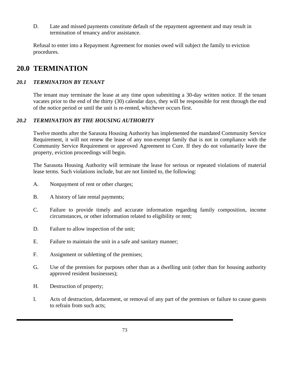D. Late and missed payments constitute default of the repayment agreement and may result in termination of tenancy and/or assistance.

Refusal to enter into a Repayment Agreement for monies owed will subject the family to eviction procedures.

## **20.0 TERMINATION**

## *20.1 TERMINATION BY TENANT*

The tenant may terminate the lease at any time upon submitting a 30-day written notice. If the tenant vacates prior to the end of the thirty (30) calendar days, they will be responsible for rent through the end of the notice period or until the unit is re-rented, whichever occurs first.

## *20.2 TERMINATION BY THE HOUSING AUTHORITY*

Twelve months after the Sarasota Housing Authority has implemented the mandated Community Service Requirement, it will not renew the lease of any non-exempt family that is not in compliance with the Community Service Requirement or approved Agreement to Cure. If they do not voluntarily leave the property, eviction proceedings will begin.

The Sarasota Housing Authority will terminate the lease for serious or repeated violations of material lease terms. Such violations include, but are not limited to, the following:

- A. Nonpayment of rent or other charges;
- B. A history of late rental payments;
- C. Failure to provide timely and accurate information regarding family composition, income circumstances, or other information related to eligibility or rent;
- D. Failure to allow inspection of the unit;
- E. Failure to maintain the unit in a safe and sanitary manner;
- F. Assignment or subletting of the premises;
- G. Use of the premises for purposes other than as a dwelling unit (other than for housing authority approved resident businesses);
- H. Destruction of property;
- I. Acts of destruction, defacement, or removal of any part of the premises or failure to cause guests to refrain from such acts;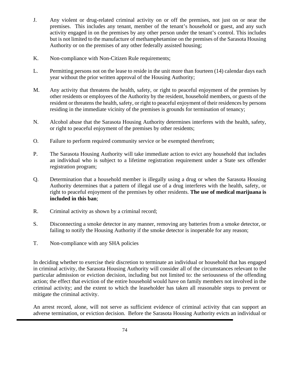- J. Any violent or drug-related criminal activity on or off the premises, not just on or near the premises. This includes any tenant, member of the tenant's household or guest, and any such activity engaged in on the premises by any other person under the tenant's control. This includes but is not limited to the manufacture of methamphetamine on the premises of the Sarasota Housing Authority or on the premises of any other federally assisted housing;
- K. Non-compliance with Non-Citizen Rule requirements;
- L. Permitting persons not on the lease to reside in the unit more than fourteen (14) calendar days each year without the prior written approval of the Housing Authority;
- M. Any activity that threatens the health, safety, or right to peaceful enjoyment of the premises by other residents or employees of the Authority by the resident, household members, or guests of the resident or threatens the health, safety, or right to peaceful enjoyment of their residences by persons residing in the immediate vicinity of the premises is grounds for termination of tenancy;
- N. Alcohol abuse that the Sarasota Housing Authority determines interferes with the health, safety, or right to peaceful enjoyment of the premises by other residents;
- O. Failure to perform required community service or be exempted therefrom;
- P. The Sarasota Housing Authority will take immediate action to evict any household that includes an individual who is subject to a lifetime registration requirement under a State sex offender registration program;
- Q. Determination that a household member is illegally using a drug or when the Sarasota Housing Authority determines that a pattern of illegal use of a drug interferes with the health, safety, or right to peaceful enjoyment of the premises by other residents. **The use of medical marijuana is included in this ban**;
- R. Criminal activity as shown by a criminal record;
- S. Disconnecting a smoke detector in any manner, removing any batteries from a smoke detector, or failing to notify the Housing Authority if the smoke detector is inoperable for any reason;
- T. Non-compliance with any SHA policies

In deciding whether to exercise their discretion to terminate an individual or household that has engaged in criminal activity, the Sarasota Housing Authority will consider all of the circumstances relevant to the particular admission or eviction decision, including but not limited to: the seriousness of the offending action; the effect that eviction of the entire household would have on family members not involved in the criminal activity; and the extent to which the leaseholder has taken all reasonable steps to prevent or mitigate the criminal activity.

An arrest record, alone, will not serve as sufficient evidence of criminal activity that can support an adverse termination, or eviction decision. Before the Sarasota Housing Authority evicts an individual or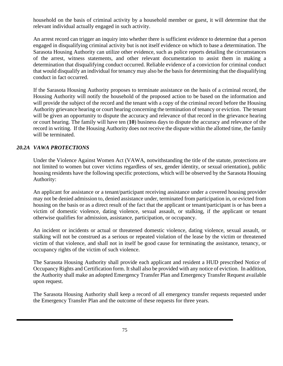household on the basis of criminal activity by a household member or guest, it will determine that the relevant individual actually engaged in such activity.

An arrest record can trigger an inquiry into whether there is sufficient evidence to determine that a person engaged in disqualifying criminal activity but is not itself evidence on which to base a determination. The Sarasota Housing Authority can utilize other evidence, such as police reports detailing the circumstances of the arrest, witness statements, and other relevant documentation to assist them in making a determination that disqualifying conduct occurred. Reliable evidence of a conviction for criminal conduct that would disqualify an individual for tenancy may also be the basis for determining that the disqualifying conduct in fact occurred.

If the Sarasota Housing Authority proposes to terminate assistance on the basis of a criminal record, the Housing Authority will notify the household of the proposed action to be based on the information and will provide the subject of the record and the tenant with a copy of the criminal record before the Housing Authority grievance hearing or court hearing concerning the termination of tenancy or eviction. The tenant will be given an opportunity to dispute the accuracy and relevance of that record in the grievance hearing or court hearing. The family will have ten (**10**) business days to dispute the accuracy and relevance of the record in writing. If the Housing Authority does not receive the dispute within the allotted time, the family will be terminated.

#### *20.2A VAWA PROTECTIONS*

Under the Violence Against Women Act (VAWA, notwithstanding the title of the statute, protections are not limited to women but cover victims regardless of sex, gender identity, or sexual orientation), public housing residents have the following specific protections, which will be observed by the Sarasota Housing Authority:

An applicant for assistance or a tenant/participant receiving assistance under a covered housing provider may not be denied admission to, denied assistance under, terminated from participation in, or evicted from housing on the basis or as a direct result of the fact that the applicant or tenant/participant is or has been a victim of domestic violence, dating violence, sexual assault, or stalking, if the applicant or tenant otherwise qualifies for admission, assistance, participation, or occupancy.

An incident or incidents or actual or threatened domestic violence, dating violence, sexual assault, or stalking will not be construed as a serious or repeated violation of the lease by the victim or threatened victim of that violence, and shall not in itself be good cause for terminating the assistance, tenancy, or occupancy rights of the victim of such violence.

The Sarasota Housing Authority shall provide each applicant and resident a HUD prescribed Notice of Occupancy Rights and Certification form. It shall also be provided with any notice of eviction. In addition, the Authority shall make an adopted Emergency Transfer Plan and Emergency Transfer Request available upon request.

The Sarasota Housing Authority shall keep a record of all emergency transfer requests requested under the Emergency Transfer Plan and the outcome of these requests for three years.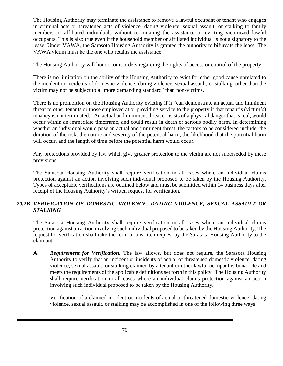The Housing Authority may terminate the assistance to remove a lawful occupant or tenant who engages in criminal acts or threatened acts of violence, dating violence, sexual assault, or stalking to family members or affiliated individuals without terminating the assistance or evicting victimized lawful occupants. This is also true even if the household member or affiliated individual is not a signatory to the lease. Under VAWA, the Sarasota Housing Authority is granted the authority to bifurcate the lease. The VAWA victim must be the one who retains the assistance.

The Housing Authority will honor court orders regarding the rights of access or control of the property.

There is no limitation on the ability of the Housing Authority to evict for other good cause unrelated to the incident or incidents of domestic violence, dating violence, sexual assault, or stalking, other than the victim may not be subject to a "more demanding standard" than non-victims.

There is no prohibition on the Housing Authority evicting if it "can demonstrate an actual and imminent threat to other tenants or those employed at or providing service to the property if that tenant's (victim's) tenancy is not terminated." An actual and imminent threat consists of a physical danger that is real, would occur within an immediate timeframe, and could result in death or serious bodily harm. In determining whether an individual would pose an actual and imminent threat, the factors to be considered include: the duration of the risk, the nature and severity of the potential harm, the likelihood that the potential harm will occur, and the length of time before the potential harm would occur.

Any protections provided by law which give greater protection to the victim are not superseded by these provisions.

The Sarasota Housing Authority shall require verification in all cases where an individual claims protection against an action involving such individual proposed to be taken by the Housing Authority. Types of acceptable verifications are outlined below and must be submitted within 14 business days after receipt of the Housing Authority's written request for verification.

## *20.2B VERIFICATION OF DOMESTIC VIOLENCE, DATING VIOLENCE, SEXUAL ASSAULT OR STALKING*

The Sarasota Housing Authority shall require verification in all cases where an individual claims protection against an action involving such individual proposed to be taken by the Housing Authority. The request for verification shall take the form of a written request by the Sarasota Housing Authority to the claimant.

**A.** *Requirement for Verification.* The law allows, but does not require, the Sarasota Housing Authority to verify that an incident or incidents of actual or threatened domestic violence, dating violence, sexual assault, or stalking claimed by a tenant or other lawful occupant is bona fide and meets the requirements of the applicable definitions set forth in this policy. The Housing Authority shall require verification in all cases where an individual claims protection against an action involving such individual proposed to be taken by the Housing Authority.

Verification of a claimed incident or incidents of actual or threatened domestic violence, dating violence, sexual assault, or stalking may be accomplished in one of the following three ways: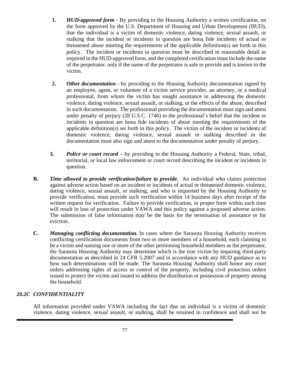- **1.** *HUD-approved form -* By providing to the Housing Authority a written certification, on the form approved by the U.S. Department of Housing and Urban Development (HUD), that the individual is a victim of domestic violence, dating violence, sexual assault, or stalking that the incident or incidents in question are bona fide incidents of actual or threatened abuse meeting the requirements of the applicable definition(s) set forth in this policy. The incident or incidents in question must be described in reasonable detail as required in the HUD-approved form, and the completed certification must include the name of the perpetrator, only if the name of the perpetrator is safe to provide and is known to the victim.
- **2.** *Other documentation -* by providing to the Housing Authority documentation signed by an employee, agent, or volunteer of a victim service provider, an attorney, or a medical professional, from whom the victim has sought assistance in addressing the domestic violence, dating violence, sexual assault, or stalking, or the effects of the abuse, described in such documentation. The professional providing the documentation must sign and attest under penalty of perjury (28 U.S.C. 1746) to the professional's belief that the incident or incidents in question are bona fide incidents of abuse meeting the requirements of the applicable definition(s) set forth in this policy. The victim of the incident or incidents of domestic violence, dating violence, sexual assault or stalking described in the documentation must also sign and attest to the documentation under penalty of perjury.
- **3***. Police or court record* by providing to the Housing Authority a Federal, State, tribal, territorial, or local law enforcement or court record describing the incident or incidents in question.
- **B.** *Time allowed to provide verification/failure to provide.* An individual who claims protection against adverse action based on an incident or incidents of actual or threatened domestic violence, dating violence, sexual assault, or stalking, and who is requested by the Housing Authority to provide verification, must provide such verification within 14 business days after receipt of the written request for verification. Failure to provide verification, in proper form within such time will result in loss of protection under VAWA and this policy against a proposed adverse action. The submission of false information may be the basis for the termination of assistance or for eviction.
- **C.** *Managing conflicting documentation.* In cases where the Sarasota Housing Authority receives conflicting certification documents from two or more members of a household, each claiming to be a victim and naming one or more of the other petitioning household members as the perpetrator, the Sarasota Housing Authority may determine which is the true victim by requiring third-party documentation as described in 24 CFR 5.2007 and in accordance with any HUD guidance as to how such determinations will be made. The Sarasota Housing Authority shall honor any court orders addressing rights of access or control of the property, including civil protection orders issued to protect the victim and issued to address the distribution or possession of property among the household.

## *20.2C CONFIDENTIALITY*

All information provided under VAWA including the fact that an individual is a victim of domestic violence, dating violence, sexual assault, or stalking, shall be retained in confidence and shall not be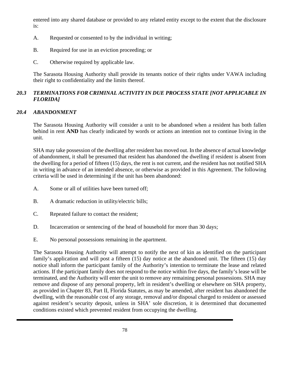entered into any shared database or provided to any related entity except to the extent that the disclosure is:

- A. Requested or consented to by the individual in writing;
- B. Required for use in an eviction proceeding; or
- C. Otherwise required by applicable law.

The Sarasota Housing Authority shall provide its tenants notice of their rights under VAWA including their right to confidentiality and the limits thereof.

## *20.3 TERMINATIONS FOR CRIMINAL ACTIVITY IN DUE PROCESS STATE [NOT APPLICABLE IN FLORIDA]*

## *20.4 ABANDONMENT*

The Sarasota Housing Authority will consider a unit to be abandoned when a resident has both fallen behind in rent **AND** has clearly indicated by words or actions an intention not to continue living in the unit.

SHA may take possession of the dwelling after resident has moved out. In the absence of actual knowledge of abandonment, it shall be presumed that resident has abandoned the dwelling if resident is absent from the dwelling for a period of fifteen (15) days, the rent is not current, and the resident has not notified SHA in writing in advance of an intended absence, or otherwise as provided in this Agreement. The following criteria will be used in determining if the unit has been abandoned:

- A. Some or all of utilities have been turned off;
- B. A dramatic reduction in utility/electric bills;
- C. Repeated failure to contact the resident;
- D. Incarceration or sentencing of the head of household for more than 30 days;
- E. No personal possessions remaining in the apartment.

The Sarasota Housing Authority will attempt to notify the next of kin as identified on the participant family's application and will post a fifteen (15) day notice at the abandoned unit. The fifteen (15) day notice shall inform the participant family of the Authority's intention to terminate the lease and related actions. If the participant family does not respond to the notice within five days, the family's lease will be terminated, and the Authority will enter the unit to remove any remaining personal possessions. SHA may remove and dispose of any personal property, left in resident's dwelling or elsewhere on SHA property, as provided in Chapter 83, Part II, Florida Statutes, as may be amended, after resident has abandoned the dwelling, with the reasonable cost of any storage, removal and/or disposal charged to resident or assessed against resident's security deposit, unless in SHA' sole discretion, it is determined that documented conditions existed which prevented resident from occupying the dwelling.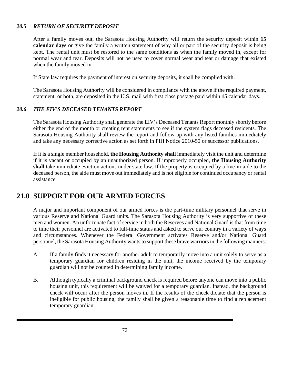## *20.5 RETURN OF SECURITY DEPOSIT*

After a family moves out, the Sarasota Housing Authority will return the security deposit within **15 calendar days** or give the family a written statement of why all or part of the security deposit is being kept. The rental unit must be restored to the same conditions as when the family moved in, except for normal wear and tear. Deposits will not be used to cover normal wear and tear or damage that existed when the family moved in.

If State law requires the payment of interest on security deposits, it shall be complied with.

The Sarasota Housing Authority will be considered in compliance with the above if the required payment, statement, or both, are deposited in the U.S. mail with first class postage paid within **15** calendar days.

## *20.6 THE EIV'S DECEASED TENANTS REPORT*

The Sarasota Housing Authority shall generate the EIV's Deceased Tenants Report monthly shortly before either the end of the month or creating rent statements to see if the system flags deceased residents. The Sarasota Housing Authority shall review the report and follow up with any listed families immediately and take any necessary corrective action as set forth in PIH Notice 2010-50 or successor publications.

If it is a single member household, **the Housing Authority shall** immediately visit the unit and determine if it is vacant or occupied by an unauthorized person. If improperly occupied, **the Housing Authority shall** take immediate eviction actions under state law. If the property is occupied by a live-in-aide to the deceased person, the aide must move out immediately and is not eligible for continued occupancy or rental assistance.

# **21.0 SUPPORT FOR OUR ARMED FORCES**

A major and important component of our armed forces is the part-time military personnel that serve in various Reserve and National Guard units. The Sarasota Housing Authority is very supportive of these men and women. An unfortunate fact of service in both the Reserves and National Guard is that from time to time their personnel are activated to full-time status and asked to serve our country in a variety of ways and circumstances. Whenever the Federal Government activates Reserve and/or National Guard personnel, the Sarasota Housing Authority wants to support these brave warriors in the following manners:

- A. If a family finds it necessary for another adult to temporarily move into a unit solely to serve as a temporary guardian for children residing in the unit, the income received by the temporary guardian will not be counted in determining family income.
- B. Although typically a criminal background check is required before anyone can move into a public housing unit, this requirement will be waived for a temporary guardian. Instead, the background check will occur after the person moves in. If the results of the check dictate that the person is ineligible for public housing, the family shall be given a reasonable time to find a replacement temporary guardian.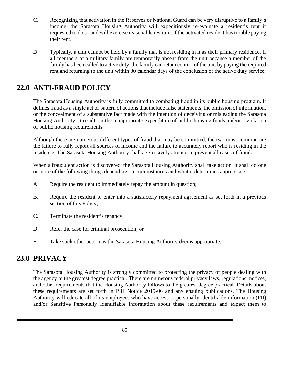- C. Recognizing that activation in the Reserves or National Guard can be very disruptive to a family's income, the Sarasota Housing Authority will expeditiously re-evaluate a resident's rent if requested to do so and will exercise reasonable restraint if the activated resident has trouble paying their rent.
- D. Typically, a unit cannot be held by a family that is not residing in it as their primary residence. If all members of a military family are temporarily absent from the unit because a member of the family has been called to active duty, the family can retain control of the unit by paying the required rent and returning to the unit within 30 calendar days of the conclusion of the active duty service.

# **22.0 ANTI-FRAUD POLICY**

The Sarasota Housing Authority is fully committed to combating fraud in its public housing program. It defines fraud as a single act or pattern of actions that include false statements, the omission of information, or the concealment of a substantive fact made with the intention of deceiving or misleading the Sarasota Housing Authority. It results in the inappropriate expenditure of public housing funds and/or a violation of public housing requirements.

Although there are numerous different types of fraud that may be committed, the two most common are the failure to fully report all sources of income and the failure to accurately report who is residing in the residence. The Sarasota Housing Authority shall aggressively attempt to prevent all cases of fraud.

When a fraudulent action is discovered, the Sarasota Housing Authority shall take action. It shall do one or more of the following things depending on circumstances and what it determines appropriate:

- A. Require the resident to immediately repay the amount in question;
- B. Require the resident to enter into a satisfactory repayment agreement as set forth in a previous section of this Policy;
- C. Terminate the resident's tenancy;
- D. Refer the case for criminal prosecution; or
- E. Take such other action as the Sarasota Housing Authority deems appropriate.

# **23.0 PRIVACY**

The Sarasota Housing Authority is strongly committed to protecting the privacy of people dealing with the agency to the greatest degree practical. There are numerous federal privacy laws, regulations, notices, and other requirements that the Housing Authority follows to the greatest degree practical. Details about these requirements are set forth in PIH Notice 2015-06 and any ensuing publications. The Housing Authority will educate all of its employees who have access to personally identifiable information (PII) and/or Sensitive Personally Identifiable Information about these requirements and expect them to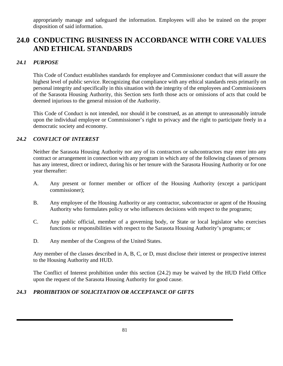appropriately manage and safeguard the information. Employees will also be trained on the proper disposition of said information.

# **24.0 CONDUCTING BUSINESS IN ACCORDANCE WITH CORE VALUES AND ETHICAL STANDARDS**

## *24.1 PURPOSE*

This Code of Conduct establishes standards for employee and Commissioner conduct that will assure the highest level of public service. Recognizing that compliance with any ethical standards rests primarily on personal integrity and specifically in this situation with the integrity of the employees and Commissioners of the Sarasota Housing Authority, this Section sets forth those acts or omissions of acts that could be deemed injurious to the general mission of the Authority.

This Code of Conduct is not intended, nor should it be construed, as an attempt to unreasonably intrude upon the individual employee or Commissioner's right to privacy and the right to participate freely in a democratic society and economy.

## *24.2 CONFLICT OF INTEREST*

Neither the Sarasota Housing Authority nor any of its contractors or subcontractors may enter into any contract or arrangement in connection with any program in which any of the following classes of persons has any interest, direct or indirect, during his or her tenure with the Sarasota Housing Authority or for one year thereafter:

- A. Any present or former member or officer of the Housing Authority (except a participant commissioner);
- B. Any employee of the Housing Authority or any contractor, subcontractor or agent of the Housing Authority who formulates policy or who influences decisions with respect to the programs;
- C. Any public official, member of a governing body, or State or local legislator who exercises functions or responsibilities with respect to the Sarasota Housing Authority's programs; or
- D. Any member of the Congress of the United States.

Any member of the classes described in A, B, C, or D, must disclose their interest or prospective interest to the Housing Authority and HUD.

The Conflict of Interest prohibition under this section (24.2) may be waived by the HUD Field Office upon the request of the Sarasota Housing Authority for good cause.

## *24.3 PROHIBITION OF SOLICITATION OR ACCEPTANCE OF GIFTS*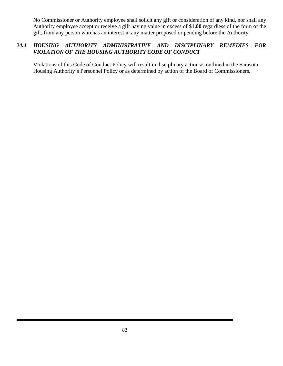No Commissioner or Authority employee shall solicit any gift or consideration of any kind, nor shall any Authority employee accept or receive a gift having value in excess of \$**1.00** regardless of the form of the gift, from any person who has an interest in any matter proposed or pending before the Authority.

## *24.4 HOUSING AUTHORITY ADMINISTRATIVE AND DISCIPLINARY REMEDIES FOR VIOLATION OF THE HOUSING AUTHORITY CODE OF CONDUCT*

Violations of this Code of Conduct Policy will result in disciplinary action as outlined in the Sarasota Housing Authority's Personnel Policy or as determined by action of the Board of Commissioners.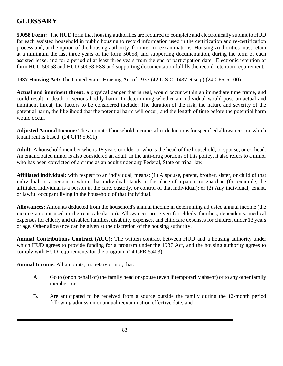# **GLOSSARY**

**50058 Form:** The HUD form that housing authorities are required to complete and electronically submit to HUD for each assisted household in public housing to record information used in the certification and re-certification process and, at the option of the housing authority, for interim reexaminations. Housing Authorities must retain at a minimum the last three years of the form 50058, and supporting documentation, during the term of each assisted lease, and for a period of at least three years from the end of participation date. Electronic retention of form HUD 50058 and HUD 50058-FSS and supporting documentation fulfills the record retention requirement.

**1937 Housing Act:** The United States Housing Act of 1937 (42 U.S.C. 1437 et seq.) (24 CFR 5.100)

**Actual and imminent threat:** a physical danger that is real, would occur within an immediate time frame, and could result in death or serious bodily harm. In determining whether an individual would pose an actual and imminent threat, the factors to be considered include: The duration of the risk, the nature and severity of the potential harm, the likelihood that the potential harm will occur, and the length of time before the potential harm would occur.

**Adjusted Annual Income:** The amount of household income, after deductions for specified allowances, on which tenant rent is based. (24 CFR 5.611)

**Adult:** A household member who is 18 years or older or who is the head of the household, or spouse, or co-head. An emancipated minor is also considered an adult. In the anti-drug portions of this policy, it also refers to a minor who has been convicted of a crime as an adult under any Federal, State or tribal law.

**Affiliated individual:** with respect to an individual, means: (1) A spouse, parent, brother, sister, or child of that individual, or a person to whom that individual stands in the place of a parent or guardian (for example, the affiliated individual is a person in the care, custody, or control of that individual); or (2) Any individual, tenant, or lawful occupant living in the household of that individual.

**Allowances:** Amounts deducted from the household's annual income in determining adjusted annual income (the income amount used in the rent calculation). Allowances are given for elderly families, dependents, medical expenses for elderly and disabled families, disability expenses, and childcare expenses for children under 13 years of age. Other allowance can be given at the discretion of the housing authority.

**Annual Contributions Contract (ACC):** The written contract between HUD and a housing authority under which HUD agrees to provide funding for a program under the 1937 Act, and the housing authority agrees to comply with HUD requirements for the program. (24 CFR 5.403)

**Annual Income:** All amounts, monetary or not, that:

- A. Go to (or on behalf of) the family head or spouse (even if temporarily absent) or to any other family member; or
- B. Are anticipated to be received from a source outside the family during the 12-month period following admission or annual reexamination effective date; and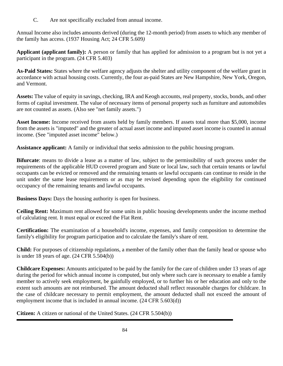C. Are not specifically excluded from annual income.

Annual Income also includes amounts derived (during the 12-month period) from assets to which any member of the family has access. (1937 Housing Act; 24 CFR 5.609*)*

**Applicant (applicant family):** A person or family that has applied for admission to a program but is not yet a participant in the program. (24 CFR 5.403)

**As-Paid States:** States where the welfare agency adjusts the shelter and utility component of the welfare grant in accordance with actual housing costs. Currently, the four as-paid States are New Hampshire, New York, Oregon, and Vermont.

**Assets:** The value of equity in savings, checking, IRA and Keogh accounts, real property, stocks, bonds, and other forms of capital investment. The value of necessary items of personal property such as furniture and automobiles are not counted as assets. (Also see "net family assets.")

**Asset Income:** Income received from assets held by family members. If assets total more than \$5,000, income from the assets is "imputed" and the greater of actual asset income and imputed asset income is counted in annual income. (See "imputed asset income" below.)

**Assistance applicant:** A family or individual that seeks admission to the public housing program.

**Bifurcate**: means to divide a lease as a matter of law, subject to the permissibility of such process under the requirements of the applicable HUD covered program and State or local law, such that certain tenants or lawful occupants can be evicted or removed and the remaining tenants or lawful occupants can continue to reside in the unit under the same lease requirements or as may be revised depending upon the eligibility for continued occupancy of the remaining tenants and lawful occupants.

**Business Days:** Days the housing authority is open for business.

**Ceiling Rent:** Maximum rent allowed for some units in public housing developments under the income method of calculating rent. It must equal or exceed the Flat Rent.

**Certification:** The examination of a household's income, expenses, and family composition to determine the family's eligibility for program participation and to calculate the family's share of rent.

**Child:** For purposes of citizenship regulations, a member of the family other than the family head or spouse who is under 18 years of age. (24 CFR 5.504(b))

**Childcare Expenses:** Amounts anticipated to be paid by the family for the care of children under 13 years of age during the period for which annual income is computed, but only where such care is necessary to enable a family member to actively seek employment, be gainfully employed, or to further his or her education and only to the extent such amounts are not reimbursed. The amount deducted shall reflect reasonable charges for childcare. In the case of childcare necessary to permit employment, the amount deducted shall not exceed the amount of employment income that is included in annual income. (24 CFR 5.603(d))

**Citizen:** A citizen or national of the United States. (24 CFR 5.504(b))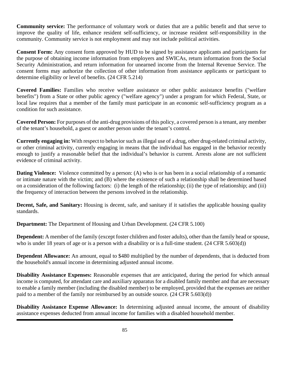**Community service:** The performance of voluntary work or duties that are a public benefit and that serve to improve the quality of life, enhance resident self-sufficiency, or increase resident self-responsibility in the community. Community service is not employment and may not include political activities.

**Consent Form:** Any consent form approved by HUD to be signed by assistance applicants and participants for the purpose of obtaining income information from employers and SWICAs, return information from the Social Security Administration, and return information for unearned income from the Internal Revenue Service. The consent forms may authorize the collection of other information from assistance applicants or participant to determine eligibility or level of benefits. (24 CFR 5.214)

**Covered Families:** Families who receive welfare assistance or other public assistance benefits ("welfare benefits") from a State or other public agency ("welfare agency") under a program for which Federal, State, or local law requires that a member of the family must participate in an economic self-sufficiency program as a condition for such assistance.

**Covered Person:** For purposes of the anti-drug provisions of this policy, a covered person is a tenant, any member of the tenant's household, a guest or another person under the tenant's control.

**Currently engaging in:** With respect to behavior such as illegal use of a drug, other drug-related criminal activity, or other criminal activity, currently engaging in means that the individual has engaged in the behavior recently enough to justify a reasonable belief that the individual's behavior is current. Arrests alone are not sufficient evidence of criminal activity.

**Dating Violence:** Violence committed by a person: (A) who is or has been in a social relationship of a romantic or intimate nature with the victim; and (B) where the existence of such a relationship shall be determined based on a consideration of the following factors: (i) the length of the relationship; (ii) the type of relationship; and (iii) the frequency of interaction between the persons involved in the relationship.

**Decent, Safe, and Sanitary:** Housing is decent, safe, and sanitary if it satisfies the applicable housing quality standards.

**Department:** The Department of Housing and Urban Development. (24 CFR 5.100)

**Dependent:** A member of the family (except foster children and foster adults), other than the family head or spouse, who is under 18 years of age or is a person with a disability or is a full-time student. (24 CFR 5.603(d))

**Dependent Allowance:** An amount, equal to \$480 multiplied by the number of dependents, that is deducted from the household's annual income in determining adjusted annual income.

**Disability Assistance Expenses:** Reasonable expenses that are anticipated, during the period for which annual income is computed, for attendant care and auxiliary apparatus for a disabled family member and that are necessary to enable a family member (including the disabled member) to be employed, provided that the expenses are neither paid to a member of the family nor reimbursed by an outside source*.* (24 CFR 5.603(d))

**Disability Assistance Expense Allowance:** In determining adjusted annual income, the amount of disability assistance expenses deducted from annual income for families with a disabled household member.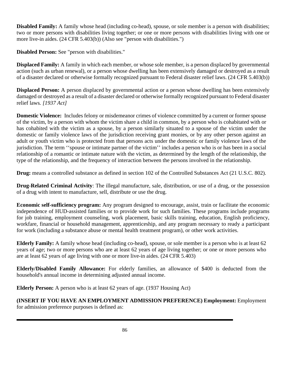**Disabled Family:** A family whose head (including co-head), spouse, or sole member is a person with disabilities; two or more persons with disabilities living together; or one or more persons with disabilities living with one or more live-in aides. (24 CFR 5.403(b)) (Also see "person with disabilities.")

**Disabled Person:** See "person with disabilities."

**Displaced Family:** A family in which each member, or whose sole member, is a person displaced by governmental action (such as urban renewal), or a person whose dwelling has been extensively damaged or destroyed as a result of a disaster declared or otherwise formally recognized pursuant to Federal disaster relief laws. (24 CFR 5.403(b))

**Displaced Person:** A person displaced by governmental action or a person whose dwelling has been extensively damaged or destroyed as a result of a disaster declared or otherwise formally recognized pursuant to Federal disaster relief laws*. [1937 Act]*

**Domestic Violence:** Includes felony or misdemeanor crimes of violence committed by a current or former spouse of the victim, by a person with whom the victim share a child in common, by a person who is cohabitated with or has cohabited with the victim as a spouse, by a person similarly situated to a spouse of the victim under the domestic or family violence laws of the jurisdiction receiving grant monies, or by any other person against an adult or youth victim who is protected from that persons acts under the domestic or family violence laws of the jurisdiction. The term ''spouse or intimate partner of the victim'' includes a person who is or has been in a social relationship of a romantic or intimate nature with the victim, as determined by the length of the relationship, the type of the relationship, and the frequency of interaction between the persons involved in the relationship.

**Drug:** means a controlled substance as defined in section 102 of the Controlled Substances Act (21 U.S.C. 802).

**Drug-Related Criminal Activity**: The illegal manufacture, sale, distribution, or use of a drug, or the possession of a drug with intent to manufacture, sell, distribute or use the drug.

**Economic self-sufficiency program:** Any program designed to encourage, assist, train or facilitate the economic independence of HUD-assisted families or to provide work for such families. These programs include programs for job training, employment counseling, work placement, basic skills training, education, English proficiency, workfare, financial or household management, apprenticeship, and any program necessary to ready a participant for work (including a substance abuse or mental health treatment program), or other work activities.

**Elderly Family:** A family whose head (including co-head), spouse, or sole member is a person who is at least 62 years of age; two or more persons who are at least 62 years of age living together; or one or more persons who are at least 62 years of age living with one or more live-in aides. (24 CFR 5.403)

**Elderly/Disabled Family Allowance:** For elderly families, an allowance of \$400 is deducted from the household's annual income in determining adjusted annual income.

**Elderly Person:** A person who is at least 62 years of age. (1937 Housing Act)

**(INSERT IF YOU HAVE AN EMPLOYMENT ADMISSION PREFERENCE) Employment:** Employment for admission preference purposes is defined as: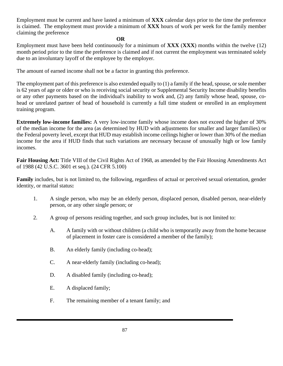Employment must be current and have lasted a minimum of **XXX** calendar days prior to the time the preference is claimed. The employment must provide a minimum of **XXX** hours of work per week for the family member claiming the preference

#### **OR**

Employment must have been held continuously for a minimum of **XXX** (**XXX**) months within the twelve (12) month period prior to the time the preference is claimed and if not current the employment was terminated solely due to an involuntary layoff of the employee by the employer.

The amount of earned income shall not be a factor in granting this preference.

The employment part of this preference is also extended equally to (1) a family if the head, spouse, or sole member is 62 years of age or older or who is receiving social security or Supplemental Security Income disability benefits or any other payments based on the individual's inability to work and, (2) any family whose head, spouse, cohead or unrelated partner of head of household is currently a full time student or enrolled in an employment training program.

**Extremely low-income families:** A very low-income family whose income does not exceed the higher of 30% of the median income for the area (as determined by HUD with adjustments for smaller and larger families) or the Federal poverty level, except that HUD may establish income ceilings higher or lower than 30% of the median income for the area if HUD finds that such variations are necessary because of unusually high or low family incomes.

**Fair Housing Act:** Title VIII of the Civil Rights Act of 1968, as amended by the Fair Housing Amendments Act of 1988 (42 U.S.C. 3601 et seq.)*.* (24 CFR 5.100)

**Family** includes, but is not limited to, the following, regardless of actual or perceived sexual orientation, gender identity, or marital status**:**

- 1. A single person, who may be an elderly person, displaced person, disabled person, near-elderly person, or any other single person; or
- 2. A group of persons residing together, and such group includes, but is not limited to:
	- A. A family with or without children (a child who is temporarily away from the home because of placement in foster care is considered a member of the family);
	- B. An elderly family (including co-head);
	- C. A near-elderly family (including co-head);
	- D. A disabled family (including co-head);
	- E. A displaced family;
	- F. The remaining member of a tenant family; and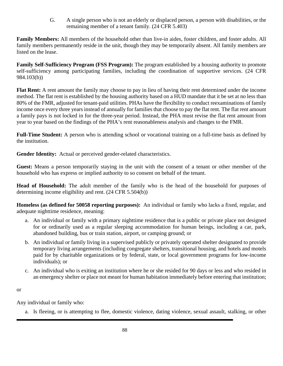G. A single person who is not an elderly or displaced person, a person with disabilities, or the remaining member of a tenant family. (24 CFR 5.403)

**Family Members:** All members of the household other than live-in aides, foster children, and foster adults. All family members permanently reside in the unit, though they may be temporarily absent. All family members are listed on the lease.

**Family Self-Sufficiency Program (FSS Program):** The program established by a housing authority to promote self-sufficiency among participating families, including the coordination of supportive services. (24 CFR 984.103(b))

**Flat Rent:** A rent amount the family may choose to pay in lieu of having their rent determined under the income method. The flat rent is established by the housing authority based on a HUD mandate that it be set at no less than 80% of the FMR, adjusted for tenant-paid utilities. PHAs have the flexibility to conduct reexaminations of family income once every three years instead of annually for families that choose to pay the flat rent. The flat rent amount a family pays is not locked in for the three-year period. Instead, the PHA must revise the flat rent amount from year to year based on the findings of the PHA's rent reasonableness analysis and changes to the FMR.

**Full-Time Student:** A person who is attending school or vocational training on a full-time basis as defined by the institution.

**Gender Identity:** Actual or perceived gender-related characteristics.

**Guest:** Means a person temporarily staying in the unit with the consent of a tenant or other member of the household who has express or implied authority to so consent on behalf of the tenant.

**Head of Household:** The adult member of the family who is the head of the household for purposes of determining income eligibility and rent. (24 CFR 5.504(b))

**Homeless (as defined for 50058 reporting purposes):** An individual or family who lacks a fixed, regular, and adequate nighttime residence, meaning:

- a. An individual or family with a primary nighttime residence that is a public or private place not designed for or ordinarily used as a regular sleeping accommodation for human beings, including a car, park, abandoned building, bus or train station, airport, or camping ground; or
- b. An individual or family living in a supervised publicly or privately operated shelter designated to provide temporary living arrangements (including congregate shelters, transitional housing, and hotels and motels paid for by charitable organizations or by federal, state, or local government programs for low-income individuals); or
- c. An individual who is exiting an institution where he or she resided for 90 days or less and who resided in an emergency shelter or place not meant for human habitation immediately before entering that institution;

or

Any individual or family who:

a. Is fleeing, or is attempting to flee, domestic violence, dating violence, sexual assault, stalking, or other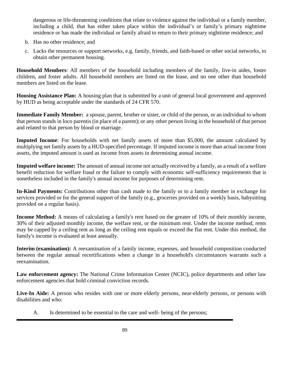dangerous or life-threatening conditions that relate to violence against the individual or a family member, including a child, that has either taken place within the individual's or family's primary nighttime residence or has made the individual or family afraid to return to their primary nighttime residence; and

- b. Has no other residence; and
- c. Lacks the resources or support networks, e.g. family, friends, and faith-based or other social networks, to obtain other permanent housing.

**Household Members**: All members of the household including members of the family, live-in aides, foster children, and foster adults. All household members are listed on the lease, and no one other than household members are listed on the lease.

**Housing Assistance Plan:** A housing plan that is submitted by a unit of general local government and approved by HUD as being acceptable under the standards of 24 CFR 570.

**Immediate Family Member:** a spouse, parent, brother or sister, or child of the person, or an individual to whom that person stands in loco parentis (in place of a parent); or any other person living in the household of that person and related to that person by blood or marriage.

**Imputed Income**: For households with net family assets of more than \$5,000, the amount calculated by multiplying net family assets by a HUD-specified percentage. If imputed income is more than actual income from assets, the imputed amount is used as income from assets in determining annual income.

**Imputed welfare income:** The amount of annual income not actually received by a family, as a result of a welfare benefit reduction for welfare fraud or the failure to comply with economic self-sufficiency requirements that is nonetheless included in the family's annual income for purposes of determining rent.

**In-Kind Payments:** Contributions other than cash made to the family or to a family member in exchange for services provided or for the general support of the family (e.g., groceries provided on a weekly basis, babysitting provided on a regular basis).

**Income Method:** A means of calculating a family's rent based on the greater of 10% of their monthly income, 30% of their adjusted monthly income, the welfare rent, or the minimum rent. Under the income method, rents may be capped by a ceiling rent as long as the ceiling rent equals or exceed the flat rent. Under this method, the family's income is evaluated at least annually.

**Interim (examination):** A reexamination of a family income, expenses, and household composition conducted between the regular annual recertifications when a change in a household's circumstances warrants such a reexamination.

**Law enforcement agency:** The National Crime Information Center (NCIC), police departments and other law enforcement agencies that hold criminal conviction records.

**Live-In Aide:** A person who resides with one or more elderly persons, near-elderly persons, or persons with disabilities and who:

A. Is determined to be essential to the care and well- being of the persons;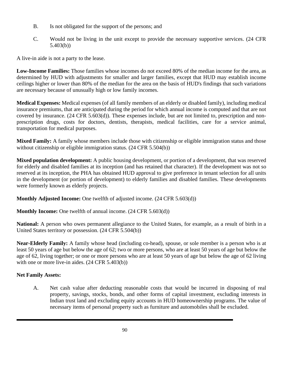- B. Is not obligated for the support of the persons; and
- C. Would not be living in the unit except to provide the necessary supportive services. (24 CFR 5.403(b))

A live-in aide is not a party to the lease.

**Low-Income Families:** Those families whose incomes do not exceed 80% of the median income for the area, as determined by HUD with adjustments for smaller and larger families, except that HUD may establish income ceilings higher or lower than 80% of the median for the area on the basis of HUD's findings that such variations are necessary because of unusually high or low family incomes.

**Medical Expenses:** Medical expenses (of all family members of an elderly or disabled family), including medical insurance premiums, that are anticipated during the period for which annual income is computed and that are not covered by insurance. (24 CFR 5.603(d)). These expenses include, but are not limited to, prescription and nonprescription drugs, costs for doctors, dentists, therapists, medical facilities, care for a service animal, transportation for medical purposes.

**Mixed Family:** A family whose members include those with citizenship or eligible immigration status and those without citizenship or eligible immigration status. (24 CFR 5.504(b))

**Mixed population development:** A public housing development, or portion of a development, that was reserved for elderly and disabled families at its inception (and has retained that character). If the development was not so reserved at its inception, the PHA has obtained HUD approval to give preference in tenant selection for all units in the development (or portion of development) to elderly families and disabled families. These developments were formerly known as elderly projects.

**Monthly Adjusted Income:** One twelfth of adjusted income. (24 CFR 5.603(d))

**Monthly Income:** One twelfth of annual income. (24 CFR 5.603(d))

**National:** A person who owes permanent allegiance to the United States, for example, as a result of birth in a United States territory or possession. (24 CFR 5.504(b))

**Near-Elderly Family:** A family whose head (including co-head), spouse, or sole member is a person who is at least 50 years of age but below the age of 62; two or more persons, who are at least 50 years of age but below the age of 62, living together; or one or more persons who are at least 50 years of age but below the age of 62 living with one or more live-in aides.  $(24 \text{ CFR } 5.403(b))$ 

## **Net Family Assets:**

A. Net cash value after deducting reasonable costs that would be incurred in disposing of real property, savings, stocks, bonds, and other forms of capital investment, excluding interests in Indian trust land and excluding equity accounts in HUD homeownership programs. The value of necessary items of personal property such as furniture and automobiles shall be excluded.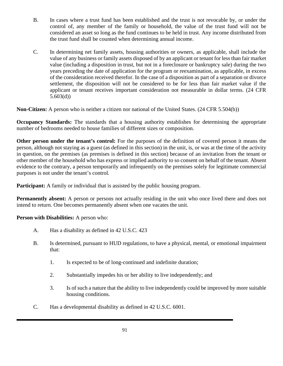- B. In cases where a trust fund has been established and the trust is not revocable by, or under the control of, any member of the family or household, the value of the trust fund will not be considered an asset so long as the fund continues to be held in trust. Any income distributed from the trust fund shall be counted when determining annual income.
- C. In determining net family assets, housing authorities or owners, as applicable, shall include the value of any business or family assets disposed of by an applicant or tenant for less than fair market value (including a disposition in trust, but not in a foreclosure or bankruptcy sale) during the two years preceding the date of application for the program or reexamination, as applicable, in excess of the consideration received therefor. In the case of a disposition as part of a separation or divorce settlement, the disposition will not be considered to be for less than fair market value if the applicant or tenant receives important consideration not measurable in dollar terms. (24 CFR 5.603(d))

**Non-Citizen:** A person who is neither a citizen nor national of the United States. (24 CFR 5.504(b))

**Occupancy Standards:** The standards that a housing authority establishes for determining the appropriate number of bedrooms needed to house families of different sizes or composition*.*

**Other person under the tenant's control:** For the purposes of the definition of covered person it means the person, although not staying as a guest (as defined in this section) in the unit, is, or was at the time of the activity in question, on the premises (as premises is defined in this section) because of an invitation from the tenant or other member of the household who has express or implied authority to so consent on behalf of the tenant. Absent evidence to the contrary, a person temporarily and infrequently on the premises solely for legitimate commercial purposes is not under the tenant's control*.*

**Participant:** A family or individual that is assisted by the public housing program.

**Permanently absent:** A person or persons not actually residing in the unit who once lived there and does not intend to return. One becomes permanently absent when one vacates the unit.

**Person with Disabilities:** A person who:

- A. Has a disability as defined in 42 U.S.C. 423
- B. Is determined, pursuant to HUD regulations, to have a physical, mental, or emotional impairment that:
	- 1. Is expected to be of long-continued and indefinite duration;
	- 2. Substantially impedes his or her ability to live independently; and
	- 3. Is of such a nature that the ability to live independently could be improved by more suitable housing conditions.
- C. Has a developmental disability as defined in 42 U.S.C. 6001.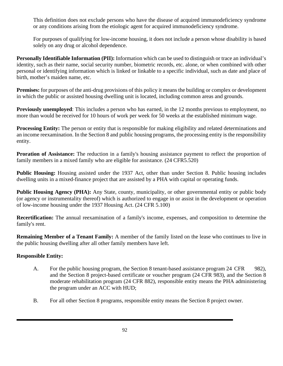This definition does not exclude persons who have the disease of acquired immunodeficiency syndrome or any conditions arising from the etiologic agent for acquired immunodeficiency syndrome.

For purposes of qualifying for low-income housing, it does not include a person whose disability is based solely on any drug or alcohol dependence.

**Personally Identifiable Information (PII):** Information which can be used to distinguish or trace an individual's identity, such as their name, social security number, biometric records, etc. alone, or when combined with other personal or identifying information which is linked or linkable to a specific individual, such as date and place of birth, mother's maiden name, etc.

**Premises:** for purposes of the anti-drug provisions of this policy it means the building or complex or development in which the public or assisted housing dwelling unit is located, including common areas and grounds.

**Previously unemployed:** This includes a person who has earned, in the 12 months previous to employment, no more than would be received for 10 hours of work per week for 50 weeks at the established minimum wage.

**Processing Entity:** The person or entity that is responsible for making eligibility and related determinations and an income reexamination. In the Section 8 and public housing programs, the processing entity is the responsibility entity.

**Proration of Assistance:** The reduction in a family's housing assistance payment to reflect the proportion of family members in a mixed family who are eligible for assistance. (24 CFR5.520)

**Public Housing:** Housing assisted under the 1937 Act, other than under Section 8. Public housing includes dwelling units in a mixed-finance project that are assisted by a PHA with capital or operating funds.

**Public Housing Agency (PHA):** Any State, county, municipality, or other governmental entity or public body (or agency or instrumentality thereof) which is authorized to engage in or assist in the development or operation of low-income housing under the 1937 Housing Act. (24 CFR 5.100)

**Recertification:** The annual reexamination of a family's income, expenses, and composition to determine the family's rent.

**Remaining Member of a Tenant Family:** A member of the family listed on the lease who continues to live in the public housing dwelling after all other family members have left.

## **Responsible Entity:**

- A. For the public housing program, the Section 8 tenant-based assistance program 24 CFR 982), and the Section 8 project-based certificate or voucher program (24 CFR 983), and the Section 8 moderate rehabilitation program (24 CFR 882), responsible entity means the PHA administering the program under an ACC with HUD;
- B. For all other Section 8 programs, responsible entity means the Section 8 project owner.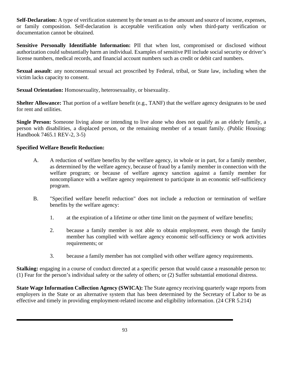**Self-Declaration:** A type of verification statement by the tenant as to the amount and source of income, expenses, or family composition. Self-declaration is acceptable verification only when third-party verification or documentation cannot be obtained.

**Sensitive Personally Identifiable Information:** PII that when lost, compromised or disclosed without authorization could substantially harm an individual. Examples of sensitive PII include social security or driver's license numbers, medical records, and financial account numbers such as credit or debit card numbers.

**Sexual assault**: any nonconsensual sexual act proscribed by Federal, tribal, or State law, including when the victim lacks capacity to consent.

**Sexual Orientation:** Homosexuality, heterosexuality, or bisexuality.

**Shelter Allowance:** That portion of a welfare benefit (e.g., TANF) that the welfare agency designates to be used for rent and utilities.

**Single Person:** Someone living alone or intending to live alone who does not qualify as an elderly family, a person with disabilities, a displaced person, or the remaining member of a tenant family. (Public Housing: Handbook 7465.1 REV-2, 3-5)

## **Specified Welfare Benefit Reduction:**

- A. A reduction of welfare benefits by the welfare agency, in whole or in part, for a family member, as determined by the welfare agency, because of fraud by a family member in connection with the welfare program; or because of welfare agency sanction against a family member for noncompliance with a welfare agency requirement to participate in an economic self-sufficiency program.
- B. "Specified welfare benefit reduction" does not include a reduction or termination of welfare benefits by the welfare agency:
	- 1. at the expiration of a lifetime or other time limit on the payment of welfare benefits;
	- 2. because a family member is not able to obtain employment, even though the family member has complied with welfare agency economic self-sufficiency or work activities requirements; or
	- 3. because a family member has not complied with other welfare agency requirements.

**Stalking:** engaging in a course of conduct directed at a specific person that would cause a reasonable person to: (1) Fear for the person's individual safety or the safety of others; or (2) Suffer substantial emotional distress.

**State Wage Information Collection Agency (SWICA):** The State agency receiving quarterly wage reports from employers in the State or an alternative system that has been determined by the Secretary of Labor to be as effective and timely in providing employment-related income and eligibility information. (24 CFR 5.214)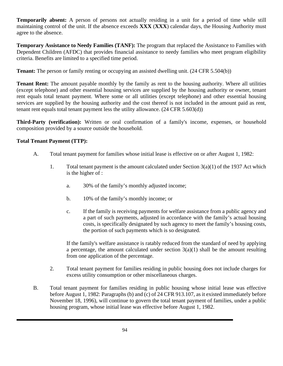**Temporarily absent:** A person of persons not actually residing in a unit for a period of time while still maintaining control of the unit. If the absence exceeds **XXX** (**XXX**) calendar days, the Housing Authority must agree to the absence.

**Temporary Assistance to Needy Families (TANF):** The program that replaced the Assistance to Families with Dependent Children (AFDC) that provides financial assistance to needy families who meet program eligibility criteria. Benefits are limited to a specified time period.

**Tenant:** The person or family renting or occupying an assisted dwelling unit. (24 CFR 5.504(b))

**Tenant Rent:** The amount payable monthly by the family as rent to the housing authority. Where all utilities (except telephone) and other essential housing services are supplied by the housing authority or owner, tenant rent equals total tenant payment. Where some or all utilities (except telephone) and other essential housing services are supplied by the housing authority and the cost thereof is not included in the amount paid as rent, tenant rent equals total tenant payment less the utility allowance. (24 CFR 5.603(d))

**Third-Party (verification):** Written or oral confirmation of a family's income, expenses, or household composition provided by a source outside the household.

## **Total Tenant Payment (TTP):**

- A. Total tenant payment for families whose initial lease is effective on or after August 1, 1982:
	- 1. Total tenant payment is the amount calculated under Section  $3(a)(1)$  of the 1937 Act which is the higher of :
		- a. 30% of the family's monthly adjusted income;
		- b. 10% of the family's monthly income; or
		- c. If the family is receiving payments for welfare assistance from a public agency and a part of such payments, adjusted in accordance with the family's actual housing costs, is specifically designated by such agency to meet the family's housing costs, the portion of such payments which is so designated.

If the family's welfare assistance is ratably reduced from the standard of need by applying a percentage, the amount calculated under section  $3(a)(1)$  shall be the amount resulting from one application of the percentage.

- 2. Total tenant payment for families residing in public housing does not include charges for excess utility consumption or other miscellaneous charges.
- B. Total tenant payment for families residing in public housing whose initial lease was effective before August 1, 1982: Paragraphs (b) and (c) of 24 CFR 913.107, as it existed immediately before November 18, 1996), will continue to govern the total tenant payment of families, under a public housing program, whose initial lease was effective before August 1, 1982.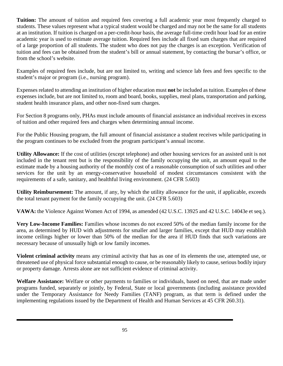**Tuition:** The amount of tuition and required fees covering a full academic year most frequently charged to students. These values represent what a typical student would be charged and may not be the same for all students at an institution. If tuition is charged on a per-credit-hour basis, the average full-time credit hour load for an entire academic year is used to estimate average tuition. Required fees include all fixed sum charges that are required of a large proportion of all students. The student who does not pay the charges is an exception. Verification of tuition and fees can be obtained from the student's bill or annual statement, by contacting the bursar's office, or from the school's website.

Examples of required fees include, but are not limited to, writing and science lab fees and fees specific to the student's major or program (i.e., nursing program).

Expenses related to attending an institution of higher education must **not** be included as tuition. Examples of these expenses include, but are not limited to, room and board, books, supplies, meal plans, transportation and parking, student health insurance plans, and other non-fixed sum charges.

For Section 8 programs only, PHAs must include amounts of financial assistance an individual receives in excess of tuition and other required fees and charges when determining annual income.

For the Public Housing program, the full amount of financial assistance a student receives while participating in the program continues to be excluded from the program participant's annual income.

**Utility Allowance:** If the cost of utilities (except telephone) and other housing services for an assisted unit is not included in the tenant rent but is the responsibility of the family occupying the unit, an amount equal to the estimate made by a housing authority of the monthly cost of a reasonable consumption of such utilities and other services for the unit by an energy-conservative household of modest circumstances consistent with the requirements of a safe, sanitary, and healthful living environment. (24 CFR 5.603)

**Utility Reimbursement:** The amount, if any, by which the utility allowance for the unit, if applicable, exceeds the total tenant payment for the family occupying the unit. (24 CFR 5.603)

**VAWA:** the Violence Against Women Act of 1994, as amended (42 U.S.C. 13925 and 42 U.S.C. 14043e et seq.).

**Very Low-Income Families:** Families whose incomes do not exceed 50% of the median family income for the area, as determined by HUD with adjustments for smaller and larger families, except that HUD may establish income ceilings higher or lower than 50% of the median for the area if HUD finds that such variations are necessary because of unusually high or low family incomes.

**Violent criminal activity** means any criminal activity that has as one of its elements the use, attempted use, or threatened use of physical force substantial enough to cause, or be reasonably likely to cause, serious bodily injury or property damage. Arrests alone are not sufficient evidence of criminal activity.

**Welfare Assistance:** Welfare or other payments to families or individuals, based on need, that are made under programs funded, separately or jointly, by Federal, State or local governments (including assistance provided under the Temporary Assistance for Needy Families (TANF) program, as that term is defined under the implementing regulations issued by the Department of Health and Human Services at 45 CFR 260.31).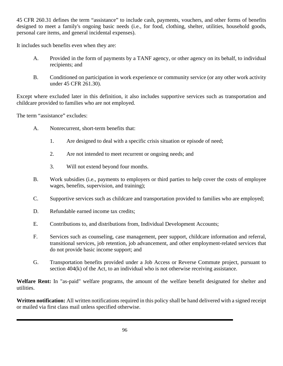45 CFR 260.31 defines the term "assistance" to include cash, payments, vouchers, and other forms of benefits designed to meet a family's ongoing basic needs (i.e., for food, clothing, shelter, utilities, household goods, personal care items, and general incidental expenses).

It includes such benefits even when they are:

- A. Provided in the form of payments by a TANF agency, or other agency on its behalf, to individual recipients; and
- B. Conditioned on participation in work experience or community service (or any other work activity under 45 CFR 261.30).

Except where excluded later in this definition, it also includes supportive services such as transportation and childcare provided to families who are not employed.

The term "assistance" excludes:

- A. Nonrecurrent, short-term benefits that:
	- 1. Are designed to deal with a specific crisis situation or episode of need;
	- 2. Are not intended to meet recurrent or ongoing needs; and
	- 3. Will not extend beyond four months.
- B. Work subsidies (i.e., payments to employers or third parties to help cover the costs of employee wages, benefits, supervision, and training);
- C. Supportive services such as childcare and transportation provided to families who are employed;
- D. Refundable earned income tax credits;
- E. Contributions to, and distributions from, Individual Development Accounts;
- F. Services such as counseling, case management, peer support, childcare information and referral, transitional services, job retention, job advancement, and other employment-related services that do not provide basic income support; and
- G. Transportation benefits provided under a Job Access or Reverse Commute project, pursuant to section 404(k) of the Act, to an individual who is not otherwise receiving assistance.

**Welfare Rent:** In "as-paid" welfare programs, the amount of the welfare benefit designated for shelter and utilities.

**Written notification:** All written notifications required in this policy shall be hand delivered with a signed receipt or mailed via first class mail unless specified otherwise.